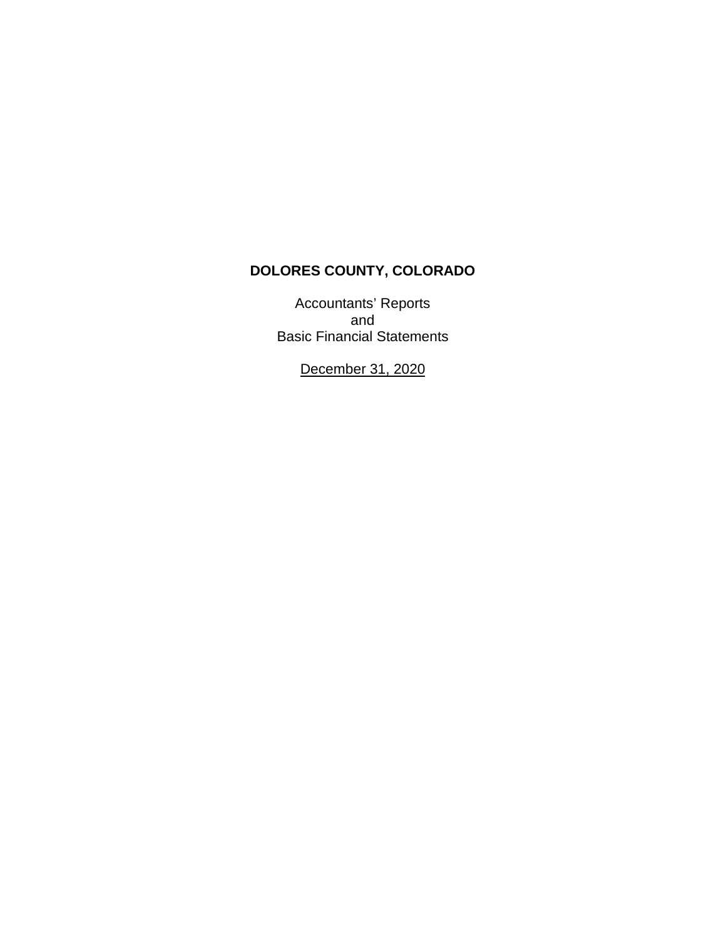Accountants' Reports and Basic Financial Statements

December 31, 2020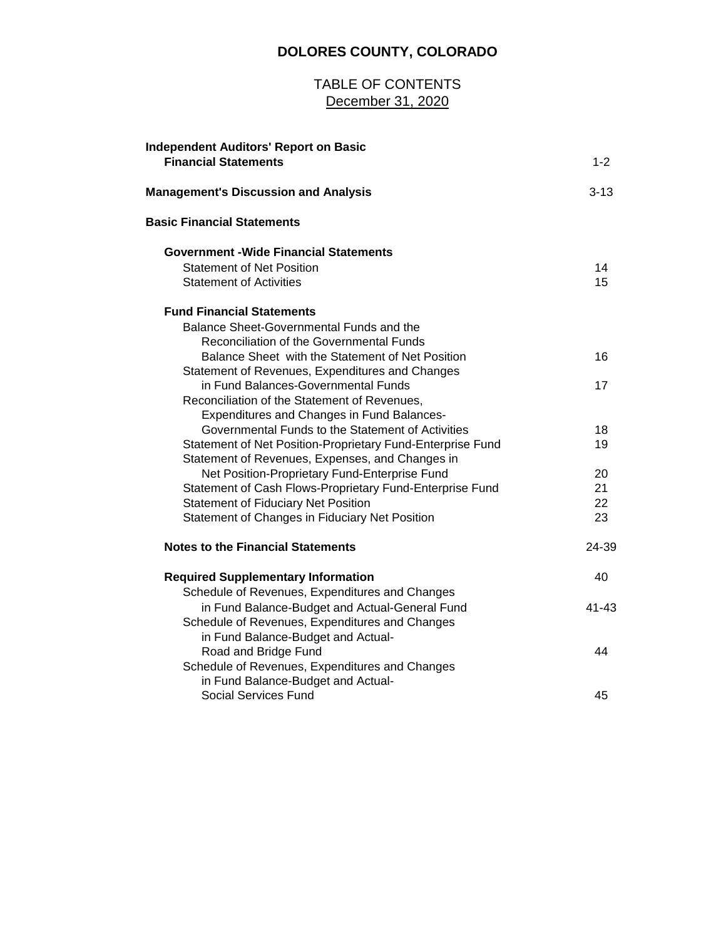# TABLE OF CONTENTS December 31, 2020

| <b>Independent Auditors' Report on Basic</b><br><b>Financial Statements</b> | $1 - 2$ |
|-----------------------------------------------------------------------------|---------|
| <b>Management's Discussion and Analysis</b>                                 | 3-13    |
| <b>Basic Financial Statements</b>                                           |         |
| <b>Government - Wide Financial Statements</b>                               |         |
| <b>Statement of Net Position</b>                                            | 14      |
| <b>Statement of Activities</b>                                              | 15      |
| <b>Fund Financial Statements</b>                                            |         |
| Balance Sheet-Governmental Funds and the                                    |         |
| Reconciliation of the Governmental Funds                                    |         |
| Balance Sheet with the Statement of Net Position                            | 16      |
| Statement of Revenues, Expenditures and Changes                             |         |
| in Fund Balances-Governmental Funds                                         | 17      |
| Reconciliation of the Statement of Revenues,                                |         |
| <b>Expenditures and Changes in Fund Balances-</b>                           |         |
| Governmental Funds to the Statement of Activities                           | 18      |
| Statement of Net Position-Proprietary Fund-Enterprise Fund                  | 19      |
| Statement of Revenues, Expenses, and Changes in                             |         |
| Net Position-Proprietary Fund-Enterprise Fund                               | 20      |
| Statement of Cash Flows-Proprietary Fund-Enterprise Fund                    | 21      |
| <b>Statement of Fiduciary Net Position</b>                                  | 22      |
| Statement of Changes in Fiduciary Net Position                              | 23      |
| <b>Notes to the Financial Statements</b>                                    | 24-39   |
| <b>Required Supplementary Information</b>                                   | 40      |
| Schedule of Revenues, Expenditures and Changes                              |         |
| in Fund Balance-Budget and Actual-General Fund                              | 41-43   |
| Schedule of Revenues, Expenditures and Changes                              |         |
| in Fund Balance-Budget and Actual-                                          |         |
| Road and Bridge Fund                                                        | 44      |
| Schedule of Revenues, Expenditures and Changes                              |         |
| in Fund Balance-Budget and Actual-                                          |         |
| Social Services Fund                                                        | 45      |
|                                                                             |         |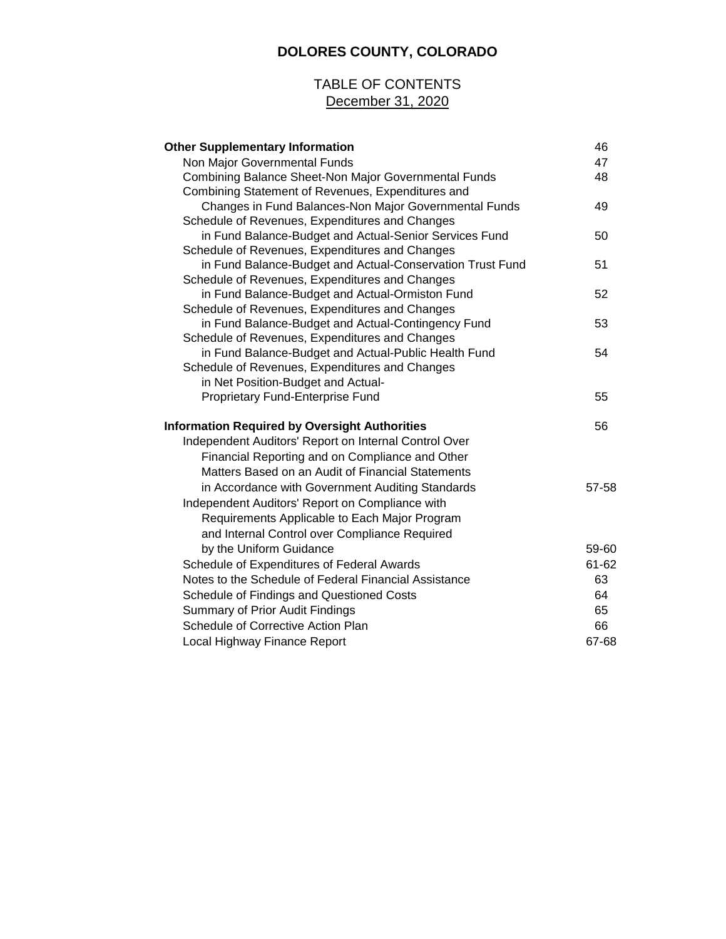## TABLE OF CONTENTS December 31, 2020

| <b>Other Supplementary Information</b>                                                                 | 46    |
|--------------------------------------------------------------------------------------------------------|-------|
| Non Major Governmental Funds                                                                           | 47    |
| Combining Balance Sheet-Non Major Governmental Funds                                                   | 48    |
| Combining Statement of Revenues, Expenditures and                                                      |       |
| Changes in Fund Balances-Non Major Governmental Funds                                                  | 49    |
| Schedule of Revenues, Expenditures and Changes                                                         |       |
| in Fund Balance-Budget and Actual-Senior Services Fund                                                 | 50    |
| Schedule of Revenues, Expenditures and Changes                                                         |       |
| in Fund Balance-Budget and Actual-Conservation Trust Fund                                              | 51    |
| Schedule of Revenues, Expenditures and Changes                                                         |       |
| in Fund Balance-Budget and Actual-Ormiston Fund                                                        | 52    |
| Schedule of Revenues, Expenditures and Changes                                                         |       |
| in Fund Balance-Budget and Actual-Contingency Fund                                                     | 53    |
| Schedule of Revenues, Expenditures and Changes                                                         | 54    |
| in Fund Balance-Budget and Actual-Public Health Fund<br>Schedule of Revenues, Expenditures and Changes |       |
| in Net Position-Budget and Actual-                                                                     |       |
| Proprietary Fund-Enterprise Fund                                                                       | 55    |
|                                                                                                        |       |
| <b>Information Required by Oversight Authorities</b>                                                   | 56    |
| Independent Auditors' Report on Internal Control Over                                                  |       |
| Financial Reporting and on Compliance and Other                                                        |       |
| Matters Based on an Audit of Financial Statements                                                      |       |
| in Accordance with Government Auditing Standards                                                       | 57-58 |
| Independent Auditors' Report on Compliance with                                                        |       |
| Requirements Applicable to Each Major Program                                                          |       |
| and Internal Control over Compliance Required                                                          |       |
| by the Uniform Guidance                                                                                | 59-60 |
| Schedule of Expenditures of Federal Awards                                                             | 61-62 |
| Notes to the Schedule of Federal Financial Assistance                                                  | 63    |
| Schedule of Findings and Questioned Costs                                                              | 64    |
| Summary of Prior Audit Findings                                                                        | 65    |
| Schedule of Corrective Action Plan                                                                     | 66    |
| Local Highway Finance Report                                                                           | 67-68 |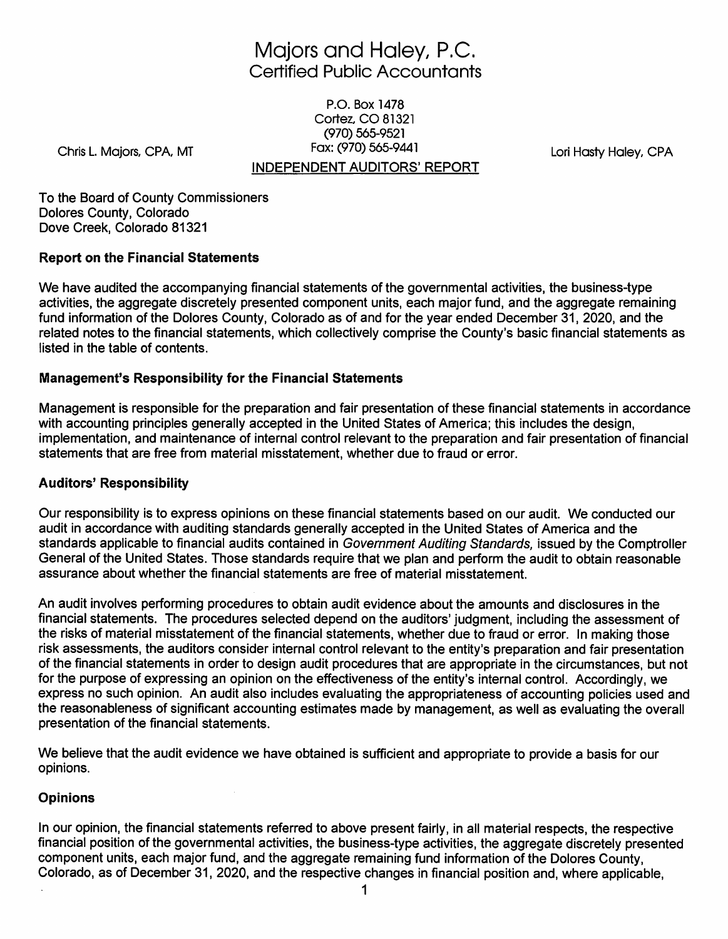# Majors and Haley, P.C. **Certified Public Accountants**

P.O. Box 1478 Cortez, CO 81321 (970) 565-9521 Fax: (970) 565-9441

Chris L. Majors, CPA, MT

### **INDEPENDENT AUDITORS' REPORT**

Lori Hasty Haley, CPA

To the Board of County Commissioners Dolores County, Colorado Dove Creek, Colorado 81321

#### **Report on the Financial Statements**

We have audited the accompanying financial statements of the governmental activities, the business-type activities, the aggregate discretely presented component units, each major fund, and the aggregate remaining fund information of the Dolores County, Colorado as of and for the year ended December 31, 2020, and the related notes to the financial statements, which collectively comprise the County's basic financial statements as listed in the table of contents.

#### Management's Responsibility for the Financial Statements

Management is responsible for the preparation and fair presentation of these financial statements in accordance with accounting principles generally accepted in the United States of America; this includes the design, implementation, and maintenance of internal control relevant to the preparation and fair presentation of financial statements that are free from material misstatement, whether due to fraud or error.

#### **Auditors' Responsibility**

Our responsibility is to express opinions on these financial statements based on our audit. We conducted our audit in accordance with auditing standards generally accepted in the United States of America and the standards applicable to financial audits contained in Government Auditing Standards, issued by the Comptroller General of the United States. Those standards require that we plan and perform the audit to obtain reasonable assurance about whether the financial statements are free of material misstatement.

An audit involves performing procedures to obtain audit evidence about the amounts and disclosures in the financial statements. The procedures selected depend on the auditors' judgment, including the assessment of the risks of material misstatement of the financial statements, whether due to fraud or error. In making those risk assessments, the auditors consider internal control relevant to the entity's preparation and fair presentation of the financial statements in order to design audit procedures that are appropriate in the circumstances, but not for the purpose of expressing an opinion on the effectiveness of the entity's internal control. Accordingly, we express no such opinion. An audit also includes evaluating the appropriateness of accounting policies used and the reasonableness of significant accounting estimates made by management, as well as evaluating the overall presentation of the financial statements.

We believe that the audit evidence we have obtained is sufficient and appropriate to provide a basis for our opinions.

#### **Opinions**

In our opinion, the financial statements referred to above present fairly, in all material respects, the respective financial position of the governmental activities, the business-type activities, the aggregate discretely presented component units, each major fund, and the aggregate remaining fund information of the Dolores County. Colorado, as of December 31, 2020, and the respective changes in financial position and, where applicable.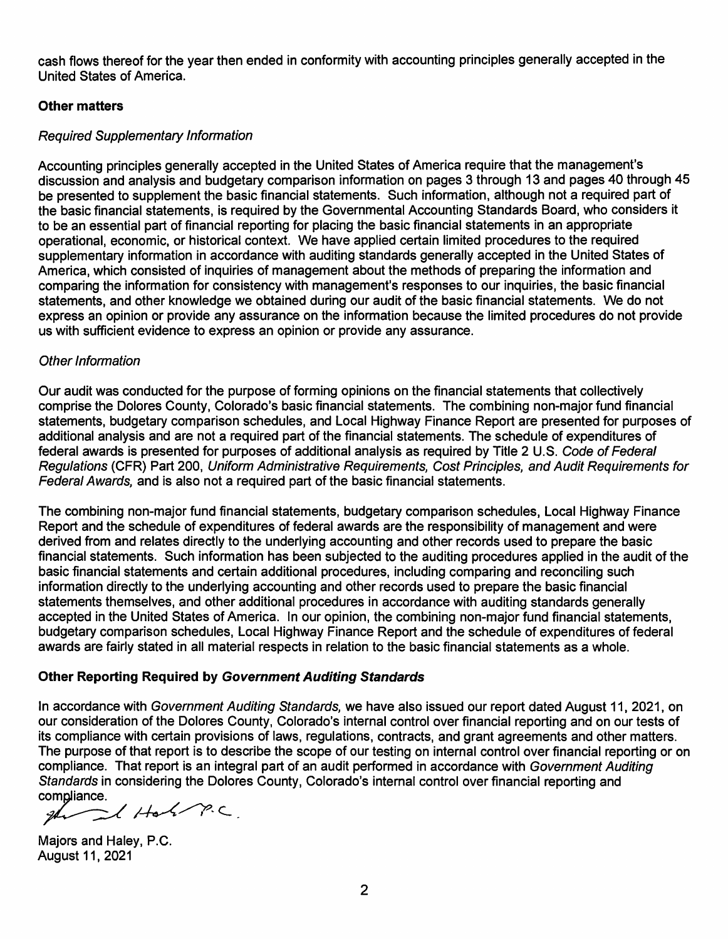cash flows thereof for the year then ended in conformity with accounting principles generally accepted in the United States of America.

#### **Other matters**

#### **Required Supplementary Information**

Accounting principles generally accepted in the United States of America require that the management's discussion and analysis and budgetary comparison information on pages 3 through 13 and pages 40 through 45 be presented to supplement the basic financial statements. Such information, although not a required part of the basic financial statements, is required by the Governmental Accounting Standards Board, who considers it to be an essential part of financial reporting for placing the basic financial statements in an appropriate operational, economic, or historical context. We have applied certain limited procedures to the required supplementary information in accordance with auditing standards generally accepted in the United States of America, which consisted of inquiries of management about the methods of preparing the information and comparing the information for consistency with management's responses to our inquiries, the basic financial statements, and other knowledge we obtained during our audit of the basic financial statements. We do not express an opinion or provide any assurance on the information because the limited procedures do not provide us with sufficient evidence to express an opinion or provide any assurance.

#### Other Information

Our audit was conducted for the purpose of forming opinions on the financial statements that collectively comprise the Dolores County, Colorado's basic financial statements. The combining non-major fund financial statements, budgetary comparison schedules, and Local Highway Finance Report are presented for purposes of additional analysis and are not a required part of the financial statements. The schedule of expenditures of federal awards is presented for purposes of additional analysis as required by Title 2 U.S. Code of Federal Regulations (CFR) Part 200, Uniform Administrative Requirements, Cost Principles, and Audit Requirements for Federal Awards, and is also not a required part of the basic financial statements.

The combining non-major fund financial statements, budgetary comparison schedules, Local Highway Finance Report and the schedule of expenditures of federal awards are the responsibility of management and were derived from and relates directly to the underlying accounting and other records used to prepare the basic financial statements. Such information has been subjected to the auditing procedures applied in the audit of the basic financial statements and certain additional procedures, including comparing and reconciling such information directly to the underlying accounting and other records used to prepare the basic financial statements themselves, and other additional procedures in accordance with auditing standards generally accepted in the United States of America. In our opinion, the combining non-major fund financial statements, budgetary comparison schedules, Local Highway Finance Report and the schedule of expenditures of federal awards are fairly stated in all material respects in relation to the basic financial statements as a whole.

#### **Other Reporting Required by Government Auditing Standards**

In accordance with Government Auditing Standards, we have also issued our report dated August 11, 2021, on our consideration of the Dolores County, Colorado's internal control over financial reporting and on our tests of its compliance with certain provisions of laws, regulations, contracts, and grant agreements and other matters. The purpose of that report is to describe the scope of our testing on internal control over financial reporting or on compliance. That report is an integral part of an audit performed in accordance with Government Auditing Standards in considering the Dolores County, Colorado's internal control over financial reporting and compliance.

the and Holmes.

Majors and Haley, P.C. August 11, 2021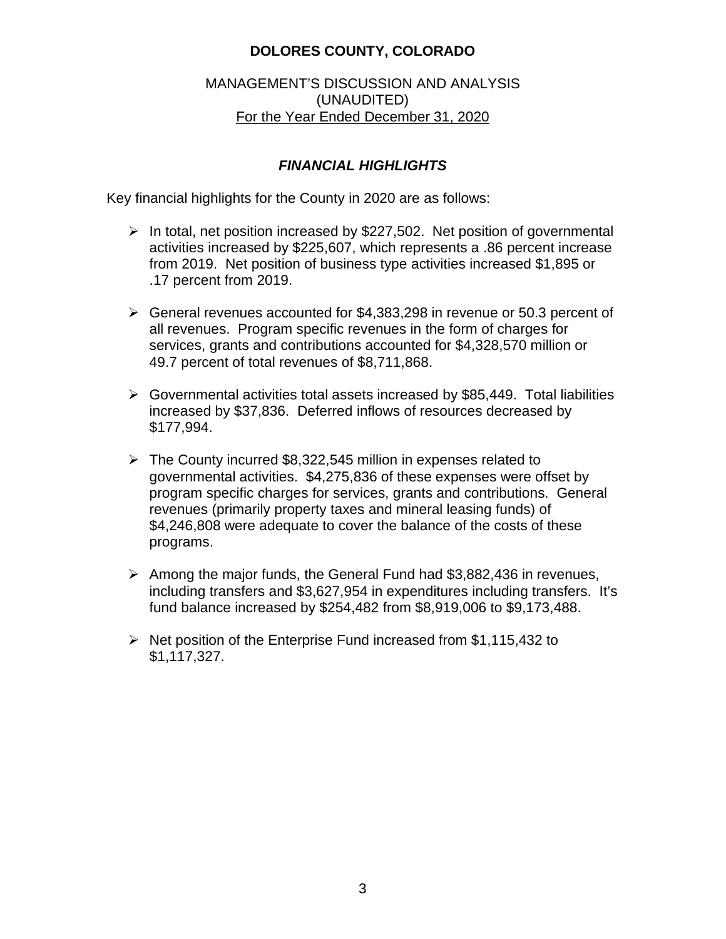### MANAGEMENT'S DISCUSSION AND ANALYSIS (UNAUDITED) For the Year Ended December 31, 2020

## *FINANCIAL HIGHLIGHTS*

Key financial highlights for the County in 2020 are as follows:

- $\triangleright$  In total, net position increased by \$227,502. Net position of governmental activities increased by \$225,607, which represents a .86 percent increase from 2019. Net position of business type activities increased \$1,895 or .17 percent from 2019.
- General revenues accounted for \$4,383,298 in revenue or 50.3 percent of all revenues. Program specific revenues in the form of charges for services, grants and contributions accounted for \$4,328,570 million or 49.7 percent of total revenues of \$8,711,868.
- $\triangleright$  Governmental activities total assets increased by \$85,449. Total liabilities increased by \$37,836. Deferred inflows of resources decreased by \$177,994.
- $\triangleright$  The County incurred \$8,322,545 million in expenses related to governmental activities. \$4,275,836 of these expenses were offset by program specific charges for services, grants and contributions. General revenues (primarily property taxes and mineral leasing funds) of \$4,246,808 were adequate to cover the balance of the costs of these programs.
- $\triangleright$  Among the major funds, the General Fund had \$3,882,436 in revenues, including transfers and \$3,627,954 in expenditures including transfers. It's fund balance increased by \$254,482 from \$8,919,006 to \$9,173,488.
- $\triangleright$  Net position of the Enterprise Fund increased from \$1,115,432 to \$1,117,327.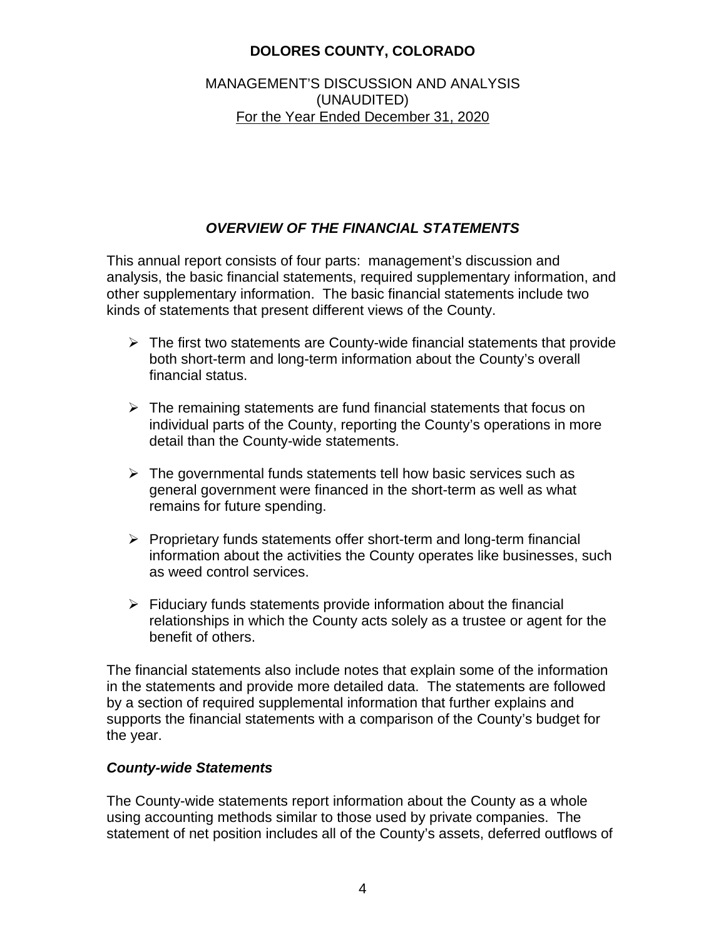### MANAGEMENT'S DISCUSSION AND ANALYSIS (UNAUDITED) For the Year Ended December 31, 2020

## *OVERVIEW OF THE FINANCIAL STATEMENTS*

This annual report consists of four parts: management's discussion and analysis, the basic financial statements, required supplementary information, and other supplementary information. The basic financial statements include two kinds of statements that present different views of the County.

- $\triangleright$  The first two statements are County-wide financial statements that provide both short-term and long-term information about the County's overall financial status.
- $\triangleright$  The remaining statements are fund financial statements that focus on individual parts of the County, reporting the County's operations in more detail than the County-wide statements.
- $\triangleright$  The governmental funds statements tell how basic services such as general government were financed in the short-term as well as what remains for future spending.
- $\triangleright$  Proprietary funds statements offer short-term and long-term financial information about the activities the County operates like businesses, such as weed control services.
- $\triangleright$  Fiduciary funds statements provide information about the financial relationships in which the County acts solely as a trustee or agent for the benefit of others.

The financial statements also include notes that explain some of the information in the statements and provide more detailed data. The statements are followed by a section of required supplemental information that further explains and supports the financial statements with a comparison of the County's budget for the year.

### *County-wide Statements*

The County-wide statements report information about the County as a whole using accounting methods similar to those used by private companies. The statement of net position includes all of the County's assets, deferred outflows of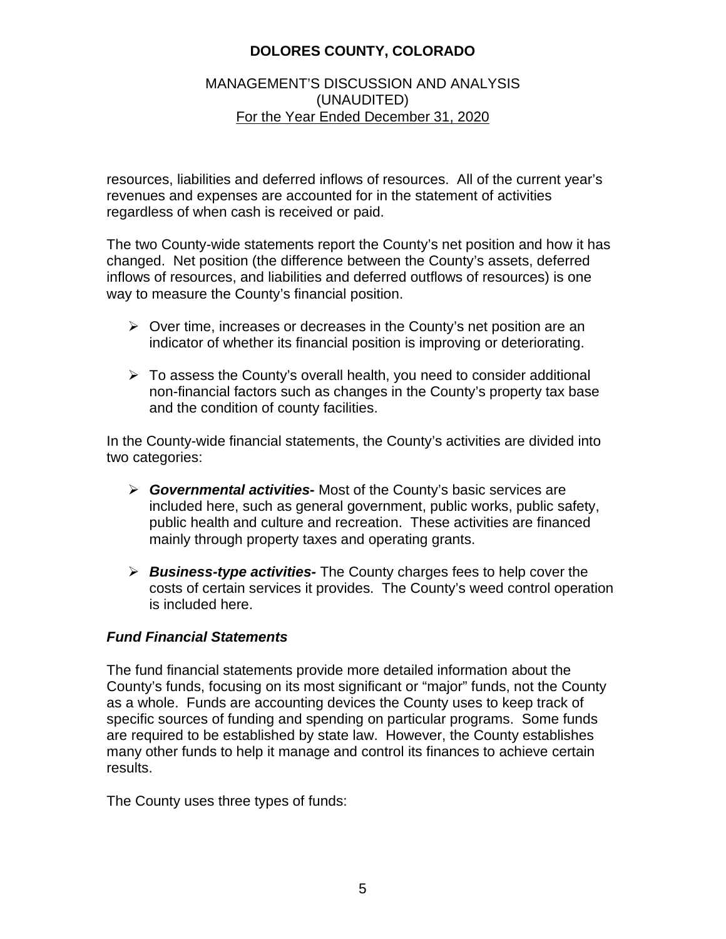### MANAGEMENT'S DISCUSSION AND ANALYSIS (UNAUDITED) For the Year Ended December 31, 2020

resources, liabilities and deferred inflows of resources. All of the current year's revenues and expenses are accounted for in the statement of activities regardless of when cash is received or paid.

The two County-wide statements report the County's net position and how it has changed. Net position (the difference between the County's assets, deferred inflows of resources, and liabilities and deferred outflows of resources) is one way to measure the County's financial position.

- $\triangleright$  Over time, increases or decreases in the County's net position are an indicator of whether its financial position is improving or deteriorating.
- $\triangleright$  To assess the County's overall health, you need to consider additional non-financial factors such as changes in the County's property tax base and the condition of county facilities.

In the County-wide financial statements, the County's activities are divided into two categories:

- *Governmental activities*Most of the County's basic services are included here, such as general government, public works, public safety, public health and culture and recreation. These activities are financed mainly through property taxes and operating grants.
- *Business-type activities-* The County charges fees to help cover the costs of certain services it provides. The County's weed control operation is included here.

### *Fund Financial Statements*

The fund financial statements provide more detailed information about the County's funds, focusing on its most significant or "major" funds, not the County as a whole. Funds are accounting devices the County uses to keep track of specific sources of funding and spending on particular programs. Some funds are required to be established by state law. However, the County establishes many other funds to help it manage and control its finances to achieve certain results.

The County uses three types of funds: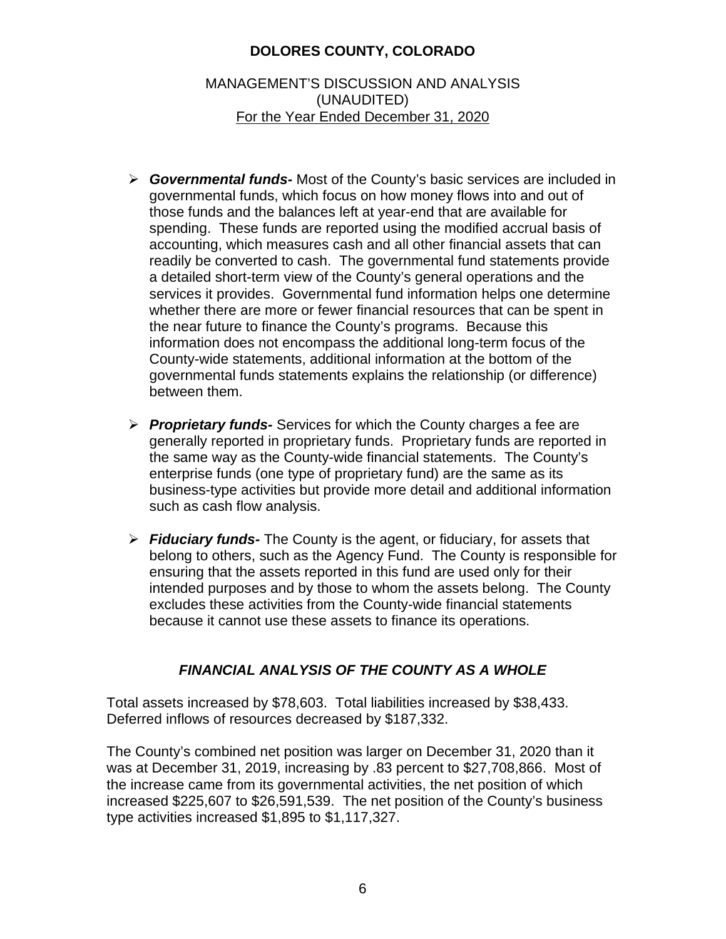### MANAGEMENT'S DISCUSSION AND ANALYSIS (UNAUDITED) For the Year Ended December 31, 2020

- *Governmental funds-* Most of the County's basic services are included in governmental funds, which focus on how money flows into and out of those funds and the balances left at year-end that are available for spending. These funds are reported using the modified accrual basis of accounting, which measures cash and all other financial assets that can readily be converted to cash. The governmental fund statements provide a detailed short-term view of the County's general operations and the services it provides. Governmental fund information helps one determine whether there are more or fewer financial resources that can be spent in the near future to finance the County's programs. Because this information does not encompass the additional long-term focus of the County-wide statements, additional information at the bottom of the governmental funds statements explains the relationship (or difference) between them.
- *Proprietary funds-* Services for which the County charges a fee are generally reported in proprietary funds. Proprietary funds are reported in the same way as the County-wide financial statements. The County's enterprise funds (one type of proprietary fund) are the same as its business-type activities but provide more detail and additional information such as cash flow analysis.
- *Fiduciary funds-* The County is the agent, or fiduciary, for assets that belong to others, such as the Agency Fund. The County is responsible for ensuring that the assets reported in this fund are used only for their intended purposes and by those to whom the assets belong. The County excludes these activities from the County-wide financial statements because it cannot use these assets to finance its operations.

## *FINANCIAL ANALYSIS OF THE COUNTY AS A WHOLE*

Total assets increased by \$78,603. Total liabilities increased by \$38,433. Deferred inflows of resources decreased by \$187,332.

The County's combined net position was larger on December 31, 2020 than it was at December 31, 2019, increasing by .83 percent to \$27,708,866. Most of the increase came from its governmental activities, the net position of which increased \$225,607 to \$26,591,539. The net position of the County's business type activities increased \$1,895 to \$1,117,327.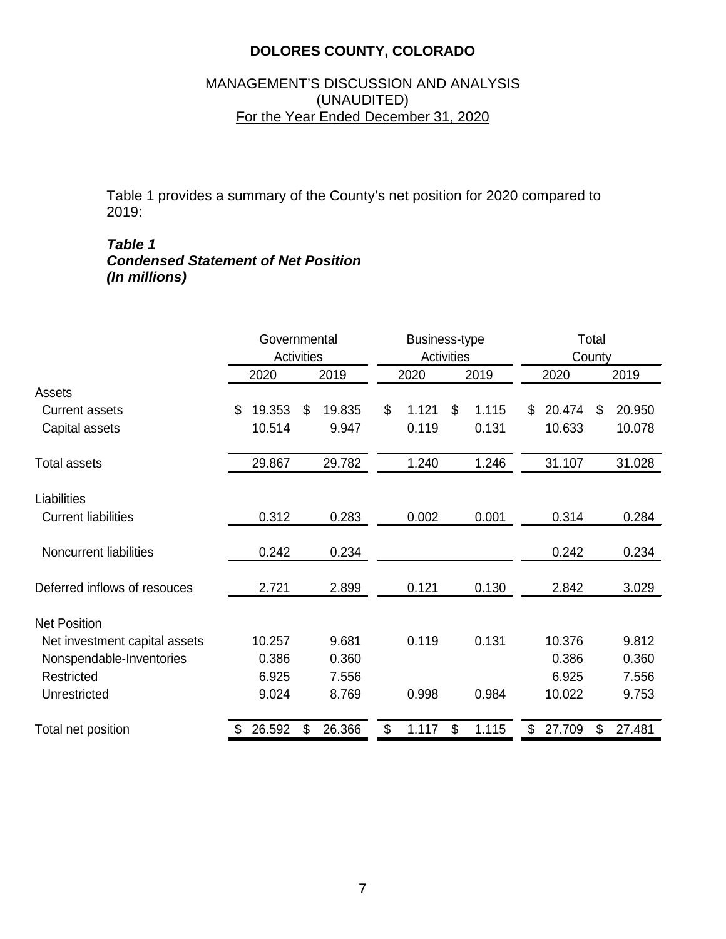## MANAGEMENT'S DISCUSSION AND ANALYSIS (UNAUDITED) For the Year Ended December 31, 2020

Table 1 provides a summary of the County's net position for 2020 compared to 2019:

## *Table 1 Condensed Statement of Net Position (In millions)*

|                               | Governmental |                   |        |    | Business-type     |    |       | Total |        |        |        |
|-------------------------------|--------------|-------------------|--------|----|-------------------|----|-------|-------|--------|--------|--------|
|                               |              | <b>Activities</b> |        |    | <b>Activities</b> |    |       |       |        | County |        |
|                               | 2020         |                   | 2019   |    | 2020              |    | 2019  |       | 2020   |        | 2019   |
| Assets                        |              |                   |        |    |                   |    |       |       |        |        |        |
| <b>Current assets</b>         | 19.353<br>\$ | \$                | 19.835 | \$ | 1.121             | \$ | 1.115 | \$    | 20.474 | \$     | 20.950 |
| Capital assets                | 10.514       |                   | 9.947  |    | 0.119             |    | 0.131 |       | 10.633 |        | 10.078 |
| <b>Total assets</b>           | 29.867       |                   | 29.782 |    | 1.240             |    | 1.246 |       | 31.107 |        | 31.028 |
| Liabilities                   |              |                   |        |    |                   |    |       |       |        |        |        |
| <b>Current liabilities</b>    | 0.312        |                   | 0.283  |    | 0.002             |    | 0.001 |       | 0.314  |        | 0.284  |
| Noncurrent liabilities        | 0.242        |                   | 0.234  |    |                   |    |       |       | 0.242  |        | 0.234  |
| Deferred inflows of resouces  | 2.721        |                   | 2.899  |    | 0.121             |    | 0.130 |       | 2.842  |        | 3.029  |
| <b>Net Position</b>           |              |                   |        |    |                   |    |       |       |        |        |        |
| Net investment capital assets | 10.257       |                   | 9.681  |    | 0.119             |    | 0.131 |       | 10.376 |        | 9.812  |
| Nonspendable-Inventories      | 0.386        |                   | 0.360  |    |                   |    |       |       | 0.386  |        | 0.360  |
| Restricted                    | 6.925        |                   | 7.556  |    |                   |    |       |       | 6.925  |        | 7.556  |
| Unrestricted                  | 9.024        |                   | 8.769  |    | 0.998             |    | 0.984 |       | 10.022 |        | 9.753  |
| Total net position            | 26.592<br>\$ | \$                | 26.366 | \$ | 1.117             | \$ | 1.115 | \$    | 27.709 | \$     | 27.481 |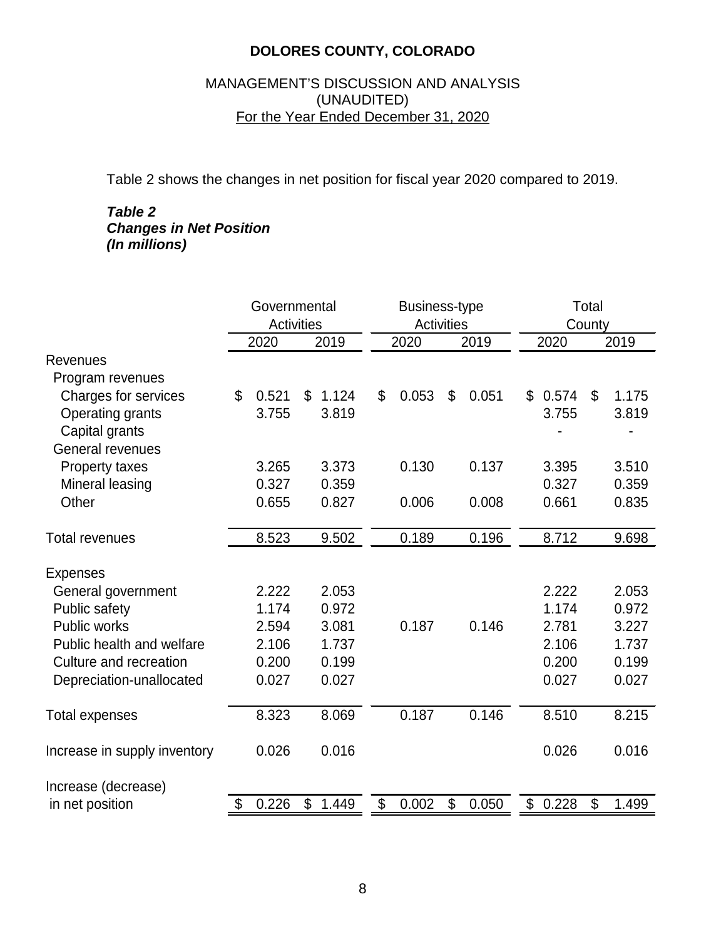## MANAGEMENT'S DISCUSSION AND ANALYSIS (UNAUDITED) For the Year Ended December 31, 2020

Table 2 shows the changes in net position for fiscal year 2020 compared to 2019.

## *Table 2 Changes in Net Position (In millions)*

|                              | Governmental | <b>Activities</b> |                | <b>Business-type</b><br><b>Activities</b> |             | Total<br>County         |    |       |
|------------------------------|--------------|-------------------|----------------|-------------------------------------------|-------------|-------------------------|----|-------|
|                              | 2020         | 2019              |                | 2020                                      | 2019        | 2020                    |    | 2019  |
| Revenues                     |              |                   |                |                                           |             |                         |    |       |
| Program revenues             |              |                   |                |                                           |             |                         |    |       |
| Charges for services         | \$<br>0.521  | 1.124<br>\$       | $\mathfrak{S}$ | 0.053                                     | \$<br>0.051 | 0.574<br>$\mathfrak{S}$ | \$ | 1.175 |
| <b>Operating grants</b>      | 3.755        | 3.819             |                |                                           |             | 3.755                   |    | 3.819 |
| Capital grants               |              |                   |                |                                           |             |                         |    |       |
| General revenues             |              |                   |                |                                           |             |                         |    |       |
| Property taxes               | 3.265        | 3.373             |                | 0.130                                     | 0.137       | 3.395                   |    | 3.510 |
| Mineral leasing              | 0.327        | 0.359             |                |                                           |             | 0.327                   |    | 0.359 |
| Other                        | 0.655        | 0.827             |                | 0.006                                     | 0.008       | 0.661                   |    | 0.835 |
|                              |              |                   |                |                                           |             |                         |    |       |
| <b>Total revenues</b>        | 8.523        | 9.502             |                | 0.189                                     | 0.196       | 8.712                   |    | 9.698 |
| <b>Expenses</b>              |              |                   |                |                                           |             |                         |    |       |
| General government           | 2.222        | 2.053             |                |                                           |             | 2.222                   |    | 2.053 |
| Public safety                | 1.174        | 0.972             |                |                                           |             | 1.174                   |    | 0.972 |
| Public works                 | 2.594        | 3.081             |                | 0.187                                     | 0.146       | 2.781                   |    | 3.227 |
| Public health and welfare    | 2.106        | 1.737             |                |                                           |             | 2.106                   |    | 1.737 |
| Culture and recreation       | 0.200        | 0.199             |                |                                           |             | 0.200                   |    | 0.199 |
| Depreciation-unallocated     | 0.027        | 0.027             |                |                                           |             | 0.027                   |    | 0.027 |
|                              |              |                   |                |                                           |             |                         |    |       |
| <b>Total expenses</b>        | 8.323        | 8.069             |                | 0.187                                     | 0.146       | 8.510                   |    | 8.215 |
| Increase in supply inventory | 0.026        | 0.016             |                |                                           |             | 0.026                   |    | 0.016 |
| Increase (decrease)          |              |                   |                |                                           |             |                         |    |       |
| in net position              | 0.226<br>\$  | \$<br>1.449       | \$             | 0.002                                     | \$<br>0.050 | \$<br>0.228             | \$ | 1.499 |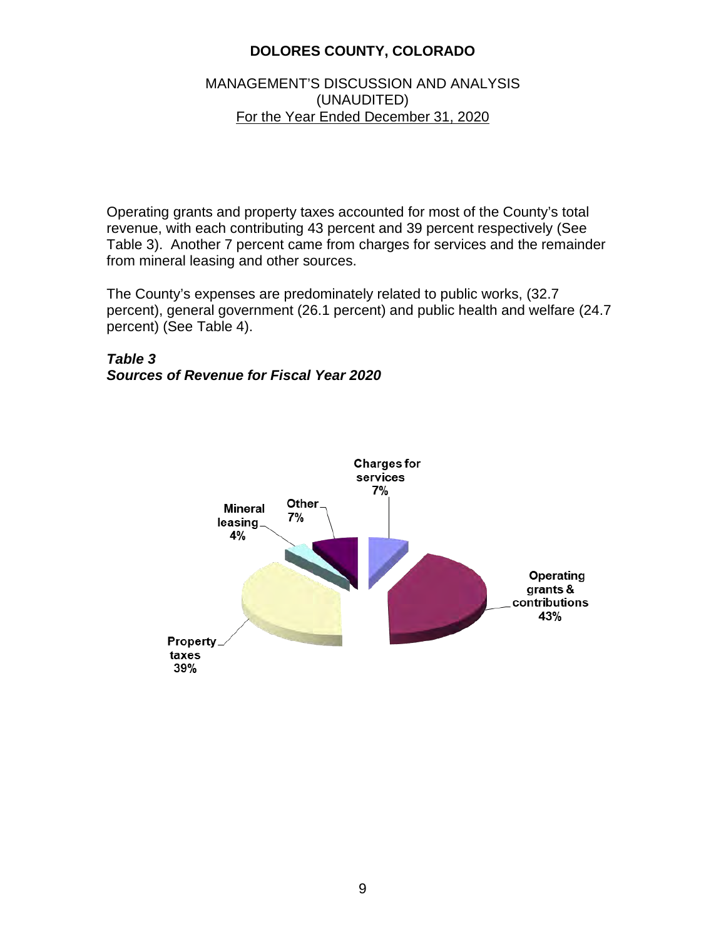### MANAGEMENT'S DISCUSSION AND ANALYSIS (UNAUDITED) For the Year Ended December 31, 2020

Operating grants and property taxes accounted for most of the County's total revenue, with each contributing 43 percent and 39 percent respectively (See Table 3). Another 7 percent came from charges for services and the remainder from mineral leasing and other sources.

The County's expenses are predominately related to public works, (32.7 percent), general government (26.1 percent) and public health and welfare (24.7 percent) (See Table 4).

## *Table 3 Sources of Revenue for Fiscal Year 2020*

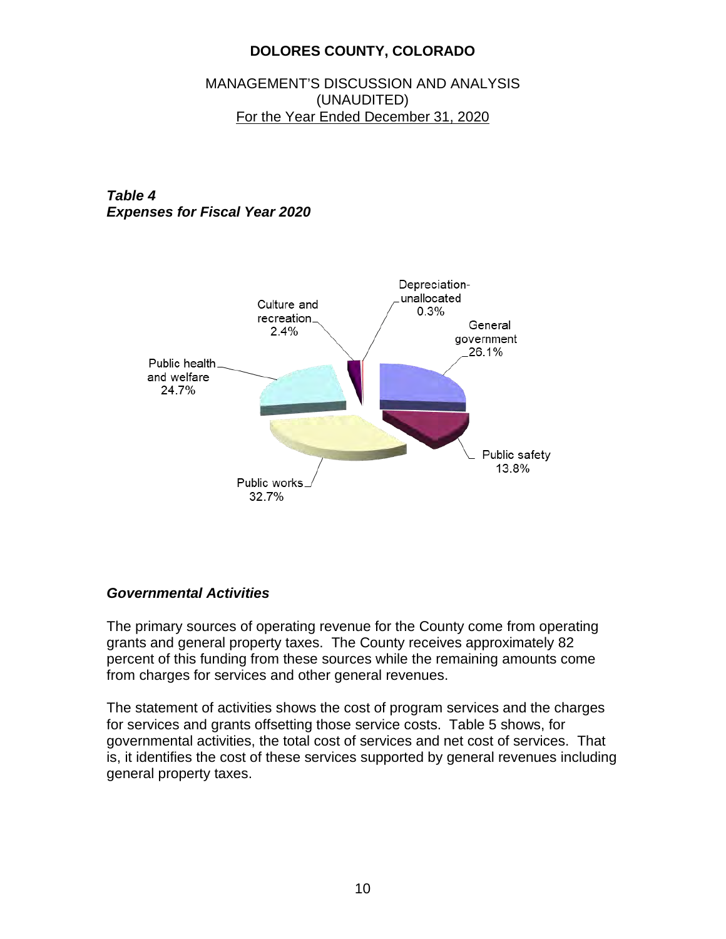## MANAGEMENT'S DISCUSSION AND ANALYSIS (UNAUDITED) For the Year Ended December 31, 2020

## *Table 4 Expenses for Fiscal Year 2020*



## *Governmental Activities*

The primary sources of operating revenue for the County come from operating grants and general property taxes. The County receives approximately 82 percent of this funding from these sources while the remaining amounts come from charges for services and other general revenues.

The statement of activities shows the cost of program services and the charges for services and grants offsetting those service costs. Table 5 shows, for governmental activities, the total cost of services and net cost of services. That is, it identifies the cost of these services supported by general revenues including general property taxes.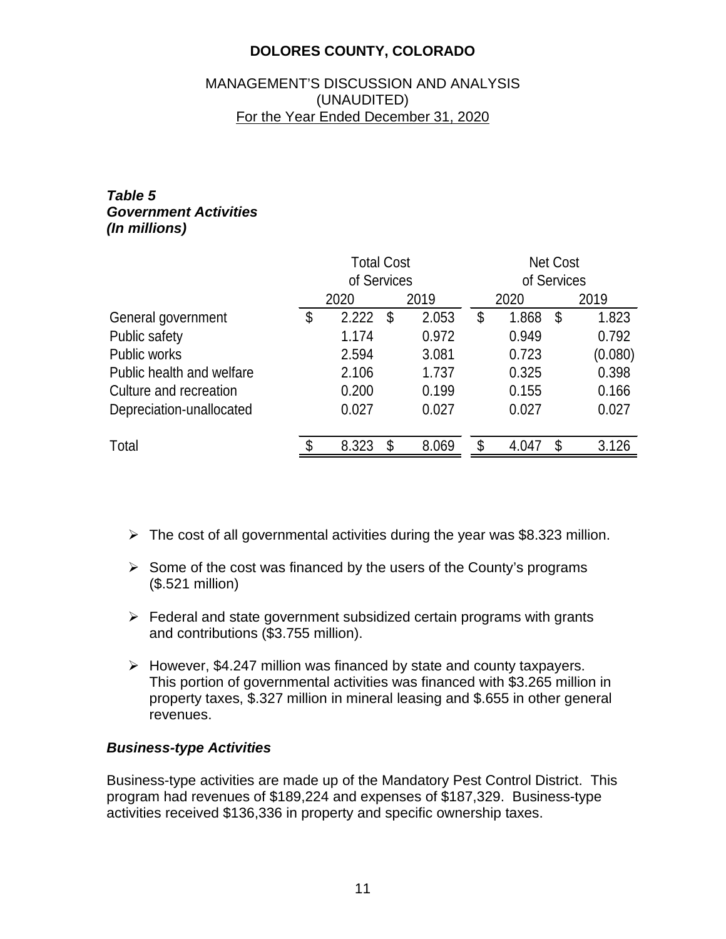## MANAGEMENT'S DISCUSSION AND ANALYSIS (UNAUDITED) For the Year Ended December 31, 2020

### *Table 5 Government Activities (In millions)*

|                           |    | <b>Total Cost</b> |             |             | <b>Net Cost</b> |    |         |  |  |  |
|---------------------------|----|-------------------|-------------|-------------|-----------------|----|---------|--|--|--|
|                           |    | of Services       |             | of Services |                 |    |         |  |  |  |
|                           |    | 2020              | 2019        |             | 2020            |    | 2019    |  |  |  |
| General government        | \$ | 2.222             | \$<br>2.053 | \$          | 1.868           | \$ | 1.823   |  |  |  |
| Public safety             |    | 1.174             | 0.972       |             | 0.949           |    | 0.792   |  |  |  |
| <b>Public works</b>       |    | 2.594             | 3.081       |             | 0.723           |    | (0.080) |  |  |  |
| Public health and welfare |    | 2.106             | 1.737       |             | 0.325           |    | 0.398   |  |  |  |
| Culture and recreation    |    | 0.200             | 0.199       |             | 0.155           |    | 0.166   |  |  |  |
| Depreciation-unallocated  |    | 0.027             | 0.027       |             | 0.027           |    | 0.027   |  |  |  |
|                           |    |                   |             |             |                 |    |         |  |  |  |
| Total                     | ß. | 8.323             | \$<br>8.069 | \$.         | 4.047           | S  | 3.126   |  |  |  |

- $\triangleright$  The cost of all governmental activities during the year was \$8.323 million.
- $\triangleright$  Some of the cost was financed by the users of the County's programs (\$.521 million)
- $\triangleright$  Federal and state government subsidized certain programs with grants and contributions (\$3.755 million).
- $\triangleright$  However, \$4.247 million was financed by state and county taxpayers. This portion of governmental activities was financed with \$3.265 million in property taxes, \$.327 million in mineral leasing and \$.655 in other general revenues.

### *Business-type Activities*

Business-type activities are made up of the Mandatory Pest Control District. This program had revenues of \$189,224 and expenses of \$187,329. Business-type activities received \$136,336 in property and specific ownership taxes.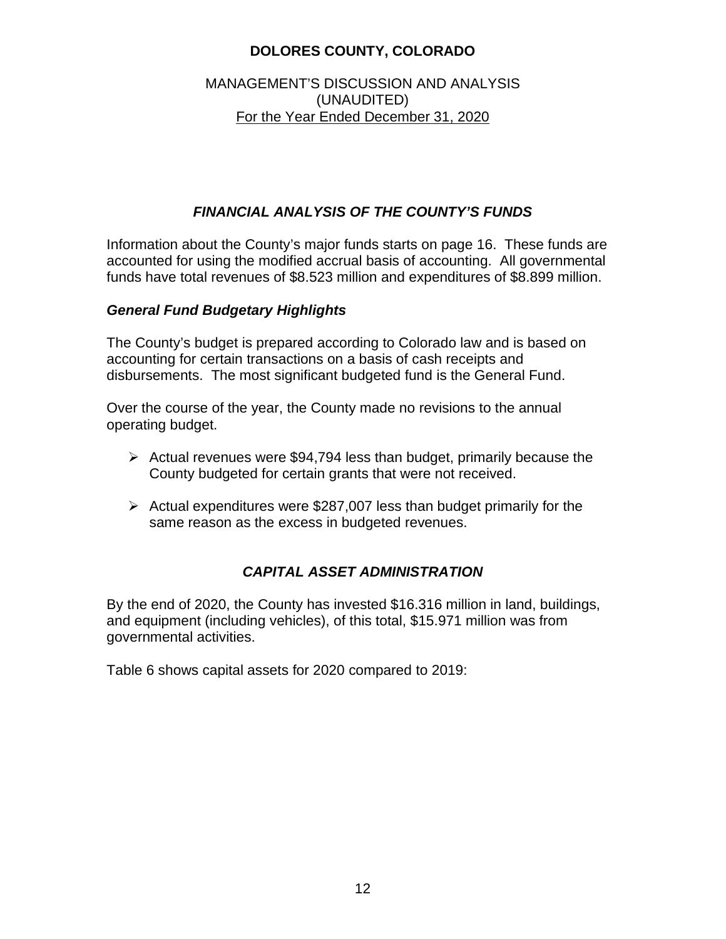### MANAGEMENT'S DISCUSSION AND ANALYSIS (UNAUDITED) For the Year Ended December 31, 2020

## *FINANCIAL ANALYSIS OF THE COUNTY'S FUNDS*

Information about the County's major funds starts on page 16. These funds are accounted for using the modified accrual basis of accounting. All governmental funds have total revenues of \$8.523 million and expenditures of \$8.899 million.

### *General Fund Budgetary Highlights*

The County's budget is prepared according to Colorado law and is based on accounting for certain transactions on a basis of cash receipts and disbursements. The most significant budgeted fund is the General Fund.

Over the course of the year, the County made no revisions to the annual operating budget.

- $\triangleright$  Actual revenues were \$94,794 less than budget, primarily because the County budgeted for certain grants that were not received.
- $\triangleright$  Actual expenditures were \$287,007 less than budget primarily for the same reason as the excess in budgeted revenues.

## *CAPITAL ASSET ADMINISTRATION*

By the end of 2020, the County has invested \$16.316 million in land, buildings, and equipment (including vehicles), of this total, \$15.971 million was from governmental activities.

Table 6 shows capital assets for 2020 compared to 2019: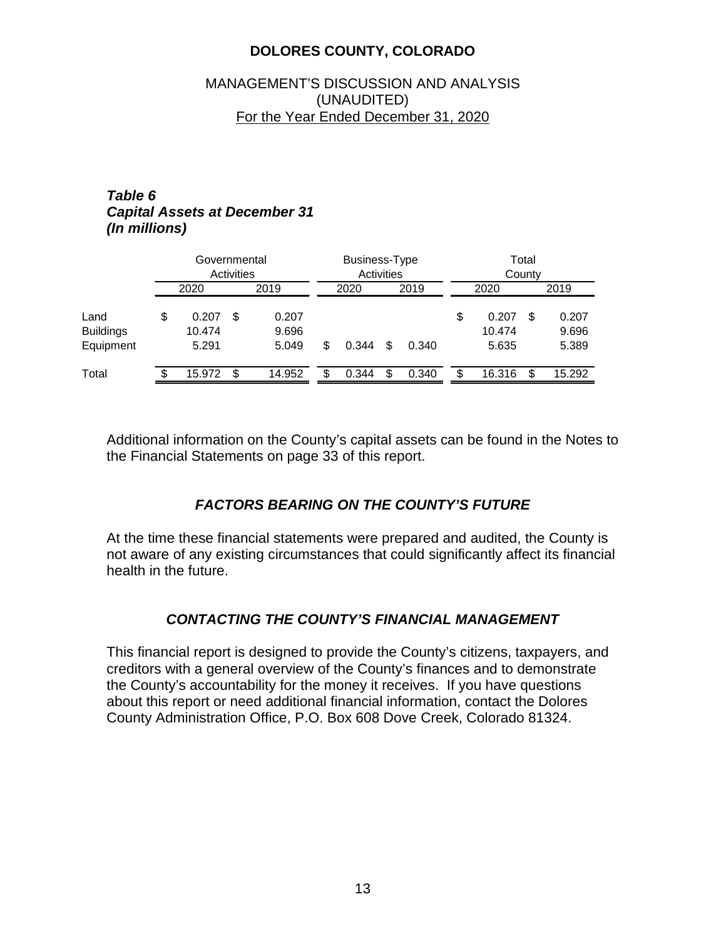## MANAGEMENT'S DISCUSSION AND ANALYSIS (UNAUDITED) For the Year Ended December 31, 2020

### *Table 6 Capital Assets at December 31 (In millions)*

|                                       |     | Governmental             | Activities |                         |   | Business-Type<br>Activities |     |       |    |                          | Total | County                  |  |
|---------------------------------------|-----|--------------------------|------------|-------------------------|---|-----------------------------|-----|-------|----|--------------------------|-------|-------------------------|--|
|                                       |     | 2020                     |            | 2019                    |   | 2020                        |     | 2019  |    | 2020                     |       | 2019                    |  |
| Land<br><b>Buildings</b><br>Equipment | \$  | 0.207<br>10.474<br>5.291 | \$         | 0.207<br>9.696<br>5.049 | S | 0.344                       | \$. | 0.340 | \$ | 0.207<br>10.474<br>5.635 | S     | 0.207<br>9.696<br>5.389 |  |
| Total                                 | \$. | 15.972                   | S          | 14.952                  | S | 0.344                       | S   | 0.340 | S  | 16.316                   | S     | 15.292                  |  |

Additional information on the County's capital assets can be found in the Notes to the Financial Statements on page 33 of this report.

## *FACTORS BEARING ON THE COUNTY'S FUTURE*

At the time these financial statements were prepared and audited, the County is not aware of any existing circumstances that could significantly affect its financial health in the future.

## *CONTACTING THE COUNTY'S FINANCIAL MANAGEMENT*

This financial report is designed to provide the County's citizens, taxpayers, and creditors with a general overview of the County's finances and to demonstrate the County's accountability for the money it receives. If you have questions about this report or need additional financial information, contact the Dolores County Administration Office, P.O. Box 608 Dove Creek, Colorado 81324.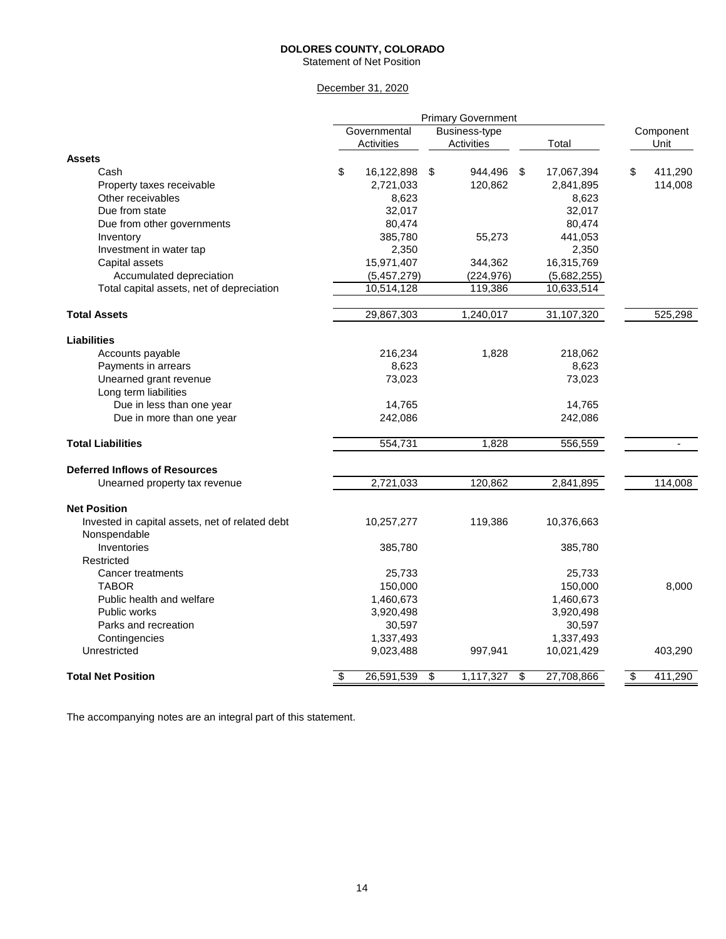Statement of Net Position

#### December 31, 2020

|                                                 |                   |            | <b>Primary Government</b> |                   |               |  |
|-------------------------------------------------|-------------------|------------|---------------------------|-------------------|---------------|--|
|                                                 | Governmental      |            | Business-type             |                   | Component     |  |
|                                                 | Activities        | Activities |                           | Total             | Unit          |  |
| <b>Assets</b>                                   |                   |            |                           |                   |               |  |
| Cash                                            | \$<br>16,122,898  | \$         | 944,496                   | \$<br>17,067,394  | \$<br>411,290 |  |
| Property taxes receivable                       | 2,721,033         |            | 120,862                   | 2,841,895         | 114,008       |  |
| Other receivables                               | 8,623             |            |                           | 8,623             |               |  |
| Due from state                                  | 32,017            |            |                           | 32,017            |               |  |
| Due from other governments                      | 80,474            |            |                           | 80,474            |               |  |
| Inventory                                       | 385,780           |            | 55,273                    | 441,053           |               |  |
| Investment in water tap                         | 2,350             |            |                           | 2,350             |               |  |
| Capital assets                                  | 15,971,407        |            | 344,362                   | 16,315,769        |               |  |
| Accumulated depreciation                        | (5,457,279)       |            | (224, 976)                | (5,682,255)       |               |  |
| Total capital assets, net of depreciation       | 10,514,128        |            | 119,386                   | 10,633,514        |               |  |
| <b>Total Assets</b>                             | 29,867,303        |            | 1,240,017                 | 31,107,320        | 525,298       |  |
|                                                 |                   |            |                           |                   |               |  |
| <b>Liabilities</b>                              |                   |            |                           |                   |               |  |
| Accounts payable                                | 216,234           |            | 1,828                     | 218,062           |               |  |
| Payments in arrears                             | 8,623             |            |                           | 8,623             |               |  |
| Unearned grant revenue                          | 73,023            |            |                           | 73,023            |               |  |
| Long term liabilities                           |                   |            |                           |                   |               |  |
| Due in less than one year                       | 14,765<br>242,086 |            |                           | 14,765<br>242,086 |               |  |
| Due in more than one year                       |                   |            |                           |                   |               |  |
| <b>Total Liabilities</b>                        | 554,731           |            | 1,828                     | 556,559           |               |  |
| <b>Deferred Inflows of Resources</b>            |                   |            |                           |                   |               |  |
| Unearned property tax revenue                   | 2,721,033         |            | 120,862                   | 2,841,895         | 114,008       |  |
| <b>Net Position</b>                             |                   |            |                           |                   |               |  |
| Invested in capital assets, net of related debt | 10,257,277        |            | 119,386                   | 10,376,663        |               |  |
| Nonspendable                                    |                   |            |                           |                   |               |  |
| Inventories                                     | 385,780           |            |                           | 385,780           |               |  |
| Restricted                                      |                   |            |                           |                   |               |  |
| Cancer treatments                               | 25,733            |            |                           | 25,733            |               |  |
| <b>TABOR</b>                                    | 150,000           |            |                           | 150,000           | 8,000         |  |
| Public health and welfare                       | 1,460,673         |            |                           | 1,460,673         |               |  |
| <b>Public works</b>                             | 3,920,498         |            |                           | 3,920,498         |               |  |
| Parks and recreation                            | 30,597            |            |                           | 30,597            |               |  |
| Contingencies                                   | 1,337,493         |            |                           | 1,337,493         |               |  |
| Unrestricted                                    | 9,023,488         |            | 997,941                   | 10,021,429        | 403,290       |  |
| <b>Total Net Position</b>                       | \$<br>26,591,539  | \$         | 1,117,327                 | \$<br>27,708,866  | \$<br>411,290 |  |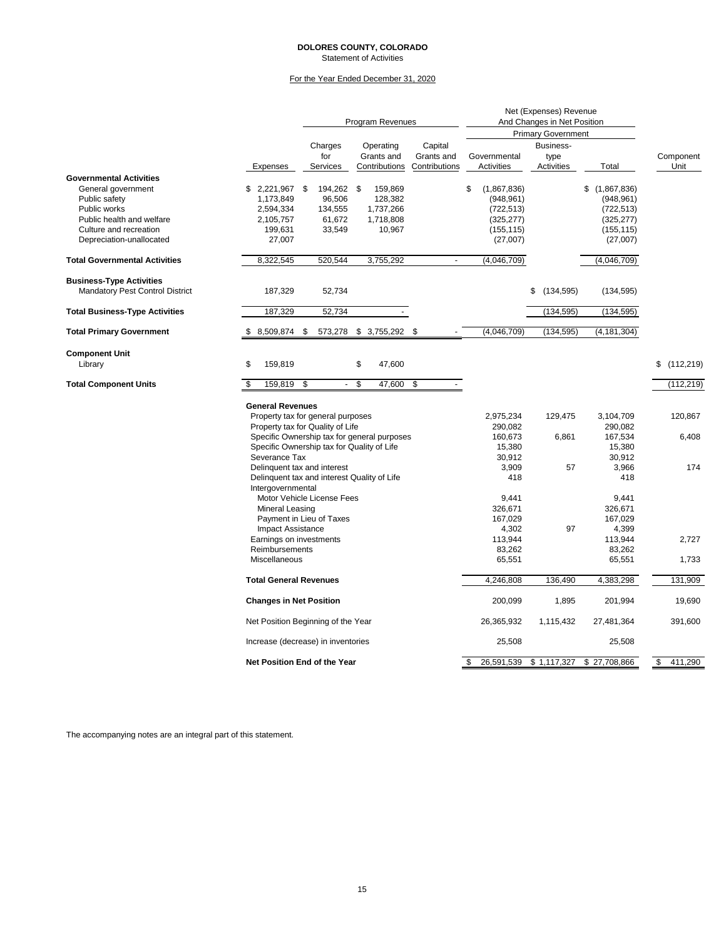Statement of Activities

#### For the Year Ended December 31, 2020

|                                       |                                |                                             |                                   |                             |                             |                            | Net (Expenses) Revenue      |               |                   |
|---------------------------------------|--------------------------------|---------------------------------------------|-----------------------------------|-----------------------------|-----------------------------|----------------------------|-----------------------------|---------------|-------------------|
|                                       |                                |                                             |                                   | Program Revenues            |                             |                            | And Changes in Net Position |               |                   |
|                                       |                                |                                             |                                   |                             |                             |                            | <b>Primary Government</b>   |               |                   |
|                                       |                                | Charges                                     |                                   | Operating                   | Capital                     |                            | Business-                   |               |                   |
|                                       | Expenses                       | for<br>Services                             |                                   | Grants and<br>Contributions | Grants and<br>Contributions | Governmental<br>Activities | type<br>Activities          | Total         | Component<br>Unit |
| <b>Governmental Activities</b>        |                                |                                             |                                   |                             |                             |                            |                             |               |                   |
| General government                    | 2,221,967 \$<br>\$             | 194,262                                     | -\$                               | 159,869                     |                             | \$<br>(1,867,836)          |                             | \$(1,867,836) |                   |
| Public safety                         | 1,173,849                      | 96,506                                      |                                   | 128,382                     |                             | (948, 961)                 |                             | (948, 961)    |                   |
| Public works                          | 2,594,334                      | 134,555                                     |                                   | 1,737,266                   |                             | (722, 513)                 |                             | (722, 513)    |                   |
| Public health and welfare             | 2,105,757                      | 61,672                                      |                                   | 1,718,808                   |                             | (325, 277)                 |                             | (325, 277)    |                   |
| Culture and recreation                | 199,631                        | 33,549                                      |                                   | 10,967                      |                             | (155, 115)                 |                             | (155, 115)    |                   |
| Depreciation-unallocated              | 27,007                         |                                             |                                   |                             |                             | (27,007)                   |                             | (27,007)      |                   |
| <b>Total Governmental Activities</b>  | 8,322,545                      | 520,544                                     |                                   | 3,755,292                   | $\overline{a}$              | (4,046,709)                |                             | (4,046,709)   |                   |
| <b>Business-Type Activities</b>       |                                |                                             |                                   |                             |                             |                            |                             |               |                   |
| Mandatory Pest Control District       | 187,329                        | 52,734                                      |                                   |                             |                             |                            | \$<br>(134, 595)            | (134, 595)    |                   |
|                                       |                                |                                             |                                   |                             |                             |                            |                             |               |                   |
| <b>Total Business-Type Activities</b> | 187,329                        | 52,734                                      |                                   | $\blacksquare$              |                             |                            | (134, 595)                  | (134, 595)    |                   |
| <b>Total Primary Government</b>       | 8,509,874<br>\$                | \$                                          |                                   | 573,278 \$ 3,755,292 \$     |                             | (4,046,709)                | (134, 595)                  | (4, 181, 304) |                   |
| <b>Component Unit</b>                 |                                |                                             |                                   |                             |                             |                            |                             |               |                   |
| Library                               | \$<br>159,819                  |                                             | \$                                | 47,600                      |                             |                            |                             |               | \$(112,219)       |
| <b>Total Component Units</b>          | 159,819<br>\$                  | \$                                          | $\overline{\mathbf{s}}$<br>$\sim$ | 47,600                      | \$<br>$\omega$              |                            |                             |               | (112, 219)        |
|                                       | <b>General Revenues</b>        |                                             |                                   |                             |                             |                            |                             |               |                   |
|                                       |                                | Property tax for general purposes           |                                   |                             |                             | 2,975,234                  | 129,475                     | 3,104,709     | 120,867           |
|                                       |                                | Property tax for Quality of Life            |                                   |                             |                             | 290,082                    |                             | 290,082       |                   |
|                                       |                                | Specific Ownership tax for general purposes |                                   |                             |                             | 160,673                    | 6,861                       | 167,534       | 6,408             |
|                                       |                                | Specific Ownership tax for Quality of Life  |                                   |                             |                             | 15,380                     |                             | 15,380        |                   |
|                                       | Severance Tax                  |                                             |                                   |                             |                             | 30,912                     |                             | 30,912        |                   |
|                                       |                                | Delinquent tax and interest                 |                                   |                             |                             | 3,909                      | 57                          | 3,966         | 174               |
|                                       |                                | Delinquent tax and interest Quality of Life |                                   |                             |                             | 418                        |                             | 418           |                   |
|                                       | Intergovernmental              |                                             |                                   |                             |                             |                            |                             |               |                   |
|                                       |                                | Motor Vehicle License Fees                  |                                   |                             |                             | 9,441                      |                             | 9,441         |                   |
|                                       | Mineral Leasing                |                                             |                                   |                             |                             | 326,671                    |                             | 326,671       |                   |
|                                       |                                | Payment in Lieu of Taxes                    |                                   |                             |                             | 167,029                    |                             | 167,029       |                   |
|                                       | <b>Impact Assistance</b>       |                                             |                                   |                             |                             | 4,302                      | 97                          | 4,399         |                   |
|                                       |                                | Earnings on investments                     |                                   |                             |                             | 113,944                    |                             | 113,944       | 2,727             |
|                                       | Reimbursements                 |                                             |                                   |                             |                             | 83,262                     |                             | 83,262        |                   |
|                                       | Miscellaneous                  |                                             |                                   |                             |                             | 65,551                     |                             | 65,551        | 1,733             |
|                                       | <b>Total General Revenues</b>  |                                             |                                   |                             |                             | 4,246,808                  | 136,490                     | 4,383,298     | 131,909           |
|                                       | <b>Changes in Net Position</b> |                                             |                                   |                             |                             | 200,099                    | 1,895                       | 201,994       | 19,690            |
|                                       |                                | Net Position Beginning of the Year          |                                   |                             |                             | 26,365,932                 | 1,115,432                   | 27,481,364    | 391,600           |
|                                       |                                | Increase (decrease) in inventories          |                                   |                             |                             | 25,508                     |                             | 25,508        |                   |
|                                       |                                | Net Position End of the Year                |                                   |                             |                             | 26,591,539<br>\$           | \$1,117,327                 | \$27,708,866  | 411,290<br>\$     |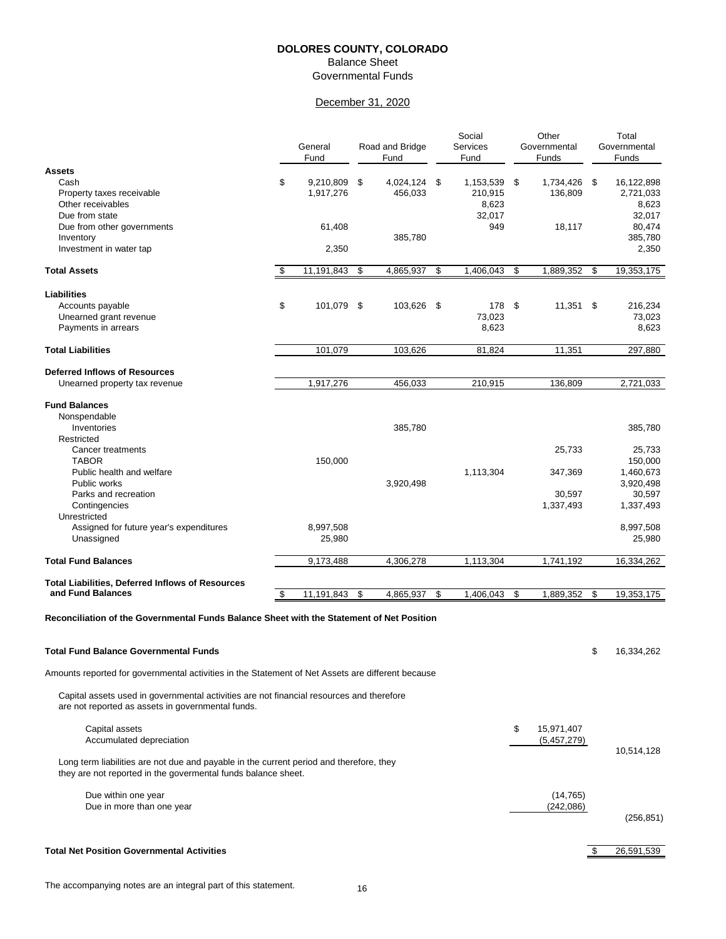Balance Sheet

Governmental Funds

#### December 31, 2020

|                                                                                                                                                                                                                                                                                                                                                                                                                                                                                  | General<br>Fund                                                 | Road and Bridge<br>Fund                              | Social<br>Services<br>Fund                    | Other<br>Governmental<br>Funds                                           | Total<br>Governmental<br>Funds                                                                                                         |
|----------------------------------------------------------------------------------------------------------------------------------------------------------------------------------------------------------------------------------------------------------------------------------------------------------------------------------------------------------------------------------------------------------------------------------------------------------------------------------|-----------------------------------------------------------------|------------------------------------------------------|-----------------------------------------------|--------------------------------------------------------------------------|----------------------------------------------------------------------------------------------------------------------------------------|
| <b>Assets</b><br>Cash<br>Property taxes receivable<br>Other receivables<br>Due from state                                                                                                                                                                                                                                                                                                                                                                                        | \$<br>9,210,809<br>1,917,276                                    | \$<br>4,024,124<br>456,033                           | \$<br>1,153,539<br>210,915<br>8,623<br>32,017 | \$<br>1,734,426 \$<br>136,809                                            | 16,122,898<br>2,721,033<br>8,623<br>32,017                                                                                             |
| Due from other governments<br>Inventory<br>Investment in water tap                                                                                                                                                                                                                                                                                                                                                                                                               | 61,408<br>2,350                                                 | 385,780                                              | 949                                           | 18,117                                                                   | 80,474<br>385,780<br>2,350                                                                                                             |
| <b>Total Assets</b>                                                                                                                                                                                                                                                                                                                                                                                                                                                              | \$<br>11,191,843                                                | \$<br>4,865,937                                      | \$<br>1,406,043                               | \$<br>1,889,352                                                          | \$<br>19,353,175                                                                                                                       |
| Liabilities<br>Accounts payable<br>Unearned grant revenue<br>Payments in arrears                                                                                                                                                                                                                                                                                                                                                                                                 | \$<br>101,079                                                   | \$<br>103,626                                        | \$<br>178<br>73,023<br>8,623                  | \$<br>$11,351$ \$                                                        | 216,234<br>73,023<br>8,623                                                                                                             |
| <b>Total Liabilities</b>                                                                                                                                                                                                                                                                                                                                                                                                                                                         | 101,079                                                         | 103,626                                              | 81,824                                        | 11,351                                                                   | 297,880                                                                                                                                |
| <b>Deferred Inflows of Resources</b><br>Unearned property tax revenue                                                                                                                                                                                                                                                                                                                                                                                                            | 1,917,276                                                       | 456,033                                              | 210,915                                       | 136,809                                                                  | 2,721,033                                                                                                                              |
| <b>Fund Balances</b><br>Nonspendable<br>Inventories<br>Restricted<br>Cancer treatments<br><b>TABOR</b><br>Public health and welfare<br>Public works<br>Parks and recreation<br>Contingencies<br>Unrestricted<br>Assigned for future year's expenditures<br>Unassigned<br><b>Total Fund Balances</b><br><b>Total Liabilities, Deferred Inflows of Resources</b><br>and Fund Balances<br>Reconciliation of the Governmental Funds Balance Sheet with the Statement of Net Position | \$<br>150,000<br>8,997,508<br>25,980<br>9,173,488<br>11,191,843 | \$<br>385,780<br>3,920,498<br>4,306,278<br>4,865,937 | \$<br>1,113,304<br>1,113,304<br>1,406,043     | \$<br>25,733<br>347,369<br>30,597<br>1,337,493<br>1,741,192<br>1,889,352 | \$<br>385,780<br>25,733<br>150,000<br>1,460,673<br>3,920,498<br>30,597<br>1,337,493<br>8,997,508<br>25,980<br>16,334,262<br>19,353,175 |
| <b>Total Fund Balance Governmental Funds</b><br>Amounts reported for governmental activities in the Statement of Net Assets are different because<br>Capital assets used in governmental activities are not financial resources and therefore                                                                                                                                                                                                                                    |                                                                 |                                                      |                                               |                                                                          | \$<br>16,334,262                                                                                                                       |
| are not reported as assets in governmental funds.<br>Capital assets<br>Accumulated depreciation<br>Long term liabilities are not due and payable in the current period and therefore, they<br>they are not reported in the govermental funds balance sheet.                                                                                                                                                                                                                      |                                                                 |                                                      |                                               | \$<br>15,971,407<br>(5,457,279)                                          | 10,514,128                                                                                                                             |
| Due within one year<br>Due in more than one year                                                                                                                                                                                                                                                                                                                                                                                                                                 |                                                                 |                                                      |                                               | (14, 765)<br>(242, 086)                                                  | (256, 851)                                                                                                                             |
| <b>Total Net Position Governmental Activities</b>                                                                                                                                                                                                                                                                                                                                                                                                                                |                                                                 |                                                      |                                               |                                                                          | \$<br>26,591,539                                                                                                                       |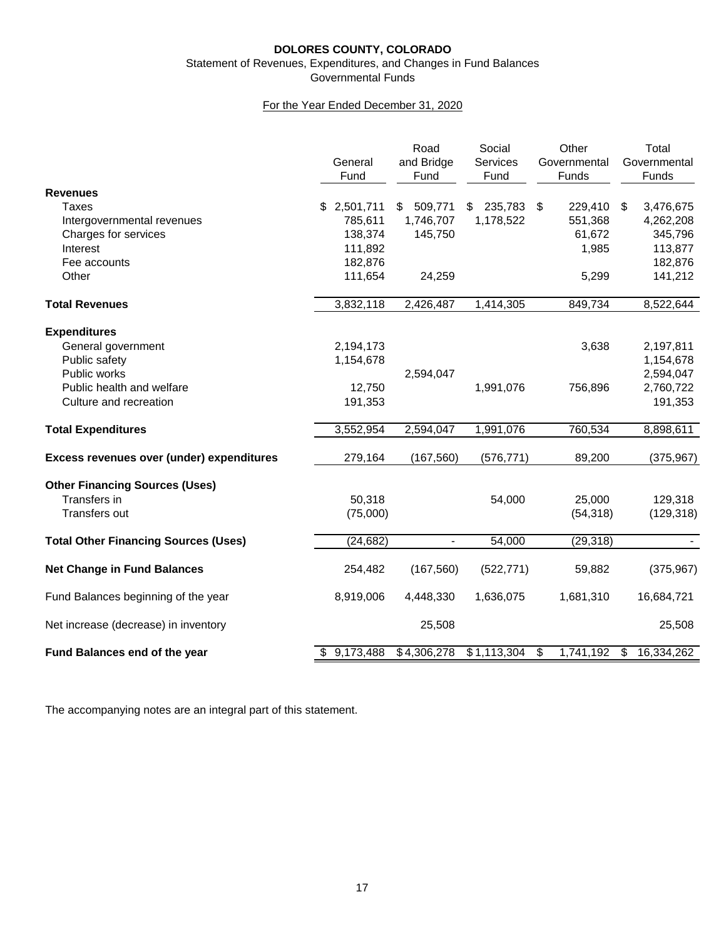#### Statement of Revenues, Expenditures, and Changes in Fund Balances Governmental Funds

#### For the Year Ended December 31, 2020

|                                             | General<br>Fund | Road<br>and Bridge<br>Fund | Social<br><b>Services</b><br>Fund | Other<br>Governmental<br>Funds | Total<br>Governmental<br>Funds |
|---------------------------------------------|-----------------|----------------------------|-----------------------------------|--------------------------------|--------------------------------|
| <b>Revenues</b>                             |                 |                            |                                   |                                |                                |
| Taxes                                       | 2,501,711<br>\$ | 509,771<br>\$              | 235,783<br>\$                     | \$<br>229,410                  | 3,476,675<br>\$                |
| Intergovernmental revenues                  | 785,611         | 1,746,707                  | 1,178,522                         | 551,368                        | 4,262,208                      |
| Charges for services                        | 138,374         | 145,750                    |                                   | 61,672                         | 345,796                        |
| Interest                                    | 111,892         |                            |                                   | 1,985                          | 113,877                        |
| Fee accounts                                | 182,876         |                            |                                   |                                | 182,876                        |
| Other                                       | 111,654         | 24,259                     |                                   | 5,299                          | 141,212                        |
| <b>Total Revenues</b>                       | 3,832,118       | 2,426,487                  | 1,414,305                         | 849,734                        | 8,522,644                      |
| <b>Expenditures</b>                         |                 |                            |                                   |                                |                                |
| General government                          | 2,194,173       |                            |                                   | 3,638                          | 2,197,811                      |
| Public safety                               | 1,154,678       |                            |                                   |                                | 1,154,678                      |
| Public works                                |                 | 2,594,047                  |                                   |                                | 2,594,047                      |
| Public health and welfare                   | 12,750          |                            | 1,991,076                         | 756,896                        | 2,760,722                      |
| Culture and recreation                      | 191,353         |                            |                                   |                                | 191,353                        |
| <b>Total Expenditures</b>                   | 3,552,954       | 2,594,047                  | 1,991,076                         | 760,534                        | 8,898,611                      |
| Excess revenues over (under) expenditures   | 279,164         | (167, 560)                 | (576, 771)                        | 89,200                         | (375, 967)                     |
| <b>Other Financing Sources (Uses)</b>       |                 |                            |                                   |                                |                                |
| Transfers in                                | 50,318          |                            | 54,000                            | 25,000                         | 129,318                        |
| Transfers out                               | (75,000)        |                            |                                   | (54, 318)                      | (129, 318)                     |
| <b>Total Other Financing Sources (Uses)</b> | (24, 682)       | $\blacksquare$             | 54,000                            | (29, 318)                      |                                |
| <b>Net Change in Fund Balances</b>          | 254,482         | (167, 560)                 | (522, 771)                        | 59,882                         | (375, 967)                     |
| Fund Balances beginning of the year         | 8,919,006       | 4,448,330                  | 1,636,075                         | 1,681,310                      | 16,684,721                     |
| Net increase (decrease) in inventory        |                 | 25,508                     |                                   |                                | 25,508                         |
| Fund Balances end of the year               | \$9,173,488     | \$4,306,278                | \$1,113,304                       | \$<br>1,741,192                | 16,334,262<br>\$               |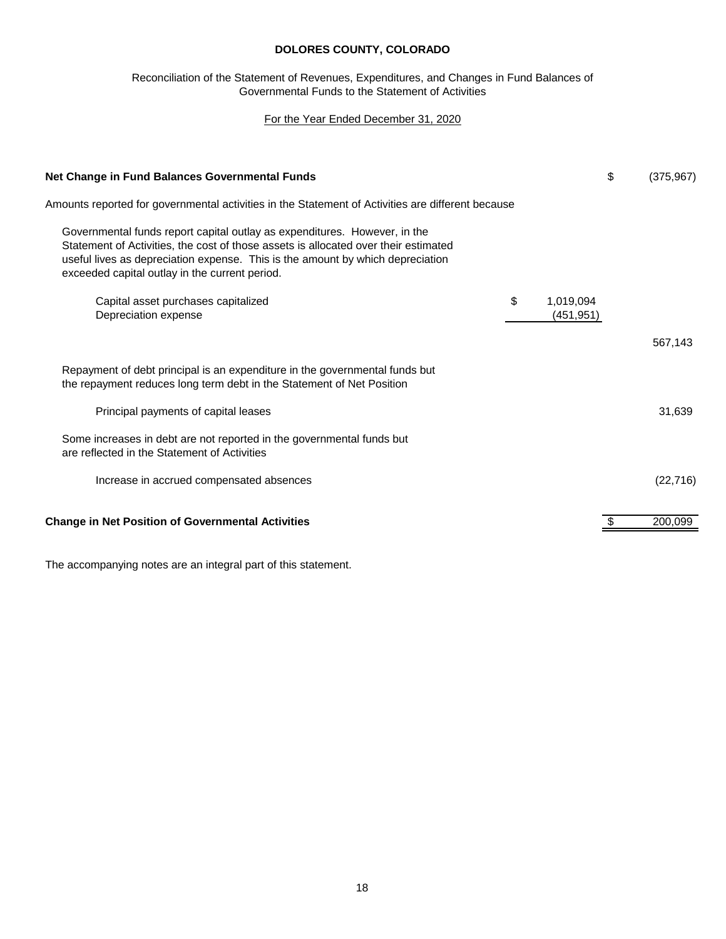#### Reconciliation of the Statement of Revenues, Expenditures, and Changes in Fund Balances of Governmental Funds to the Statement of Activities

#### For the Year Ended December 31, 2020

| Net Change in Fund Balances Governmental Funds                                                                                                                                                                                                                                                       |                               | \$<br>(375, 967) |
|------------------------------------------------------------------------------------------------------------------------------------------------------------------------------------------------------------------------------------------------------------------------------------------------------|-------------------------------|------------------|
| Amounts reported for governmental activities in the Statement of Activities are different because                                                                                                                                                                                                    |                               |                  |
| Governmental funds report capital outlay as expenditures. However, in the<br>Statement of Activities, the cost of those assets is allocated over their estimated<br>useful lives as depreciation expense. This is the amount by which depreciation<br>exceeded capital outlay in the current period. |                               |                  |
| Capital asset purchases capitalized<br>Depreciation expense                                                                                                                                                                                                                                          | \$<br>1,019,094<br>(451, 951) |                  |
|                                                                                                                                                                                                                                                                                                      |                               | 567,143          |
| Repayment of debt principal is an expenditure in the governmental funds but<br>the repayment reduces long term debt in the Statement of Net Position                                                                                                                                                 |                               |                  |
| Principal payments of capital leases                                                                                                                                                                                                                                                                 |                               | 31,639           |
| Some increases in debt are not reported in the governmental funds but<br>are reflected in the Statement of Activities                                                                                                                                                                                |                               |                  |
| Increase in accrued compensated absences                                                                                                                                                                                                                                                             |                               | (22, 716)        |
| <b>Change in Net Position of Governmental Activities</b>                                                                                                                                                                                                                                             |                               | 200,099          |
|                                                                                                                                                                                                                                                                                                      |                               |                  |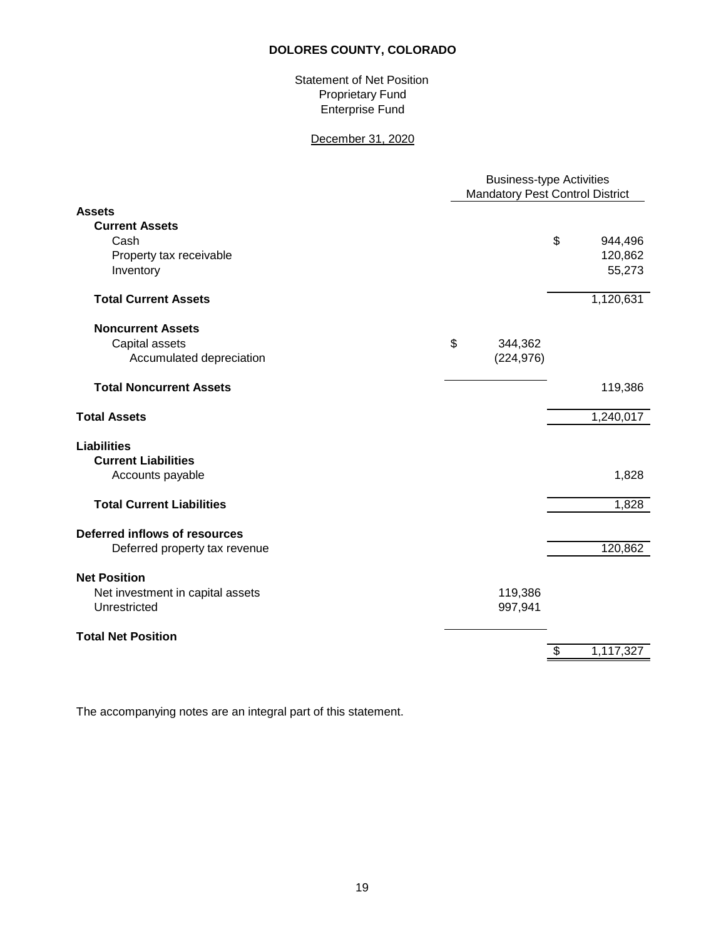Statement of Net Position Proprietary Fund Enterprise Fund

#### December 31, 2020

|                                  | <b>Business-type Activities</b> |            |                                        |           |  |  |
|----------------------------------|---------------------------------|------------|----------------------------------------|-----------|--|--|
|                                  |                                 |            | <b>Mandatory Pest Control District</b> |           |  |  |
| <b>Assets</b>                    |                                 |            |                                        |           |  |  |
| <b>Current Assets</b>            |                                 |            |                                        |           |  |  |
| Cash                             |                                 |            | \$                                     | 944,496   |  |  |
| Property tax receivable          |                                 |            |                                        | 120,862   |  |  |
| Inventory                        |                                 |            |                                        | 55,273    |  |  |
| <b>Total Current Assets</b>      |                                 |            |                                        | 1,120,631 |  |  |
| <b>Noncurrent Assets</b>         |                                 |            |                                        |           |  |  |
| Capital assets                   | \$                              | 344,362    |                                        |           |  |  |
| Accumulated depreciation         |                                 | (224, 976) |                                        |           |  |  |
| <b>Total Noncurrent Assets</b>   |                                 |            |                                        | 119,386   |  |  |
| <b>Total Assets</b>              |                                 |            |                                        | 1,240,017 |  |  |
| <b>Liabilities</b>               |                                 |            |                                        |           |  |  |
| <b>Current Liabilities</b>       |                                 |            |                                        |           |  |  |
| Accounts payable                 |                                 |            |                                        | 1,828     |  |  |
| <b>Total Current Liabilities</b> |                                 |            |                                        | 1,828     |  |  |
| Deferred inflows of resources    |                                 |            |                                        |           |  |  |
| Deferred property tax revenue    |                                 |            |                                        | 120,862   |  |  |
| <b>Net Position</b>              |                                 |            |                                        |           |  |  |
| Net investment in capital assets |                                 | 119,386    |                                        |           |  |  |
| Unrestricted                     |                                 | 997,941    |                                        |           |  |  |
| <b>Total Net Position</b>        |                                 |            |                                        |           |  |  |
|                                  |                                 |            | \$                                     | 1,117,327 |  |  |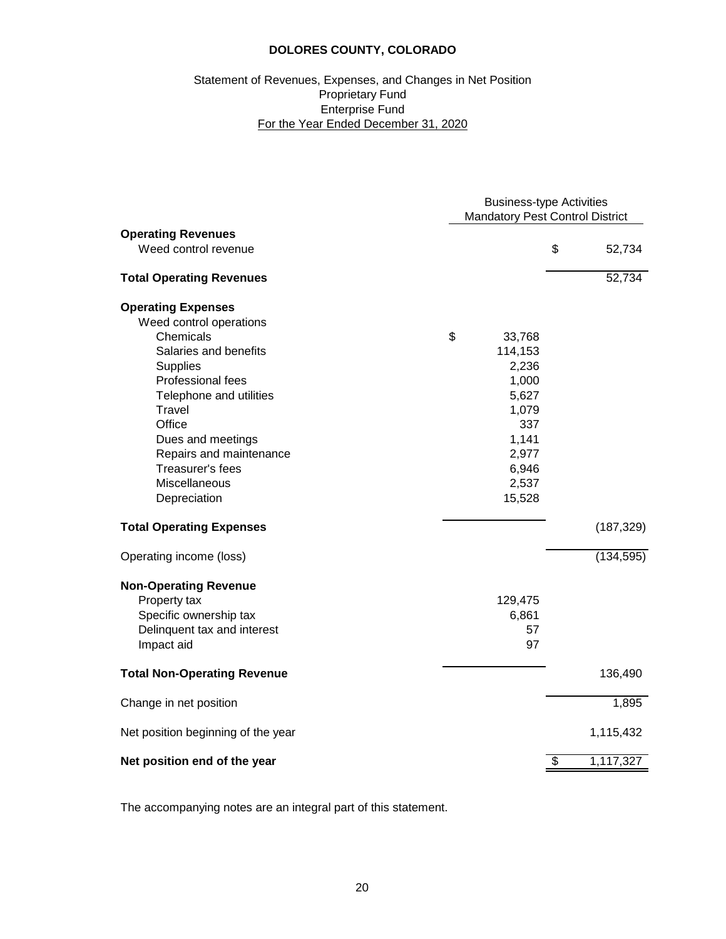#### Statement of Revenues, Expenses, and Changes in Net Position Proprietary Fund Enterprise Fund For the Year Ended December 31, 2020

|                                                                                                                                                                                                                                                                                 |                                                                                                                  | <b>Business-type Activities</b><br><b>Mandatory Pest Control District</b> |            |  |  |
|---------------------------------------------------------------------------------------------------------------------------------------------------------------------------------------------------------------------------------------------------------------------------------|------------------------------------------------------------------------------------------------------------------|---------------------------------------------------------------------------|------------|--|--|
| <b>Operating Revenues</b><br>Weed control revenue                                                                                                                                                                                                                               |                                                                                                                  | \$                                                                        | 52,734     |  |  |
| <b>Total Operating Revenues</b>                                                                                                                                                                                                                                                 |                                                                                                                  |                                                                           | 52,734     |  |  |
| <b>Operating Expenses</b><br>Weed control operations<br>Chemicals<br>Salaries and benefits<br>Supplies<br>Professional fees<br>Telephone and utilities<br>Travel<br>Office<br>Dues and meetings<br>Repairs and maintenance<br>Treasurer's fees<br>Miscellaneous<br>Depreciation | \$<br>33,768<br>114,153<br>2,236<br>1,000<br>5,627<br>1,079<br>337<br>1,141<br>2,977<br>6,946<br>2,537<br>15,528 |                                                                           |            |  |  |
| <b>Total Operating Expenses</b>                                                                                                                                                                                                                                                 |                                                                                                                  |                                                                           | (187, 329) |  |  |
| Operating income (loss)                                                                                                                                                                                                                                                         |                                                                                                                  |                                                                           | (134, 595) |  |  |
| <b>Non-Operating Revenue</b><br>Property tax<br>Specific ownership tax<br>Delinquent tax and interest<br>Impact aid                                                                                                                                                             | 129,475<br>6,861<br>57<br>97                                                                                     |                                                                           |            |  |  |
| <b>Total Non-Operating Revenue</b>                                                                                                                                                                                                                                              |                                                                                                                  |                                                                           | 136,490    |  |  |
| Change in net position                                                                                                                                                                                                                                                          |                                                                                                                  |                                                                           | 1,895      |  |  |
| Net position beginning of the year                                                                                                                                                                                                                                              |                                                                                                                  |                                                                           | 1,115,432  |  |  |
| Net position end of the year                                                                                                                                                                                                                                                    |                                                                                                                  | \$                                                                        | 1,117,327  |  |  |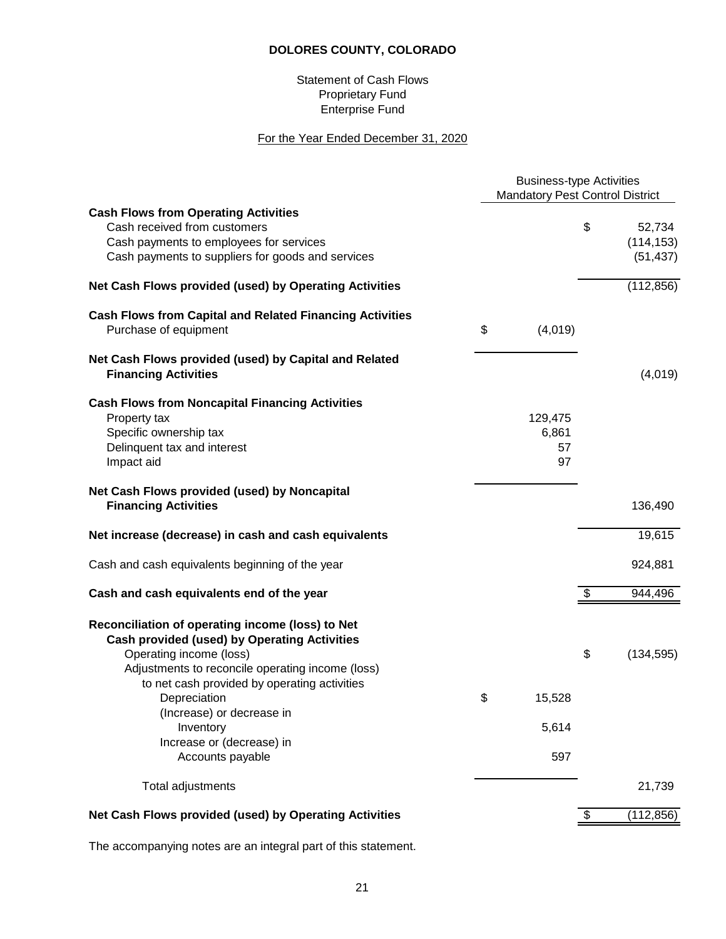#### Statement of Cash Flows Proprietary Fund Enterprise Fund

### For the Year Ended December 31, 2020

|                                                                                                                                                                                                                                                                                                                               |                              | <b>Business-type Activities</b><br><b>Mandatory Pest Control District</b> |                                   |  |  |
|-------------------------------------------------------------------------------------------------------------------------------------------------------------------------------------------------------------------------------------------------------------------------------------------------------------------------------|------------------------------|---------------------------------------------------------------------------|-----------------------------------|--|--|
| <b>Cash Flows from Operating Activities</b><br>Cash received from customers<br>Cash payments to employees for services<br>Cash payments to suppliers for goods and services                                                                                                                                                   |                              | \$                                                                        | 52,734<br>(114, 153)<br>(51, 437) |  |  |
| Net Cash Flows provided (used) by Operating Activities                                                                                                                                                                                                                                                                        |                              |                                                                           | (112, 856)                        |  |  |
| <b>Cash Flows from Capital and Related Financing Activities</b><br>Purchase of equipment                                                                                                                                                                                                                                      | \$<br>(4,019)                |                                                                           |                                   |  |  |
| Net Cash Flows provided (used) by Capital and Related<br><b>Financing Activities</b>                                                                                                                                                                                                                                          |                              |                                                                           | (4,019)                           |  |  |
| <b>Cash Flows from Noncapital Financing Activities</b><br>Property tax<br>Specific ownership tax<br>Delinquent tax and interest<br>Impact aid                                                                                                                                                                                 | 129,475<br>6,861<br>57<br>97 |                                                                           |                                   |  |  |
| Net Cash Flows provided (used) by Noncapital<br><b>Financing Activities</b>                                                                                                                                                                                                                                                   |                              |                                                                           | 136,490                           |  |  |
| Net increase (decrease) in cash and cash equivalents                                                                                                                                                                                                                                                                          |                              |                                                                           | 19,615                            |  |  |
| Cash and cash equivalents beginning of the year                                                                                                                                                                                                                                                                               |                              |                                                                           | 924,881                           |  |  |
| Cash and cash equivalents end of the year                                                                                                                                                                                                                                                                                     |                              | \$                                                                        | 944,496                           |  |  |
| Reconciliation of operating income (loss) to Net<br><b>Cash provided (used) by Operating Activities</b><br>Operating income (loss)<br>Adjustments to reconcile operating income (loss)<br>to net cash provided by operating activities<br>Depreciation<br>(Increase) or decrease in<br>Inventory<br>Increase or (decrease) in | \$<br>15,528<br>5,614        | \$                                                                        | (134, 595)                        |  |  |
| Accounts payable                                                                                                                                                                                                                                                                                                              | 597                          |                                                                           |                                   |  |  |
| Total adjustments                                                                                                                                                                                                                                                                                                             |                              |                                                                           | 21,739                            |  |  |
| Net Cash Flows provided (used) by Operating Activities                                                                                                                                                                                                                                                                        |                              | \$                                                                        | (112, 856)                        |  |  |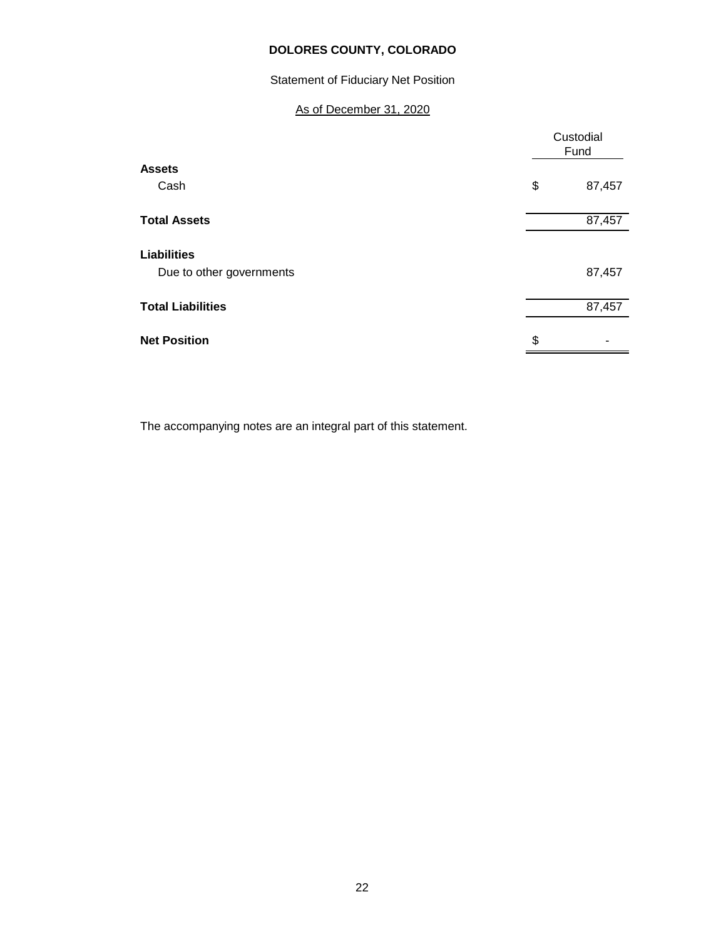### Statement of Fiduciary Net Position

## As of December 31, 2020

|                                                | Custodial<br>Fund |
|------------------------------------------------|-------------------|
| <b>Assets</b>                                  |                   |
| Cash                                           | \$<br>87,457      |
| <b>Total Assets</b>                            | 87,457            |
| <b>Liabilities</b><br>Due to other governments | 87,457            |
| <b>Total Liabilities</b>                       | 87,457            |
| <b>Net Position</b>                            | \$                |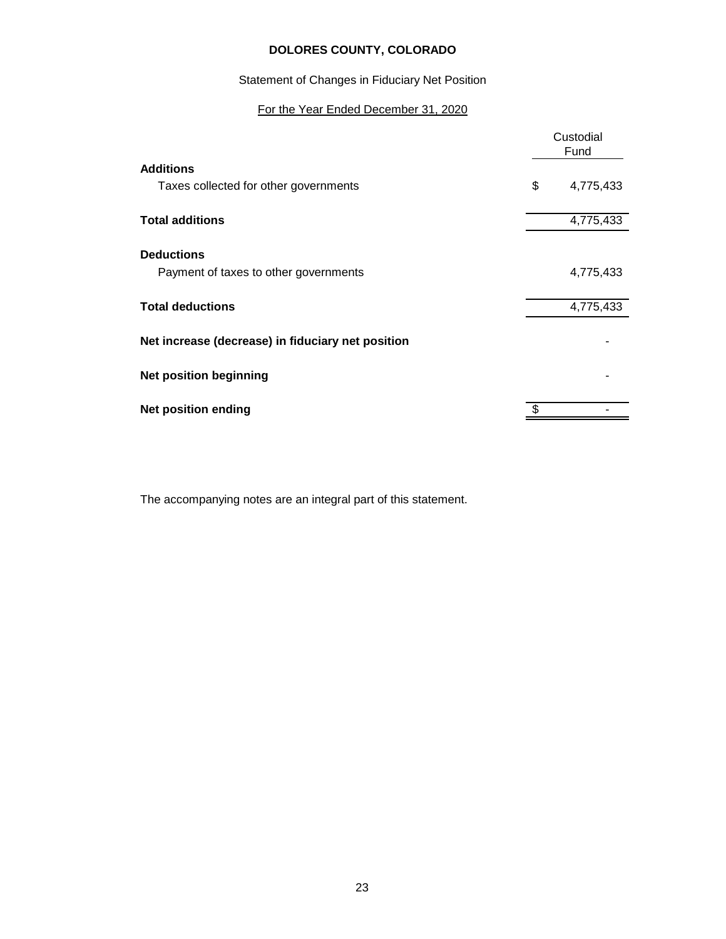### Statement of Changes in Fiduciary Net Position

## For the Year Ended December 31, 2020

|                                                   | Custodial<br>Fund |  |
|---------------------------------------------------|-------------------|--|
| <b>Additions</b>                                  |                   |  |
| Taxes collected for other governments             | \$<br>4,775,433   |  |
| <b>Total additions</b>                            | 4,775,433         |  |
|                                                   |                   |  |
| <b>Deductions</b>                                 |                   |  |
| Payment of taxes to other governments             | 4,775,433         |  |
| <b>Total deductions</b>                           | 4,775,433         |  |
| Net increase (decrease) in fiduciary net position |                   |  |
| <b>Net position beginning</b>                     |                   |  |
| <b>Net position ending</b>                        |                   |  |
|                                                   |                   |  |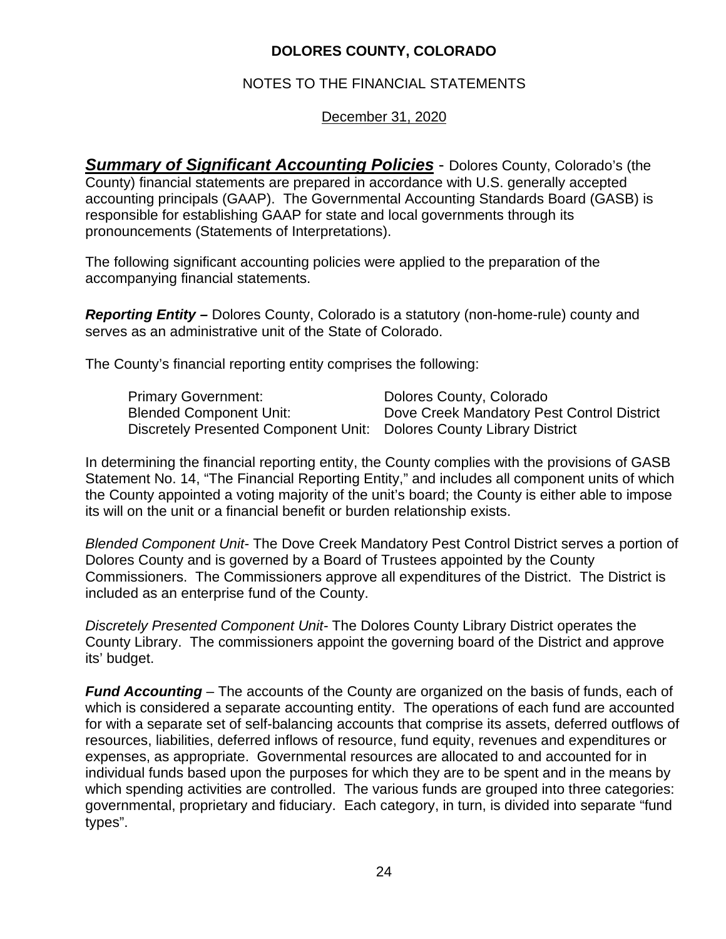## NOTES TO THE FINANCIAL STATEMENTS

## December 31, 2020

*Summary of Significant Accounting Policies* - Dolores County, Colorado's (the County) financial statements are prepared in accordance with U.S. generally accepted accounting principals (GAAP). The Governmental Accounting Standards Board (GASB) is responsible for establishing GAAP for state and local governments through its pronouncements (Statements of Interpretations).

The following significant accounting policies were applied to the preparation of the accompanying financial statements.

*Reporting Entity –* Dolores County, Colorado is a statutory (non-home-rule) county and serves as an administrative unit of the State of Colorado.

The County's financial reporting entity comprises the following:

| <b>Primary Government:</b>                                            | Dolores County, Colorado                   |
|-----------------------------------------------------------------------|--------------------------------------------|
| <b>Blended Component Unit:</b>                                        | Dove Creek Mandatory Pest Control District |
| Discretely Presented Component Unit:  Dolores County Library District |                                            |

In determining the financial reporting entity, the County complies with the provisions of GASB Statement No. 14, "The Financial Reporting Entity," and includes all component units of which the County appointed a voting majority of the unit's board; the County is either able to impose its will on the unit or a financial benefit or burden relationship exists.

*Blended Component Unit-* The Dove Creek Mandatory Pest Control District serves a portion of Dolores County and is governed by a Board of Trustees appointed by the County Commissioners. The Commissioners approve all expenditures of the District. The District is included as an enterprise fund of the County.

*Discretely Presented Component Unit-* The Dolores County Library District operates the County Library. The commissioners appoint the governing board of the District and approve its' budget.

*Fund Accounting* – The accounts of the County are organized on the basis of funds, each of which is considered a separate accounting entity. The operations of each fund are accounted for with a separate set of self-balancing accounts that comprise its assets, deferred outflows of resources, liabilities, deferred inflows of resource, fund equity, revenues and expenditures or expenses, as appropriate. Governmental resources are allocated to and accounted for in individual funds based upon the purposes for which they are to be spent and in the means by which spending activities are controlled. The various funds are grouped into three categories: governmental, proprietary and fiduciary. Each category, in turn, is divided into separate "fund types".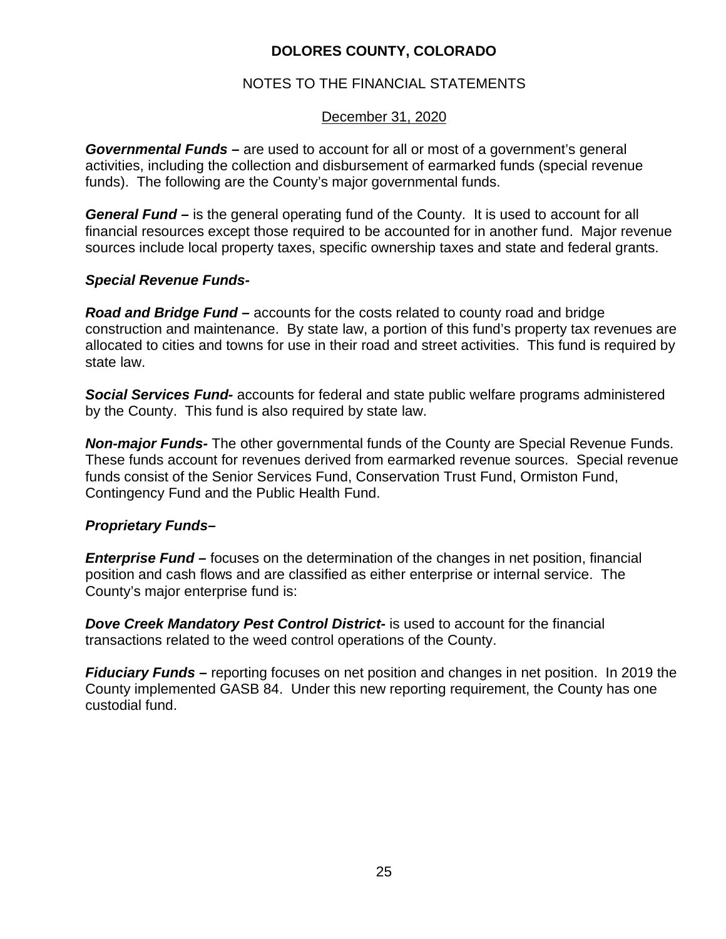## NOTES TO THE FINANCIAL STATEMENTS

## December 31, 2020

*Governmental Funds –* are used to account for all or most of a government's general activities, including the collection and disbursement of earmarked funds (special revenue funds). The following are the County's major governmental funds.

*General Fund –* is the general operating fund of the County. It is used to account for all financial resources except those required to be accounted for in another fund. Major revenue sources include local property taxes, specific ownership taxes and state and federal grants.

### *Special Revenue Funds-*

*Road and Bridge Fund –* accounts for the costs related to county road and bridge construction and maintenance. By state law, a portion of this fund's property tax revenues are allocated to cities and towns for use in their road and street activities. This fund is required by state law.

*Social Services Fund-* accounts for federal and state public welfare programs administered by the County. This fund is also required by state law.

*Non-major Funds-* The other governmental funds of the County are Special Revenue Funds. These funds account for revenues derived from earmarked revenue sources. Special revenue funds consist of the Senior Services Fund, Conservation Trust Fund, Ormiston Fund, Contingency Fund and the Public Health Fund.

## *Proprietary Funds–*

*Enterprise Fund –* focuses on the determination of the changes in net position, financial position and cash flows and are classified as either enterprise or internal service. The County's major enterprise fund is:

*Dove Creek Mandatory Pest Control District-* is used to account for the financial transactions related to the weed control operations of the County.

*Fiduciary Funds –* reporting focuses on net position and changes in net position. In 2019 the County implemented GASB 84. Under this new reporting requirement, the County has one custodial fund.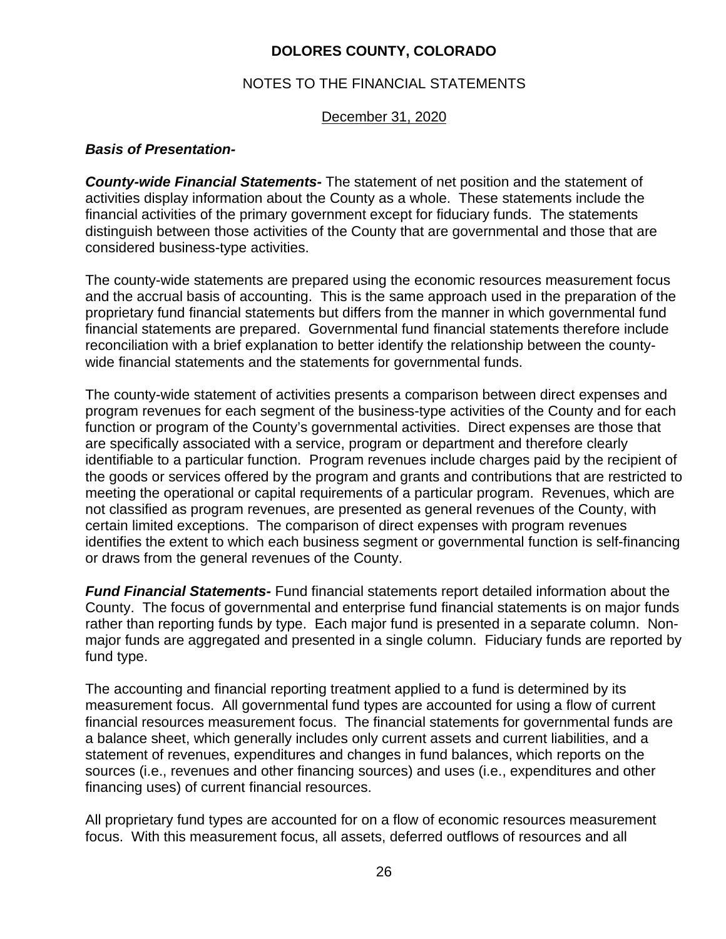## NOTES TO THE FINANCIAL STATEMENTS

### December 31, 2020

#### *Basis of Presentation-*

*County-wide Financial Statements-* The statement of net position and the statement of activities display information about the County as a whole. These statements include the financial activities of the primary government except for fiduciary funds. The statements distinguish between those activities of the County that are governmental and those that are considered business-type activities.

The county-wide statements are prepared using the economic resources measurement focus and the accrual basis of accounting. This is the same approach used in the preparation of the proprietary fund financial statements but differs from the manner in which governmental fund financial statements are prepared. Governmental fund financial statements therefore include reconciliation with a brief explanation to better identify the relationship between the countywide financial statements and the statements for governmental funds.

The county-wide statement of activities presents a comparison between direct expenses and program revenues for each segment of the business-type activities of the County and for each function or program of the County's governmental activities. Direct expenses are those that are specifically associated with a service, program or department and therefore clearly identifiable to a particular function. Program revenues include charges paid by the recipient of the goods or services offered by the program and grants and contributions that are restricted to meeting the operational or capital requirements of a particular program. Revenues, which are not classified as program revenues, are presented as general revenues of the County, with certain limited exceptions. The comparison of direct expenses with program revenues identifies the extent to which each business segment or governmental function is self-financing or draws from the general revenues of the County.

*Fund Financial Statements-* Fund financial statements report detailed information about the County. The focus of governmental and enterprise fund financial statements is on major funds rather than reporting funds by type. Each major fund is presented in a separate column. Nonmajor funds are aggregated and presented in a single column. Fiduciary funds are reported by fund type.

The accounting and financial reporting treatment applied to a fund is determined by its measurement focus. All governmental fund types are accounted for using a flow of current financial resources measurement focus. The financial statements for governmental funds are a balance sheet, which generally includes only current assets and current liabilities, and a statement of revenues, expenditures and changes in fund balances, which reports on the sources (i.e., revenues and other financing sources) and uses (i.e., expenditures and other financing uses) of current financial resources.

All proprietary fund types are accounted for on a flow of economic resources measurement focus. With this measurement focus, all assets, deferred outflows of resources and all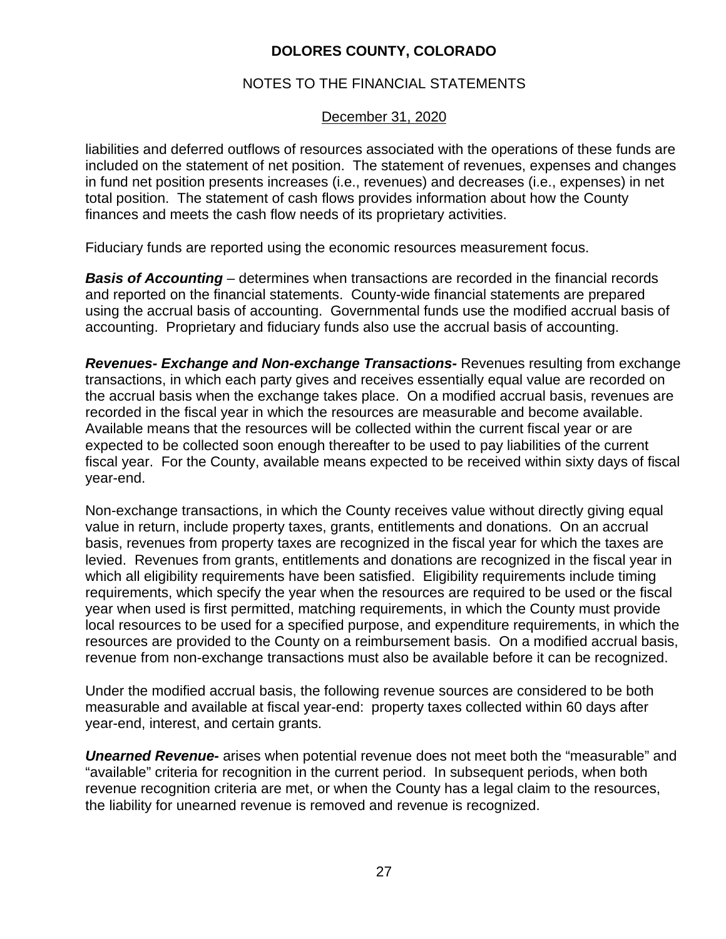## NOTES TO THE FINANCIAL STATEMENTS

## December 31, 2020

liabilities and deferred outflows of resources associated with the operations of these funds are included on the statement of net position. The statement of revenues, expenses and changes in fund net position presents increases (i.e., revenues) and decreases (i.e., expenses) in net total position. The statement of cash flows provides information about how the County finances and meets the cash flow needs of its proprietary activities.

Fiduciary funds are reported using the economic resources measurement focus.

**Basis of Accounting** – determines when transactions are recorded in the financial records and reported on the financial statements. County-wide financial statements are prepared using the accrual basis of accounting. Governmental funds use the modified accrual basis of accounting. Proprietary and fiduciary funds also use the accrual basis of accounting.

*Revenues- Exchange and Non-exchange Transactions-* Revenues resulting from exchange transactions, in which each party gives and receives essentially equal value are recorded on the accrual basis when the exchange takes place. On a modified accrual basis, revenues are recorded in the fiscal year in which the resources are measurable and become available. Available means that the resources will be collected within the current fiscal year or are expected to be collected soon enough thereafter to be used to pay liabilities of the current fiscal year. For the County, available means expected to be received within sixty days of fiscal year-end.

Non-exchange transactions, in which the County receives value without directly giving equal value in return, include property taxes, grants, entitlements and donations. On an accrual basis, revenues from property taxes are recognized in the fiscal year for which the taxes are levied. Revenues from grants, entitlements and donations are recognized in the fiscal year in which all eligibility requirements have been satisfied. Eligibility requirements include timing requirements, which specify the year when the resources are required to be used or the fiscal year when used is first permitted, matching requirements, in which the County must provide local resources to be used for a specified purpose, and expenditure requirements, in which the resources are provided to the County on a reimbursement basis. On a modified accrual basis, revenue from non-exchange transactions must also be available before it can be recognized.

Under the modified accrual basis, the following revenue sources are considered to be both measurable and available at fiscal year-end: property taxes collected within 60 days after year-end, interest, and certain grants.

*Unearned Revenue-* arises when potential revenue does not meet both the "measurable" and "available" criteria for recognition in the current period. In subsequent periods, when both revenue recognition criteria are met, or when the County has a legal claim to the resources, the liability for unearned revenue is removed and revenue is recognized.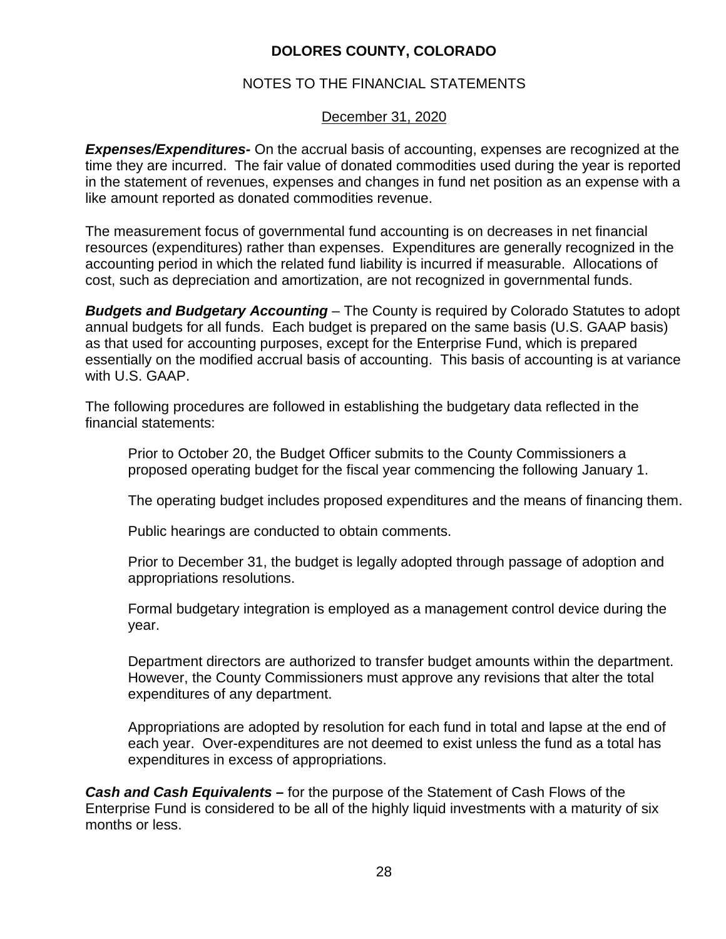## NOTES TO THE FINANCIAL STATEMENTS

## December 31, 2020

*Expenses/Expenditures-* On the accrual basis of accounting, expenses are recognized at the time they are incurred. The fair value of donated commodities used during the year is reported in the statement of revenues, expenses and changes in fund net position as an expense with a like amount reported as donated commodities revenue.

The measurement focus of governmental fund accounting is on decreases in net financial resources (expenditures) rather than expenses. Expenditures are generally recognized in the accounting period in which the related fund liability is incurred if measurable. Allocations of cost, such as depreciation and amortization, are not recognized in governmental funds.

*Budgets and Budgetary Accounting* – The County is required by Colorado Statutes to adopt annual budgets for all funds. Each budget is prepared on the same basis (U.S. GAAP basis) as that used for accounting purposes, except for the Enterprise Fund, which is prepared essentially on the modified accrual basis of accounting. This basis of accounting is at variance with U.S. GAAP.

The following procedures are followed in establishing the budgetary data reflected in the financial statements:

Prior to October 20, the Budget Officer submits to the County Commissioners a proposed operating budget for the fiscal year commencing the following January 1.

The operating budget includes proposed expenditures and the means of financing them.

Public hearings are conducted to obtain comments.

Prior to December 31, the budget is legally adopted through passage of adoption and appropriations resolutions.

Formal budgetary integration is employed as a management control device during the year.

Department directors are authorized to transfer budget amounts within the department. However, the County Commissioners must approve any revisions that alter the total expenditures of any department.

Appropriations are adopted by resolution for each fund in total and lapse at the end of each year. Over-expenditures are not deemed to exist unless the fund as a total has expenditures in excess of appropriations.

*Cash and Cash Equivalents –* for the purpose of the Statement of Cash Flows of the Enterprise Fund is considered to be all of the highly liquid investments with a maturity of six months or less.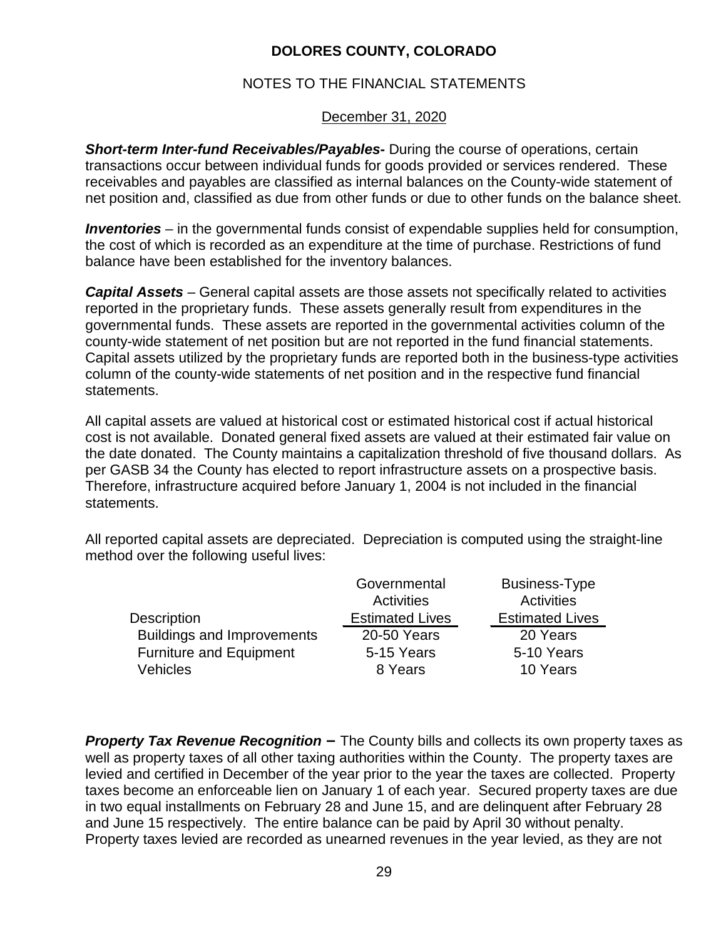## NOTES TO THE FINANCIAL STATEMENTS

## December 31, 2020

*Short-term Inter-fund Receivables/Payables***-** During the course of operations, certain transactions occur between individual funds for goods provided or services rendered. These receivables and payables are classified as internal balances on the County-wide statement of net position and, classified as due from other funds or due to other funds on the balance sheet.

*Inventories* – in the governmental funds consist of expendable supplies held for consumption, the cost of which is recorded as an expenditure at the time of purchase. Restrictions of fund balance have been established for the inventory balances.

*Capital Assets* – General capital assets are those assets not specifically related to activities reported in the proprietary funds. These assets generally result from expenditures in the governmental funds. These assets are reported in the governmental activities column of the county-wide statement of net position but are not reported in the fund financial statements. Capital assets utilized by the proprietary funds are reported both in the business-type activities column of the county-wide statements of net position and in the respective fund financial statements.

All capital assets are valued at historical cost or estimated historical cost if actual historical cost is not available. Donated general fixed assets are valued at their estimated fair value on the date donated. The County maintains a capitalization threshold of five thousand dollars. As per GASB 34 the County has elected to report infrastructure assets on a prospective basis. Therefore, infrastructure acquired before January 1, 2004 is not included in the financial statements.

All reported capital assets are depreciated. Depreciation is computed using the straight-line method over the following useful lives:

|                                   | Governmental<br>Activities | <b>Business-Type</b><br><b>Activities</b> |
|-----------------------------------|----------------------------|-------------------------------------------|
| <b>Description</b>                | <b>Estimated Lives</b>     | <b>Estimated Lives</b>                    |
| <b>Buildings and Improvements</b> | 20-50 Years                | 20 Years                                  |
| <b>Furniture and Equipment</b>    | 5-15 Years                 | 5-10 Years                                |
| <b>Vehicles</b>                   | 8 Years                    | 10 Years                                  |

**Property Tax Revenue Recognition** – The County bills and collects its own property taxes as well as property taxes of all other taxing authorities within the County. The property taxes are levied and certified in December of the year prior to the year the taxes are collected. Property taxes become an enforceable lien on January 1 of each year. Secured property taxes are due in two equal installments on February 28 and June 15, and are delinquent after February 28 and June 15 respectively. The entire balance can be paid by April 30 without penalty. Property taxes levied are recorded as unearned revenues in the year levied, as they are not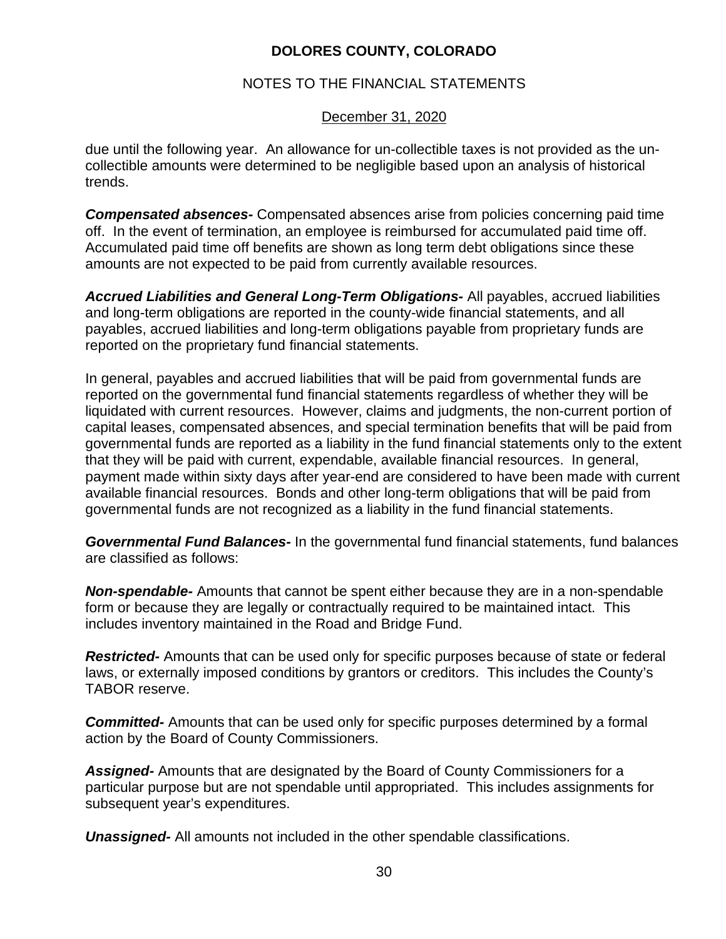## NOTES TO THE FINANCIAL STATEMENTS

## December 31, 2020

due until the following year. An allowance for un-collectible taxes is not provided as the uncollectible amounts were determined to be negligible based upon an analysis of historical trends.

*Compensated absences-* Compensated absences arise from policies concerning paid time off. In the event of termination, an employee is reimbursed for accumulated paid time off. Accumulated paid time off benefits are shown as long term debt obligations since these amounts are not expected to be paid from currently available resources.

*Accrued Liabilities and General Long-Term Obligations-* All payables, accrued liabilities and long-term obligations are reported in the county-wide financial statements, and all payables, accrued liabilities and long-term obligations payable from proprietary funds are reported on the proprietary fund financial statements.

In general, payables and accrued liabilities that will be paid from governmental funds are reported on the governmental fund financial statements regardless of whether they will be liquidated with current resources. However, claims and judgments, the non-current portion of capital leases, compensated absences, and special termination benefits that will be paid from governmental funds are reported as a liability in the fund financial statements only to the extent that they will be paid with current, expendable, available financial resources. In general, payment made within sixty days after year-end are considered to have been made with current available financial resources. Bonds and other long-term obligations that will be paid from governmental funds are not recognized as a liability in the fund financial statements.

*Governmental Fund Balances-* In the governmental fund financial statements, fund balances are classified as follows:

*Non-spendable-* Amounts that cannot be spent either because they are in a non-spendable form or because they are legally or contractually required to be maintained intact. This includes inventory maintained in the Road and Bridge Fund.

*Restricted-* Amounts that can be used only for specific purposes because of state or federal laws, or externally imposed conditions by grantors or creditors. This includes the County's TABOR reserve.

**Committed-** Amounts that can be used only for specific purposes determined by a formal action by the Board of County Commissioners.

*Assigned-* Amounts that are designated by the Board of County Commissioners for a particular purpose but are not spendable until appropriated. This includes assignments for subsequent year's expenditures.

*Unassigned-* All amounts not included in the other spendable classifications.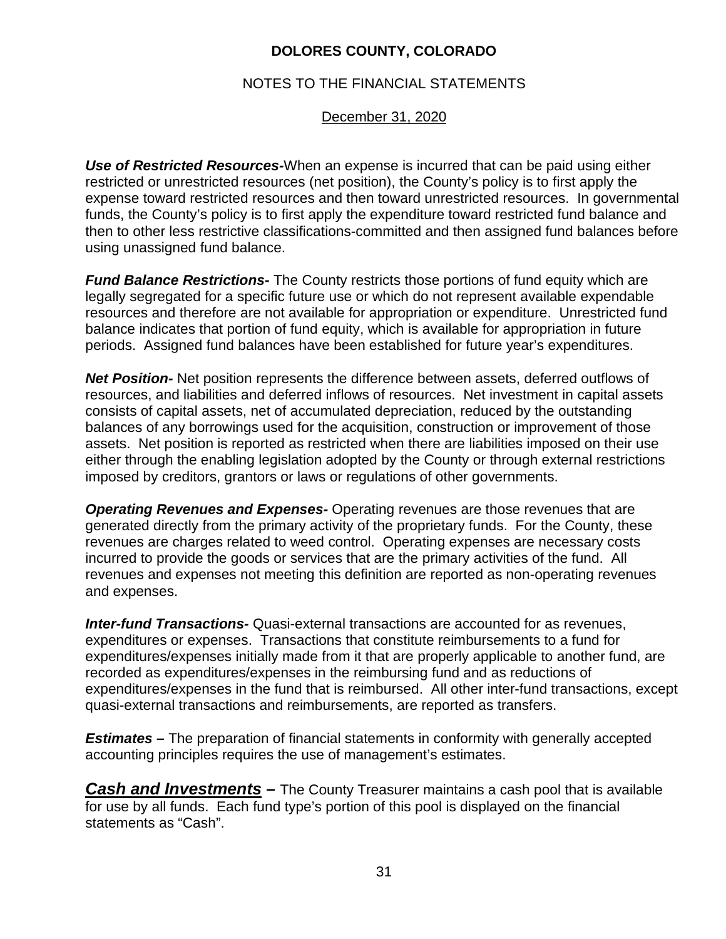## NOTES TO THE FINANCIAL STATEMENTS

## December 31, 2020

*Use of Restricted Resources-*When an expense is incurred that can be paid using either restricted or unrestricted resources (net position), the County's policy is to first apply the expense toward restricted resources and then toward unrestricted resources. In governmental funds, the County's policy is to first apply the expenditure toward restricted fund balance and then to other less restrictive classifications-committed and then assigned fund balances before using unassigned fund balance.

*Fund Balance Restrictions-* The County restricts those portions of fund equity which are legally segregated for a specific future use or which do not represent available expendable resources and therefore are not available for appropriation or expenditure. Unrestricted fund balance indicates that portion of fund equity, which is available for appropriation in future periods. Assigned fund balances have been established for future year's expenditures.

*Net Position-* Net position represents the difference between assets, deferred outflows of resources, and liabilities and deferred inflows of resources. Net investment in capital assets consists of capital assets, net of accumulated depreciation, reduced by the outstanding balances of any borrowings used for the acquisition, construction or improvement of those assets. Net position is reported as restricted when there are liabilities imposed on their use either through the enabling legislation adopted by the County or through external restrictions imposed by creditors, grantors or laws or regulations of other governments.

*Operating Revenues and Expenses-* Operating revenues are those revenues that are generated directly from the primary activity of the proprietary funds. For the County, these revenues are charges related to weed control. Operating expenses are necessary costs incurred to provide the goods or services that are the primary activities of the fund. All revenues and expenses not meeting this definition are reported as non-operating revenues and expenses.

*Inter-fund Transactions-* Quasi-external transactions are accounted for as revenues, expenditures or expenses. Transactions that constitute reimbursements to a fund for expenditures/expenses initially made from it that are properly applicable to another fund, are recorded as expenditures/expenses in the reimbursing fund and as reductions of expenditures/expenses in the fund that is reimbursed. All other inter-fund transactions, except quasi-external transactions and reimbursements, are reported as transfers.

*Estimates –* The preparation of financial statements in conformity with generally accepted accounting principles requires the use of management's estimates.

*Cash and Investments* – The County Treasurer maintains a cash pool that is available for use by all funds. Each fund type's portion of this pool is displayed on the financial statements as "Cash".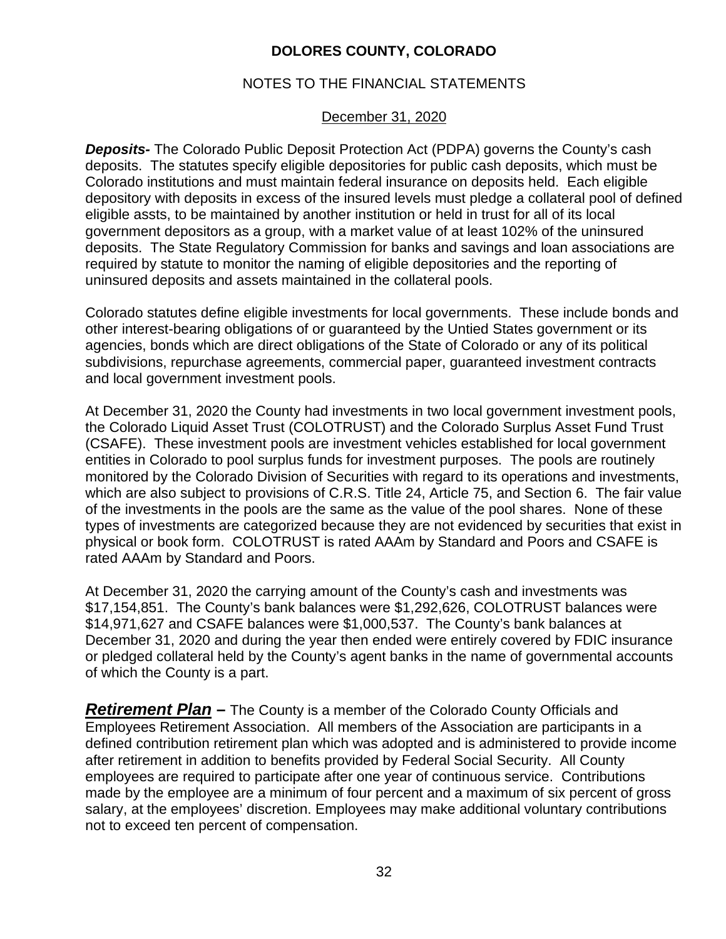## NOTES TO THE FINANCIAL STATEMENTS

## December 31, 2020

**Deposits-** The Colorado Public Deposit Protection Act (PDPA) governs the County's cash deposits. The statutes specify eligible depositories for public cash deposits, which must be Colorado institutions and must maintain federal insurance on deposits held. Each eligible depository with deposits in excess of the insured levels must pledge a collateral pool of defined eligible assts, to be maintained by another institution or held in trust for all of its local government depositors as a group, with a market value of at least 102% of the uninsured deposits. The State Regulatory Commission for banks and savings and loan associations are required by statute to monitor the naming of eligible depositories and the reporting of uninsured deposits and assets maintained in the collateral pools.

Colorado statutes define eligible investments for local governments. These include bonds and other interest-bearing obligations of or guaranteed by the Untied States government or its agencies, bonds which are direct obligations of the State of Colorado or any of its political subdivisions, repurchase agreements, commercial paper, guaranteed investment contracts and local government investment pools.

At December 31, 2020 the County had investments in two local government investment pools, the Colorado Liquid Asset Trust (COLOTRUST) and the Colorado Surplus Asset Fund Trust (CSAFE). These investment pools are investment vehicles established for local government entities in Colorado to pool surplus funds for investment purposes. The pools are routinely monitored by the Colorado Division of Securities with regard to its operations and investments, which are also subject to provisions of C.R.S. Title 24, Article 75, and Section 6. The fair value of the investments in the pools are the same as the value of the pool shares. None of these types of investments are categorized because they are not evidenced by securities that exist in physical or book form. COLOTRUST is rated AAAm by Standard and Poors and CSAFE is rated AAAm by Standard and Poors.

At December 31, 2020 the carrying amount of the County's cash and investments was \$17,154,851. The County's bank balances were \$1,292,626, COLOTRUST balances were \$14,971,627 and CSAFE balances were \$1,000,537. The County's bank balances at December 31, 2020 and during the year then ended were entirely covered by FDIC insurance or pledged collateral held by the County's agent banks in the name of governmental accounts of which the County is a part.

*Retirement Plan* – The County is a member of the Colorado County Officials and Employees Retirement Association. All members of the Association are participants in a defined contribution retirement plan which was adopted and is administered to provide income after retirement in addition to benefits provided by Federal Social Security. All County employees are required to participate after one year of continuous service. Contributions made by the employee are a minimum of four percent and a maximum of six percent of gross salary, at the employees' discretion. Employees may make additional voluntary contributions not to exceed ten percent of compensation.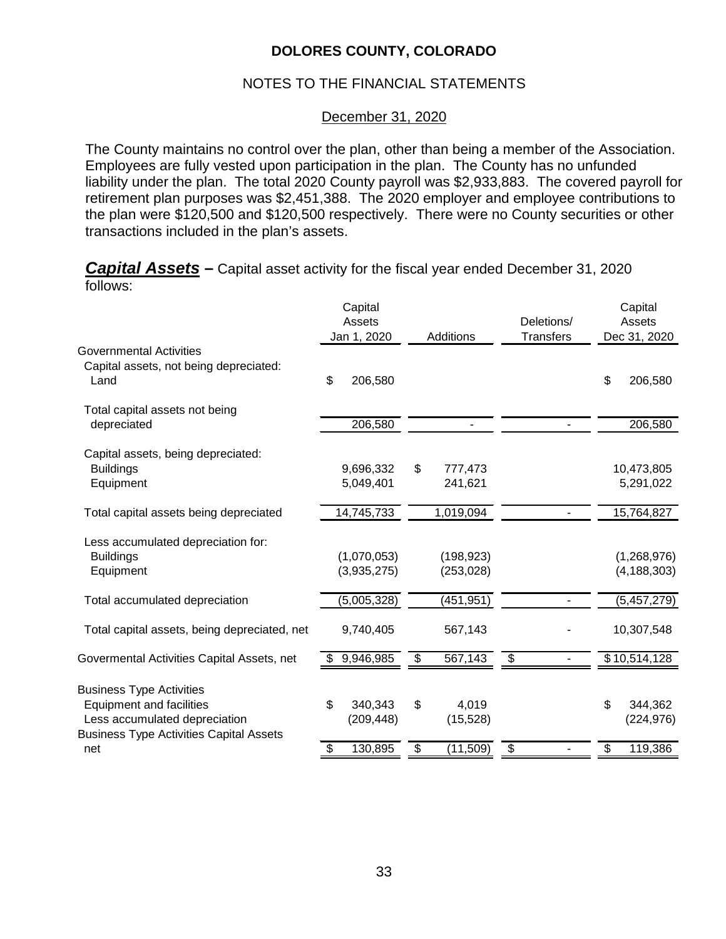## NOTES TO THE FINANCIAL STATEMENTS

### December 31, 2020

The County maintains no control over the plan, other than being a member of the Association. Employees are fully vested upon participation in the plan. The County has no unfunded liability under the plan. The total 2020 County payroll was \$2,933,883. The covered payroll for retirement plan purposes was \$2,451,388. The 2020 employer and employee contributions to the plan were \$120,500 and \$120,500 respectively. There were no County securities or other transactions included in the plan's assets.

*Capital Assets* **–** Capital asset activity for the fiscal year ended December 31, 2020 follows:

|                                                                                 | Capital<br>Assets<br>Jan 1, 2020 | Additions       | Deletions/<br><b>Transfers</b> | Capital<br>Assets<br>Dec 31, 2020 |
|---------------------------------------------------------------------------------|----------------------------------|-----------------|--------------------------------|-----------------------------------|
| Governmental Activities                                                         |                                  |                 |                                |                                   |
| Capital assets, not being depreciated:<br>Land                                  | \$<br>206,580                    |                 |                                | \$<br>206,580                     |
| Total capital assets not being                                                  |                                  |                 |                                |                                   |
| depreciated                                                                     | 206,580                          | ÷,              |                                | 206,580                           |
| Capital assets, being depreciated:                                              |                                  |                 |                                |                                   |
| <b>Buildings</b>                                                                | 9,696,332                        | \$<br>777,473   |                                | 10,473,805                        |
| Equipment                                                                       | 5,049,401                        | 241,621         |                                | 5,291,022                         |
| Total capital assets being depreciated                                          | 14,745,733                       | 1,019,094       | ÷.                             | 15,764,827                        |
|                                                                                 |                                  |                 |                                |                                   |
| Less accumulated depreciation for:                                              |                                  |                 |                                |                                   |
| <b>Buildings</b>                                                                | (1,070,053)                      | (198, 923)      |                                | (1,268,976)                       |
| Equipment                                                                       | (3,935,275)                      | (253, 028)      |                                | (4, 188, 303)                     |
| Total accumulated depreciation                                                  | (5,005,328)                      | (451, 951)      |                                | (5,457,279)                       |
| Total capital assets, being depreciated, net                                    | 9,740,405                        | 567,143         |                                | 10,307,548                        |
| Govermental Activities Capital Assets, net                                      | 9,946,985<br>\$.                 | \$<br>567,143   | \$                             | \$10,514,128                      |
|                                                                                 |                                  |                 |                                |                                   |
| <b>Business Type Activities</b>                                                 |                                  |                 |                                |                                   |
| <b>Equipment and facilities</b>                                                 | \$<br>340,343                    | \$<br>4,019     |                                | \$<br>344,362                     |
| Less accumulated depreciation<br><b>Business Type Activities Capital Assets</b> | (209, 448)                       | (15, 528)       |                                | (224, 976)                        |
| net                                                                             | \$<br>130,895                    | \$<br>(11, 509) | \$                             | \$<br>119,386                     |
|                                                                                 |                                  |                 |                                |                                   |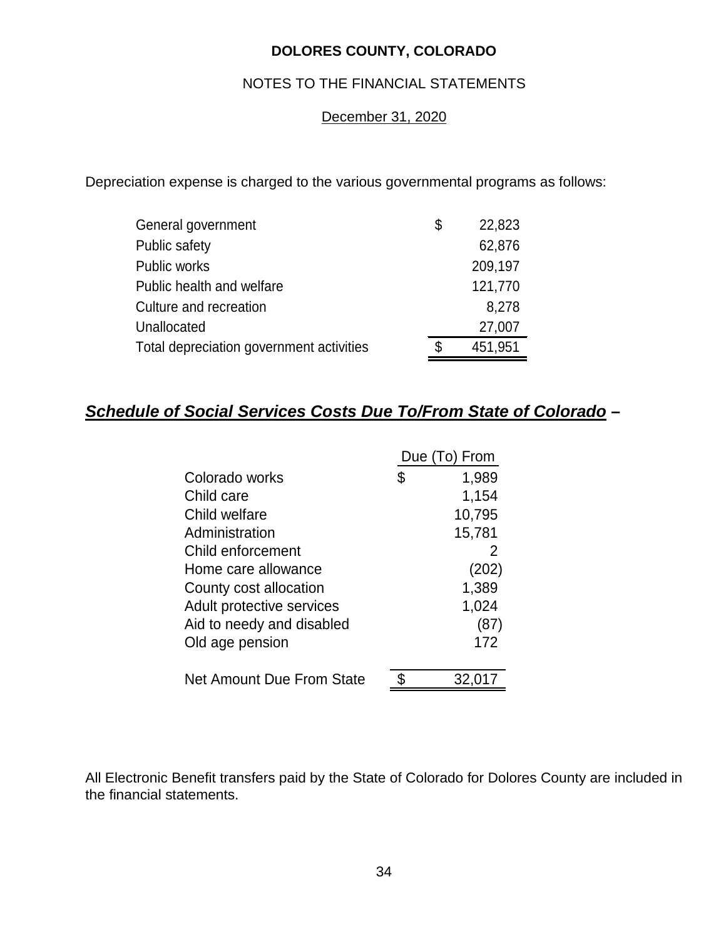## NOTES TO THE FINANCIAL STATEMENTS

## December 31, 2020

Depreciation expense is charged to the various governmental programs as follows:

| General government                       | \$<br>22,823 |
|------------------------------------------|--------------|
| <b>Public safety</b>                     | 62,876       |
| Public works                             | 209,197      |
| Public health and welfare                | 121,770      |
| Culture and recreation                   | 8,278        |
| Unallocated                              | 27,007       |
| Total depreciation government activities | 451,951      |

# *Schedule of Social Services Costs Due To/From State of Colorado* **–**

|                           | Due ( | To) From |
|---------------------------|-------|----------|
| Colorado works            | \$    | 1,989    |
| Child care                |       | 1,154    |
| Child welfare             |       | 10,795   |
| Administration            |       | 15,781   |
| Child enforcement         |       | 2        |
| Home care allowance       |       | (202)    |
| County cost allocation    |       | 1,389    |
| Adult protective services |       | 1,024    |
| Aid to needy and disabled |       | (87)     |
| Old age pension           |       | 172      |
|                           |       |          |
| Net Amount Due From State |       | 32,017   |
|                           |       |          |

All Electronic Benefit transfers paid by the State of Colorado for Dolores County are included in the financial statements.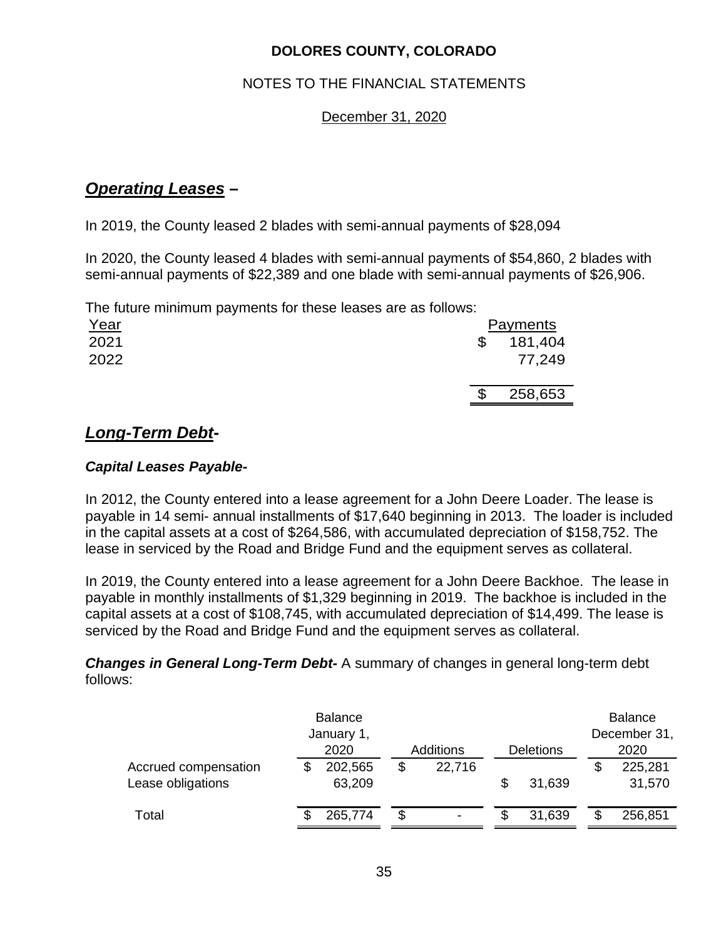## NOTES TO THE FINANCIAL STATEMENTS

## December 31, 2020

# *Operating Leases* **–**

In 2019, the County leased 2 blades with semi-annual payments of \$28,094

In 2020, the County leased 4 blades with semi-annual payments of \$54,860, 2 blades with semi-annual payments of \$22,389 and one blade with semi-annual payments of \$26,906.

The future minimum payments for these leases are as follows:

| Year |    | Payments |
|------|----|----------|
| 2021 | \$ | 181,404  |
| 2022 |    | 77,249   |
|      |    |          |
|      |    | 258,653  |
|      |    |          |

# *Long-Term Debt***-**

## *Capital Leases Payable-*

In 2012, the County entered into a lease agreement for a John Deere Loader. The lease is payable in 14 semi- annual installments of \$17,640 beginning in 2013. The loader is included in the capital assets at a cost of \$264,586, with accumulated depreciation of \$158,752. The lease in serviced by the Road and Bridge Fund and the equipment serves as collateral.

In 2019, the County entered into a lease agreement for a John Deere Backhoe. The lease in payable in monthly installments of \$1,329 beginning in 2019. The backhoe is included in the capital assets at a cost of \$108,745, with accumulated depreciation of \$14,499. The lease is serviced by the Road and Bridge Fund and the equipment serves as collateral.

*Changes in General Long-Term Debt-* A summary of changes in general long-term debt follows:

|                                           | <b>Balance</b><br>January 1, |    |                          |   |                  | <b>Balance</b><br>December 31, |
|-------------------------------------------|------------------------------|----|--------------------------|---|------------------|--------------------------------|
|                                           | 2020                         |    | <b>Additions</b>         |   | <b>Deletions</b> | 2020                           |
| Accrued compensation<br>Lease obligations | 202,565<br>63,209            | S  | 22,716                   |   | 31,639           | 225,281<br>31,570              |
| Total                                     | 265,774                      | \$ | $\overline{\phantom{0}}$ | S | 31,639           | \$<br>256,851                  |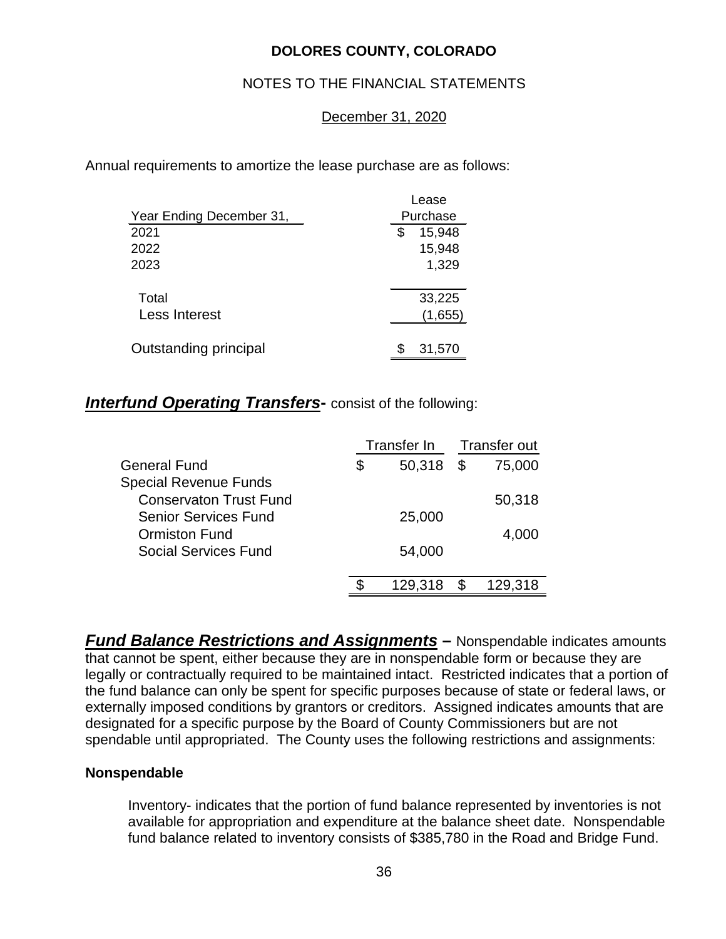## NOTES TO THE FINANCIAL STATEMENTS

## December 31, 2020

Annual requirements to amortize the lease purchase are as follows:

|                          | Lease        |
|--------------------------|--------------|
| Year Ending December 31, | Purchase     |
| 2021                     | 15,948<br>\$ |
| 2022                     | 15,948       |
| 2023                     | 1,329        |
|                          |              |
| Total                    | 33,225       |
| Less Interest            | (1,655)      |
|                          |              |
| Outstanding principal    | 31,570       |
|                          |              |

## **Interfund Operating Transfers-** consist of the following:

|                               | Transfer In     |    | Transfer out |
|-------------------------------|-----------------|----|--------------|
| <b>General Fund</b>           | \$<br>50,318 \$ |    | 75,000       |
| <b>Special Revenue Funds</b>  |                 |    |              |
| <b>Conservaton Trust Fund</b> |                 |    | 50,318       |
| <b>Senior Services Fund</b>   | 25,000          |    |              |
| <b>Ormiston Fund</b>          |                 |    | 4,000        |
| <b>Social Services Fund</b>   | 54,000          |    |              |
|                               |                 |    |              |
|                               | 129,318         | S. | 129,318      |

*Fund Balance Restrictions and Assignments* **–** Nonspendable indicates amounts that cannot be spent, either because they are in nonspendable form or because they are legally or contractually required to be maintained intact. Restricted indicates that a portion of the fund balance can only be spent for specific purposes because of state or federal laws, or externally imposed conditions by grantors or creditors. Assigned indicates amounts that are designated for a specific purpose by the Board of County Commissioners but are not spendable until appropriated. The County uses the following restrictions and assignments:

### **Nonspendable**

Inventory- indicates that the portion of fund balance represented by inventories is not available for appropriation and expenditure at the balance sheet date. Nonspendable fund balance related to inventory consists of \$385,780 in the Road and Bridge Fund.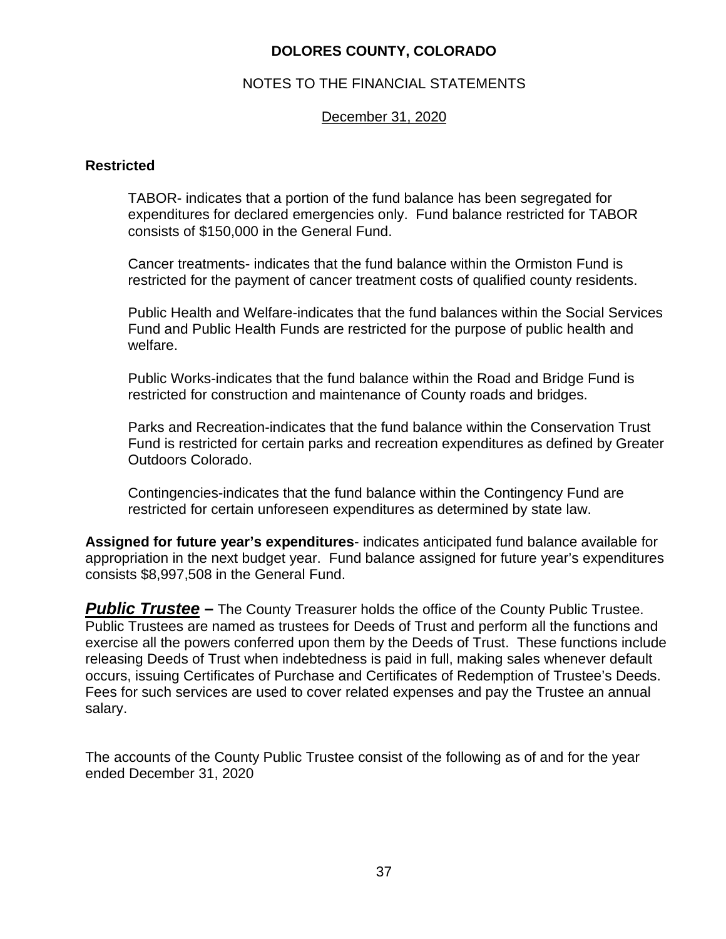## NOTES TO THE FINANCIAL STATEMENTS

### December 31, 2020

### **Restricted**

TABOR- indicates that a portion of the fund balance has been segregated for expenditures for declared emergencies only. Fund balance restricted for TABOR consists of \$150,000 in the General Fund.

Cancer treatments- indicates that the fund balance within the Ormiston Fund is restricted for the payment of cancer treatment costs of qualified county residents.

Public Health and Welfare-indicates that the fund balances within the Social Services Fund and Public Health Funds are restricted for the purpose of public health and welfare.

Public Works-indicates that the fund balance within the Road and Bridge Fund is restricted for construction and maintenance of County roads and bridges.

Parks and Recreation-indicates that the fund balance within the Conservation Trust Fund is restricted for certain parks and recreation expenditures as defined by Greater Outdoors Colorado.

Contingencies-indicates that the fund balance within the Contingency Fund are restricted for certain unforeseen expenditures as determined by state law.

**Assigned for future year's expenditures**- indicates anticipated fund balance available for appropriation in the next budget year. Fund balance assigned for future year's expenditures consists \$8,997,508 in the General Fund.

*Public Trustee* **–** The County Treasurer holds the office of the County Public Trustee. Public Trustees are named as trustees for Deeds of Trust and perform all the functions and exercise all the powers conferred upon them by the Deeds of Trust. These functions include releasing Deeds of Trust when indebtedness is paid in full, making sales whenever default occurs, issuing Certificates of Purchase and Certificates of Redemption of Trustee's Deeds. Fees for such services are used to cover related expenses and pay the Trustee an annual salary.

The accounts of the County Public Trustee consist of the following as of and for the year ended December 31, 2020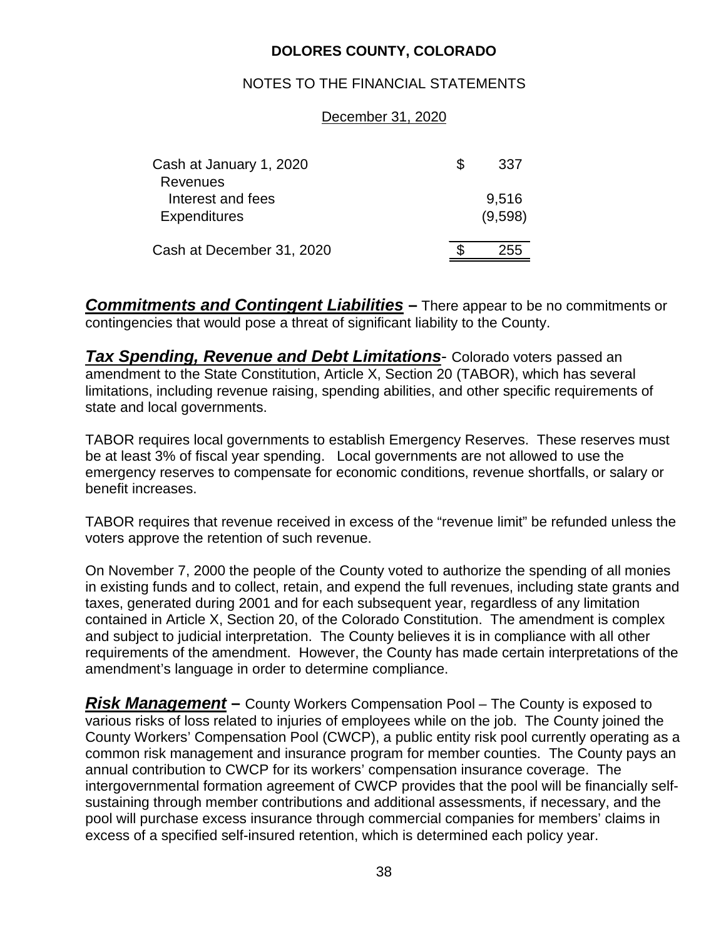## NOTES TO THE FINANCIAL STATEMENTS

## December 31, 2020

| Cash at January 1, 2020   | \$<br>337 |
|---------------------------|-----------|
| <b>Revenues</b>           |           |
| Interest and fees         | 9,516     |
| <b>Expenditures</b>       | (9,598)   |
| Cash at December 31, 2020 | 255       |
|                           |           |

*Commitments and Contingent Liabilities* **–** There appear to be no commitments or contingencies that would pose a threat of significant liability to the County.

*Tax Spending, Revenue and Debt Limitations*- Colorado voters passed an amendment to the State Constitution, Article X, Section 20 (TABOR), which has several limitations, including revenue raising, spending abilities, and other specific requirements of state and local governments.

TABOR requires local governments to establish Emergency Reserves. These reserves must be at least 3% of fiscal year spending. Local governments are not allowed to use the emergency reserves to compensate for economic conditions, revenue shortfalls, or salary or benefit increases.

TABOR requires that revenue received in excess of the "revenue limit" be refunded unless the voters approve the retention of such revenue.

On November 7, 2000 the people of the County voted to authorize the spending of all monies in existing funds and to collect, retain, and expend the full revenues, including state grants and taxes, generated during 2001 and for each subsequent year, regardless of any limitation contained in Article X, Section 20, of the Colorado Constitution. The amendment is complex and subject to judicial interpretation. The County believes it is in compliance with all other requirements of the amendment. However, the County has made certain interpretations of the amendment's language in order to determine compliance.

*Risk Management* **–** County Workers Compensation Pool – The County is exposed to various risks of loss related to injuries of employees while on the job. The County joined the County Workers' Compensation Pool (CWCP), a public entity risk pool currently operating as a common risk management and insurance program for member counties. The County pays an annual contribution to CWCP for its workers' compensation insurance coverage. The intergovernmental formation agreement of CWCP provides that the pool will be financially selfsustaining through member contributions and additional assessments, if necessary, and the pool will purchase excess insurance through commercial companies for members' claims in excess of a specified self-insured retention, which is determined each policy year.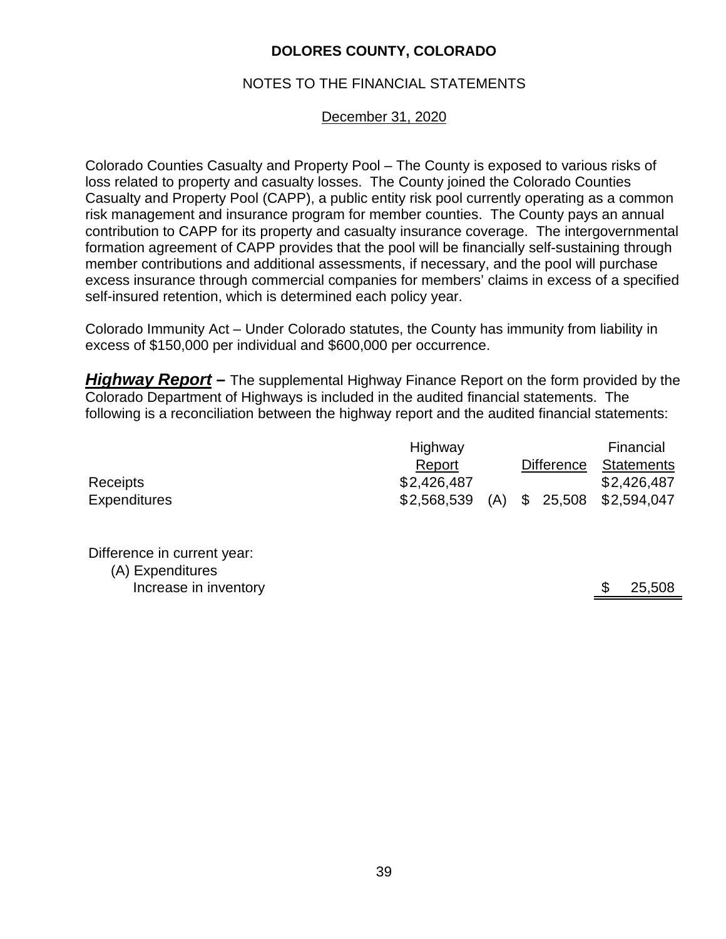## NOTES TO THE FINANCIAL STATEMENTS

### December 31, 2020

Colorado Counties Casualty and Property Pool – The County is exposed to various risks of loss related to property and casualty losses. The County joined the Colorado Counties Casualty and Property Pool (CAPP), a public entity risk pool currently operating as a common risk management and insurance program for member counties. The County pays an annual contribution to CAPP for its property and casualty insurance coverage. The intergovernmental formation agreement of CAPP provides that the pool will be financially self-sustaining through member contributions and additional assessments, if necessary, and the pool will purchase excess insurance through commercial companies for members' claims in excess of a specified self-insured retention, which is determined each policy year.

Colorado Immunity Act – Under Colorado statutes, the County has immunity from liability in excess of \$150,000 per individual and \$600,000 per occurrence.

*Highway Report* **–** The supplemental Highway Finance Report on the form provided by the Colorado Department of Highways is included in the audited financial statements. The following is a reconciliation between the highway report and the audited financial statements:

|                                           | Highway     |     |  |                   |    |                   |  |  |
|-------------------------------------------|-------------|-----|--|-------------------|----|-------------------|--|--|
|                                           | Report      |     |  | <b>Difference</b> |    | <b>Statements</b> |  |  |
| Receipts                                  | \$2,426,487 |     |  |                   |    | \$2,426,487       |  |  |
| <b>Expenditures</b>                       | \$2,568,539 | (A) |  | \$25,508          |    | \$2,594,047       |  |  |
| Difference in current year:               |             |     |  |                   |    |                   |  |  |
| (A) Expenditures<br>Increase in inventory |             |     |  |                   | \$ | 25,508            |  |  |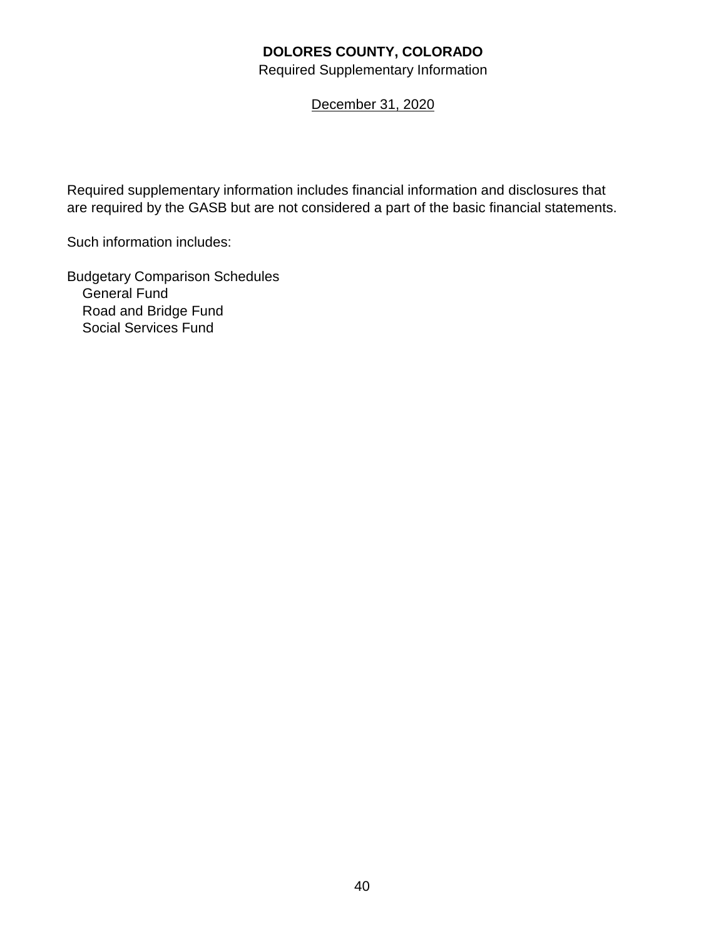Required Supplementary Information

December 31, 2020

Required supplementary information includes financial information and disclosures that are required by the GASB but are not considered a part of the basic financial statements.

Such information includes:

Budgetary Comparison Schedules General Fund Road and Bridge Fund Social Services Fund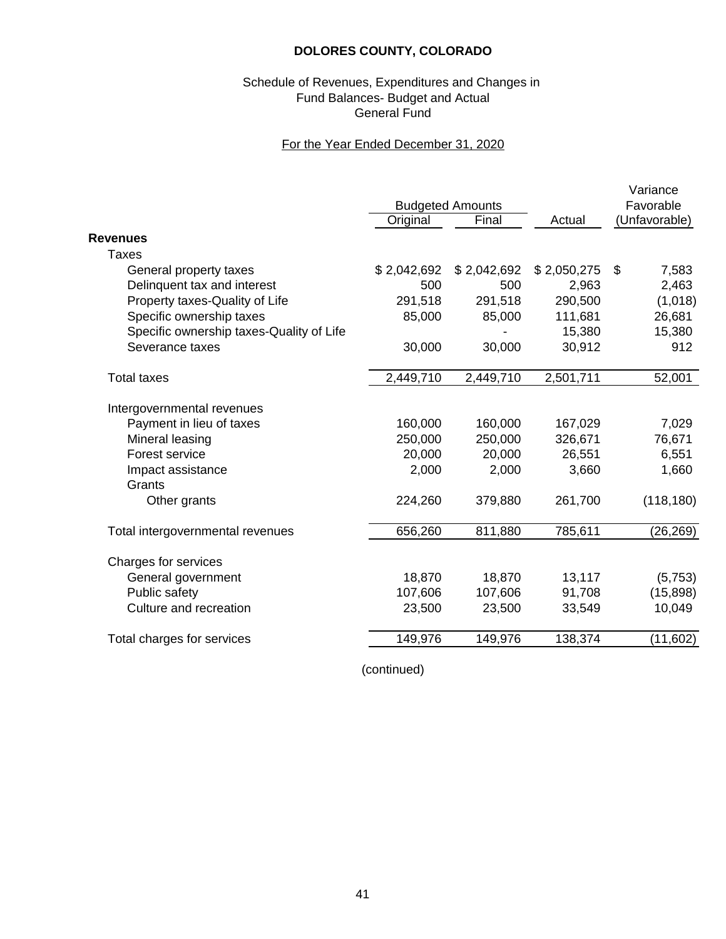#### General Fund Schedule of Revenues, Expenditures and Changes in Fund Balances- Budget and Actual

### For the Year Ended December 31, 2020

|                                          |             | <b>Budgeted Amounts</b> |             | Variance<br>Favorable              |
|------------------------------------------|-------------|-------------------------|-------------|------------------------------------|
|                                          | Original    | Final                   | Actual      | (Unfavorable)                      |
| <b>Revenues</b>                          |             |                         |             |                                    |
| <b>Taxes</b>                             |             |                         |             |                                    |
| General property taxes                   | \$2,042,692 | \$2,042,692             | \$2,050,275 | 7,583<br>$\boldsymbol{\mathsf{S}}$ |
| Delinquent tax and interest              | 500         | 500                     | 2,963       | 2,463                              |
| Property taxes-Quality of Life           | 291,518     | 291,518                 | 290,500     | (1,018)                            |
| Specific ownership taxes                 | 85,000      | 85,000                  | 111,681     | 26,681                             |
| Specific ownership taxes-Quality of Life |             |                         | 15,380      | 15,380                             |
| Severance taxes                          | 30,000      | 30,000                  | 30,912      | 912                                |
| <b>Total taxes</b>                       | 2,449,710   | 2,449,710               | 2,501,711   | 52,001                             |
| Intergovernmental revenues               |             |                         |             |                                    |
| Payment in lieu of taxes                 | 160,000     | 160,000                 | 167,029     | 7,029                              |
| Mineral leasing                          | 250,000     | 250,000                 | 326,671     | 76,671                             |
| Forest service                           | 20,000      | 20,000                  | 26,551      | 6,551                              |
| Impact assistance                        | 2,000       | 2,000                   | 3,660       | 1,660                              |
| Grants                                   |             |                         |             |                                    |
| Other grants                             | 224,260     | 379,880                 | 261,700     | (118, 180)                         |
| Total intergovernmental revenues         | 656,260     | 811,880                 | 785,611     | (26, 269)                          |
| Charges for services                     |             |                         |             |                                    |
| General government                       | 18,870      | 18,870                  | 13,117      | (5,753)                            |
| Public safety                            | 107,606     | 107,606                 | 91,708      | (15,898)                           |
| Culture and recreation                   | 23,500      | 23,500                  | 33,549      | 10,049                             |
| Total charges for services               | 149,976     | 149,976                 | 138,374     | (11,602)                           |
|                                          |             |                         |             |                                    |

(continued)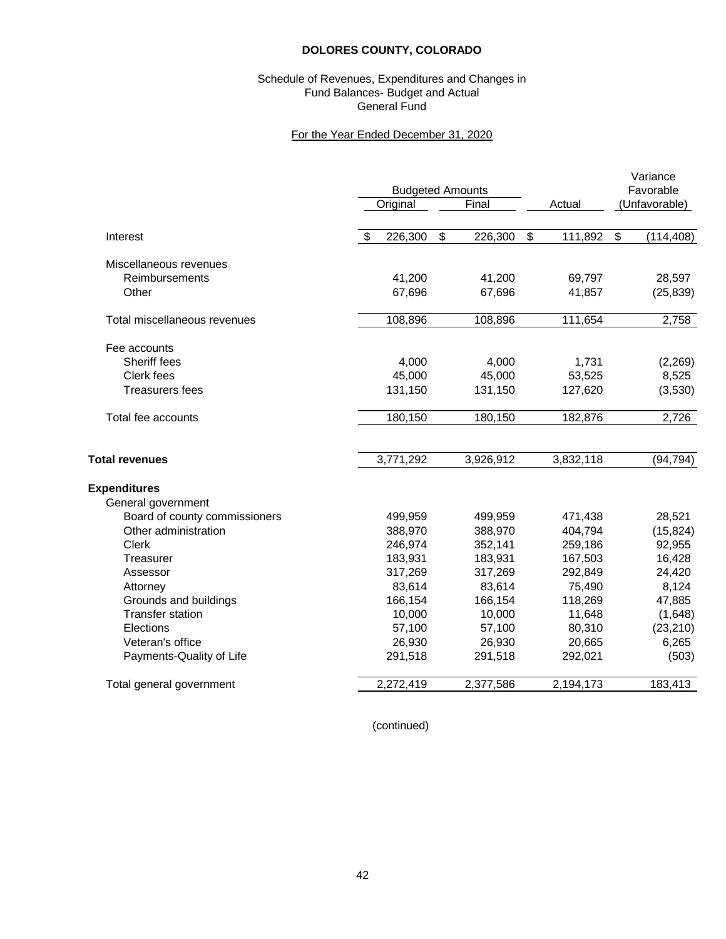#### Schedule of Revenues, Expenditures and Changes in Fund Balances- Budget and Actual General Fund

### For the Year Ended December 31, 2020

|                               |               | <b>Budgeted Amounts</b> |               | Variance<br>Favorable |
|-------------------------------|---------------|-------------------------|---------------|-----------------------|
|                               | Original      | Final                   | Actual        | (Unfavorable)         |
| Interest                      | \$<br>226,300 | \$<br>226,300           | \$<br>111,892 | \$<br>(114, 408)      |
| Miscellaneous revenues        |               |                         |               |                       |
| Reimbursements                | 41,200        | 41,200                  | 69,797        | 28,597                |
| Other                         | 67,696        | 67,696                  | 41,857        | (25, 839)             |
| Total miscellaneous revenues  | 108,896       | 108,896                 | 111,654       | 2,758                 |
| Fee accounts                  |               |                         |               |                       |
| Sheriff fees                  | 4,000         | 4,000                   | 1,731         | (2,269)               |
| Clerk fees                    | 45,000        | 45,000                  | 53,525        | 8,525                 |
| <b>Treasurers fees</b>        | 131,150       | 131,150                 | 127,620       | (3,530)               |
| Total fee accounts            | 180,150       | 180,150                 | 182,876       | 2,726                 |
| <b>Total revenues</b>         | 3,771,292     | 3,926,912               | 3,832,118     | (94, 794)             |
| <b>Expenditures</b>           |               |                         |               |                       |
| General government            |               |                         |               |                       |
| Board of county commissioners | 499,959       | 499,959                 | 471,438       | 28,521                |
| Other administration          | 388,970       | 388,970                 | 404,794       | (15, 824)             |
| Clerk                         | 246,974       | 352,141                 | 259,186       | 92,955                |
| Treasurer                     | 183,931       | 183,931                 | 167,503       | 16,428                |
| Assessor                      | 317,269       | 317,269                 | 292,849       | 24,420                |
| Attorney                      | 83,614        | 83,614                  | 75,490        | 8,124                 |
| Grounds and buildings         | 166,154       | 166,154                 | 118,269       | 47,885                |
| <b>Transfer station</b>       | 10,000        | 10,000                  | 11,648        | (1,648)               |
| Elections                     | 57,100        | 57,100                  | 80,310        | (23, 210)             |
| Veteran's office              | 26,930        | 26,930                  | 20,665        | 6,265                 |
| Payments-Quality of Life      | 291,518       | 291,518                 | 292,021       | (503)                 |
| Total general government      | 2,272,419     | 2,377,586               | 2,194,173     | 183,413               |

(continued)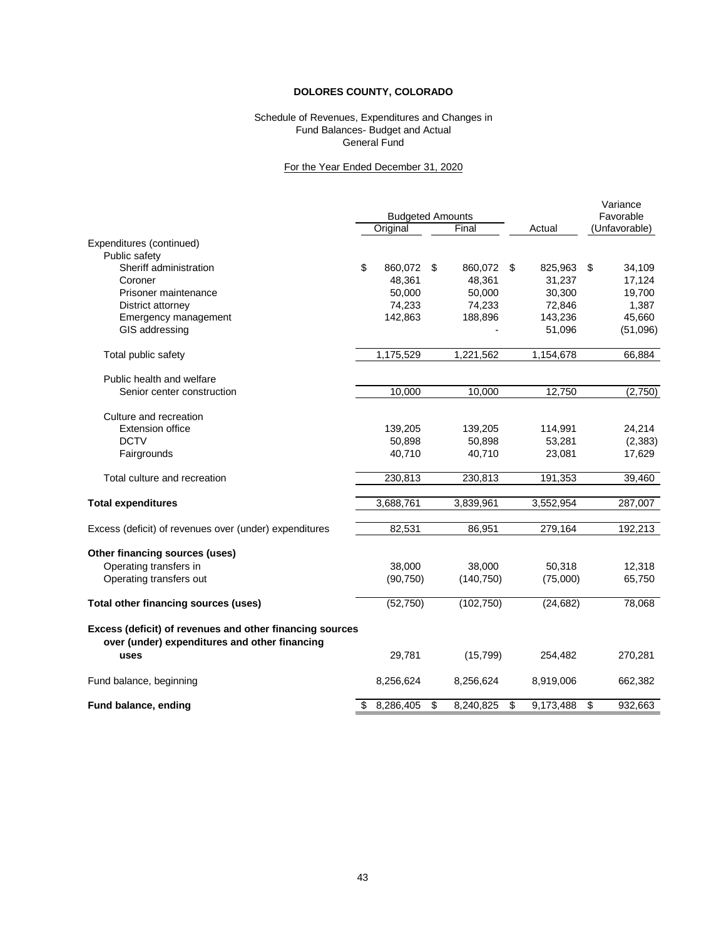#### Schedule of Revenues, Expenditures and Changes in Fund Balances- Budget and Actual General Fund

|                                                                                                           |                                     |                 |                 | Variance                   |
|-----------------------------------------------------------------------------------------------------------|-------------------------------------|-----------------|-----------------|----------------------------|
|                                                                                                           | <b>Budgeted Amounts</b><br>Original | Final           | Actual          | Favorable<br>(Unfavorable) |
|                                                                                                           |                                     |                 |                 |                            |
| Expenditures (continued)<br>Public safety                                                                 |                                     |                 |                 |                            |
| Sheriff administration                                                                                    | \$<br>860,072                       | \$<br>860,072   | \$<br>825,963   | \$<br>34,109               |
| Coroner                                                                                                   | 48,361                              | 48,361          | 31,237          | 17,124                     |
| Prisoner maintenance                                                                                      | 50,000                              | 50,000          | 30,300          | 19,700                     |
| District attorney                                                                                         | 74,233                              | 74,233          | 72,846          | 1,387                      |
| Emergency management                                                                                      | 142,863                             | 188,896         | 143,236         | 45,660                     |
| GIS addressing                                                                                            |                                     |                 | 51,096          | (51,096)                   |
| Total public safety                                                                                       | 1,175,529                           | 1,221,562       | 1,154,678       | 66,884                     |
| Public health and welfare                                                                                 |                                     |                 |                 |                            |
| Senior center construction                                                                                | 10,000                              | 10,000          | 12,750          | (2,750)                    |
| Culture and recreation                                                                                    |                                     |                 |                 |                            |
| <b>Extension office</b>                                                                                   | 139,205                             | 139,205         | 114,991         | 24,214                     |
| <b>DCTV</b>                                                                                               | 50,898                              | 50,898          | 53,281          | (2, 383)                   |
| Fairgrounds                                                                                               | 40,710                              | 40,710          | 23,081          | 17,629                     |
| Total culture and recreation                                                                              | 230,813                             | 230,813         | 191,353         | 39,460                     |
| <b>Total expenditures</b>                                                                                 | 3,688,761                           | 3,839,961       | 3,552,954       | 287,007                    |
| Excess (deficit) of revenues over (under) expenditures                                                    | 82,531                              | 86,951          | 279,164         | 192,213                    |
| Other financing sources (uses)                                                                            |                                     |                 |                 |                            |
| Operating transfers in                                                                                    | 38,000                              | 38,000          | 50,318          | 12,318                     |
| Operating transfers out                                                                                   | (90, 750)                           | (140, 750)      | (75,000)        | 65,750                     |
| Total other financing sources (uses)                                                                      | (52, 750)                           | (102, 750)      | (24, 682)       | 78,068                     |
| Excess (deficit) of revenues and other financing sources<br>over (under) expenditures and other financing |                                     |                 |                 |                            |
| uses                                                                                                      | 29,781                              | (15, 799)       | 254,482         | 270,281                    |
| Fund balance, beginning                                                                                   | 8,256,624                           | 8,256,624       | 8,919,006       | 662,382                    |
| Fund balance, ending                                                                                      | \$<br>8,286,405                     | \$<br>8,240,825 | \$<br>9,173,488 | \$<br>932,663              |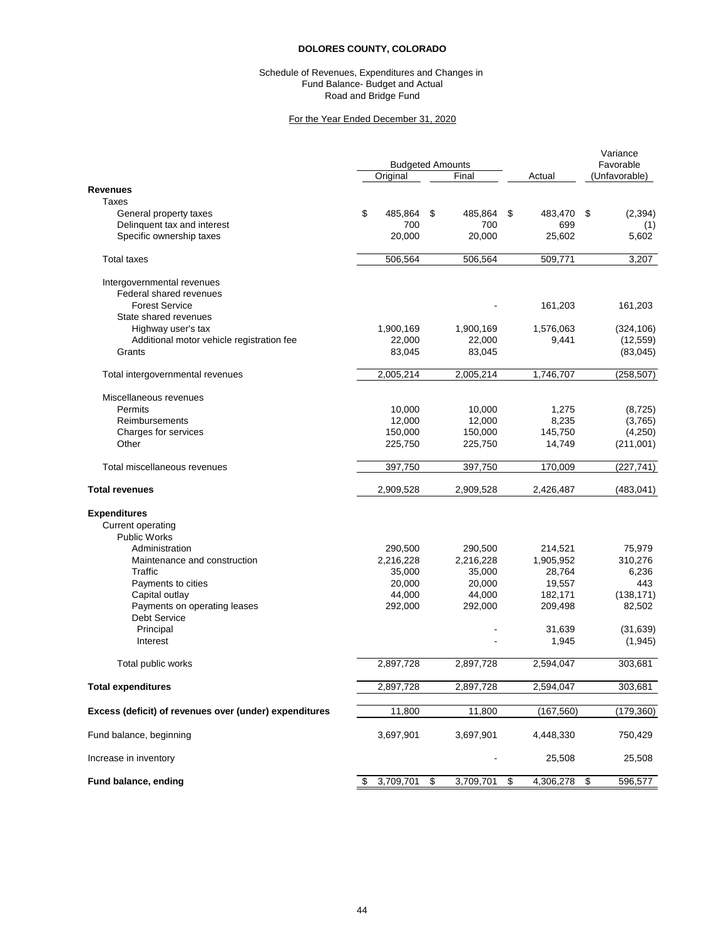#### Schedule of Revenues, Expenditures and Changes in Fund Balance- Budget and Actual Road and Bridge Fund

|                                                        | <b>Budgeted Amounts</b> |                       |           |                 | Variance<br>Favorable |               |  |
|--------------------------------------------------------|-------------------------|-----------------------|-----------|-----------------|-----------------------|---------------|--|
|                                                        | Original                |                       | Final     | Actual          |                       | (Unfavorable) |  |
| <b>Revenues</b>                                        |                         |                       |           |                 |                       |               |  |
| Taxes                                                  |                         |                       |           |                 |                       |               |  |
| General property taxes                                 | \$<br>485,864           | \$                    | 485,864   | \$<br>483,470   | \$                    | (2, 394)      |  |
| Delinquent tax and interest                            | 700                     |                       | 700       | 699             |                       | (1)           |  |
| Specific ownership taxes                               | 20,000                  |                       | 20,000    | 25,602          |                       | 5,602         |  |
| <b>Total taxes</b>                                     | 506,564                 |                       | 506,564   | 509,771         |                       | 3,207         |  |
| Intergovernmental revenues                             |                         |                       |           |                 |                       |               |  |
| Federal shared revenues                                |                         |                       |           |                 |                       |               |  |
| <b>Forest Service</b>                                  |                         |                       |           | 161,203         |                       | 161,203       |  |
| State shared revenues                                  |                         |                       |           |                 |                       |               |  |
| Highway user's tax                                     | 1,900,169               |                       | 1,900,169 | 1,576,063       |                       | (324, 106)    |  |
| Additional motor vehicle registration fee              | 22,000                  |                       | 22,000    | 9,441           |                       | (12, 559)     |  |
| Grants                                                 | 83,045                  |                       | 83,045    |                 |                       | (83, 045)     |  |
| Total intergovernmental revenues                       | 2,005,214               |                       | 2,005,214 | 1,746,707       |                       | (258, 507)    |  |
| Miscellaneous revenues                                 |                         |                       |           |                 |                       |               |  |
| Permits                                                | 10,000                  |                       | 10,000    | 1,275           |                       | (8, 725)      |  |
| Reimbursements                                         | 12,000                  |                       | 12,000    | 8,235           |                       | (3,765)       |  |
| Charges for services                                   | 150,000                 |                       | 150,000   | 145,750         |                       | (4,250)       |  |
| Other                                                  | 225,750                 |                       | 225,750   | 14,749          |                       | (211,001)     |  |
| Total miscellaneous revenues                           | 397,750                 |                       | 397,750   | 170,009         |                       | (227, 741)    |  |
|                                                        |                         |                       |           |                 |                       |               |  |
| <b>Total revenues</b>                                  | 2,909,528               |                       | 2,909,528 | 2,426,487       |                       | (483, 041)    |  |
| <b>Expenditures</b>                                    |                         |                       |           |                 |                       |               |  |
| Current operating                                      |                         |                       |           |                 |                       |               |  |
| <b>Public Works</b>                                    |                         |                       |           |                 |                       |               |  |
| Administration                                         | 290,500                 |                       | 290,500   | 214,521         |                       | 75,979        |  |
| Maintenance and construction                           | 2,216,228               |                       | 2,216,228 | 1,905,952       |                       | 310,276       |  |
| Traffic                                                | 35,000                  |                       | 35,000    | 28,764          |                       | 6,236         |  |
| Payments to cities                                     | 20,000                  |                       | 20,000    | 19,557          |                       | 443           |  |
| Capital outlay                                         | 44,000                  |                       | 44,000    | 182,171         |                       | (138, 171)    |  |
| Payments on operating leases                           | 292,000                 |                       | 292,000   | 209,498         |                       | 82,502        |  |
| <b>Debt Service</b>                                    |                         |                       |           |                 |                       |               |  |
| Principal                                              |                         |                       |           | 31,639          |                       | (31, 639)     |  |
| Interest                                               |                         |                       |           | 1,945           |                       | (1,945)       |  |
| Total public works                                     | 2,897,728               |                       | 2,897,728 | 2,594,047       |                       | 303,681       |  |
| <b>Total expenditures</b>                              | 2,897,728               |                       | 2,897,728 | 2,594,047       |                       | 303,681       |  |
| Excess (deficit) of revenues over (under) expenditures | 11,800                  |                       | 11,800    | (167, 560)      |                       | (179, 360)    |  |
| Fund balance, beginning                                | 3,697,901               |                       | 3,697,901 | 4,448,330       |                       | 750,429       |  |
| Increase in inventory                                  |                         |                       |           | 25,508          |                       | 25,508        |  |
| Fund balance, ending                                   | \$<br>3,709,701         | $\boldsymbol{\theta}$ | 3,709,701 | \$<br>4,306,278 | \$                    | 596,577       |  |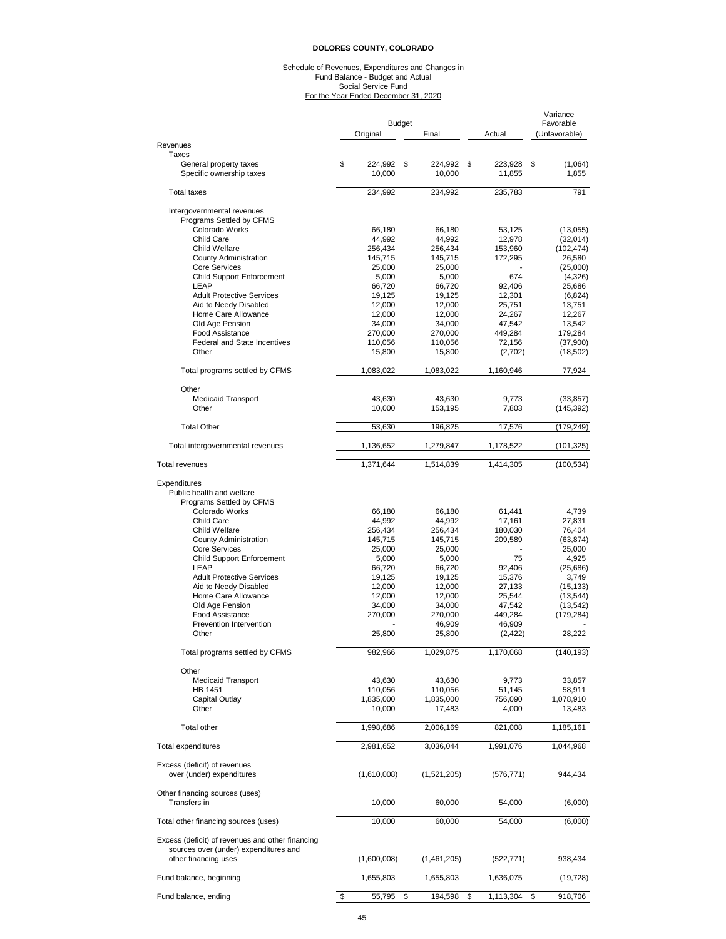## For the Year Ended December 31, 2020 Schedule of Revenues, Expenditures and Changes in Fund Balance - Budget and Actual Social Service Fund

|                                                                                                                                                        |                                        |               |                                        |                                        | Variance                               |
|--------------------------------------------------------------------------------------------------------------------------------------------------------|----------------------------------------|---------------|----------------------------------------|----------------------------------------|----------------------------------------|
|                                                                                                                                                        | Original                               | <b>Budget</b> | Final                                  | Actual                                 | Favorable<br>(Unfavorable)             |
| Revenues                                                                                                                                               |                                        |               |                                        |                                        |                                        |
| Taxes                                                                                                                                                  |                                        |               |                                        |                                        |                                        |
| General property taxes<br>Specific ownership taxes                                                                                                     | \$<br>224,992<br>10,000                | \$            | 224,992<br>10,000                      | \$<br>223,928<br>11,855                | \$<br>(1,064)<br>1,855                 |
| <b>Total taxes</b>                                                                                                                                     | 234,992                                |               | 234,992                                | 235,783                                | 791                                    |
| Intergovernmental revenues                                                                                                                             |                                        |               |                                        |                                        |                                        |
| Programs Settled by CFMS                                                                                                                               |                                        |               |                                        |                                        |                                        |
| Colorado Works<br>Child Care                                                                                                                           | 66,180                                 |               | 66,180                                 | 53,125                                 | (13,055)                               |
| Child Welfare                                                                                                                                          | 44,992<br>256,434                      |               | 44,992<br>256,434                      | 12,978<br>153,960                      | (32,014)<br>(102, 474)                 |
| <b>County Administration</b>                                                                                                                           | 145,715                                |               | 145,715                                | 172,295                                | 26,580                                 |
| <b>Core Services</b>                                                                                                                                   | 25,000                                 |               | 25,000                                 |                                        | (25,000)                               |
| Child Support Enforcement                                                                                                                              | 5,000                                  |               | 5,000                                  | 674                                    | (4,326)                                |
| LEAP                                                                                                                                                   | 66,720                                 |               | 66,720                                 | 92,406                                 | 25,686                                 |
| <b>Adult Protective Services</b><br>Aid to Needy Disabled                                                                                              | 19,125<br>12,000                       |               | 19,125<br>12,000                       | 12,301<br>25,751                       | (6,824)<br>13,751                      |
| Home Care Allowance                                                                                                                                    | 12,000                                 |               | 12,000                                 | 24,267                                 | 12,267                                 |
| Old Age Pension                                                                                                                                        | 34,000                                 |               | 34,000                                 | 47,542                                 | 13,542                                 |
| Food Assistance                                                                                                                                        | 270,000                                |               | 270,000                                | 449,284                                | 179,284                                |
| <b>Federal and State Incentives</b>                                                                                                                    | 110,056                                |               | 110,056                                | 72,156                                 | (37,900)                               |
| Other                                                                                                                                                  | 15,800                                 |               | 15,800                                 | (2,702)                                | (18, 502)                              |
| Total programs settled by CFMS                                                                                                                         | 1,083,022                              |               | 1,083,022                              | 1,160,946                              | 77,924                                 |
| Other                                                                                                                                                  |                                        |               |                                        |                                        |                                        |
| <b>Medicaid Transport</b>                                                                                                                              | 43.630                                 |               | 43,630                                 | 9,773                                  | (33, 857)                              |
| Other                                                                                                                                                  | 10,000                                 |               | 153,195                                | 7,803                                  | (145, 392)                             |
| <b>Total Other</b>                                                                                                                                     | 53,630                                 |               | 196,825                                | 17,576                                 | (179,249)                              |
| Total intergovernmental revenues                                                                                                                       | 1,136,652                              |               | 1,279,847                              | 1,178,522                              | (101, 325)                             |
| <b>Total revenues</b>                                                                                                                                  | 1,371,644                              |               | 1,514,839                              | 1,414,305                              | (100, 534)                             |
| Expenditures<br>Public health and welfare<br>Programs Settled by CFMS<br>Colorado Works<br>Child Care<br>Child Welfare<br><b>County Administration</b> | 66,180<br>44,992<br>256,434<br>145,715 |               | 66,180<br>44,992<br>256,434<br>145,715 | 61,441<br>17,161<br>180,030<br>209,589 | 4,739<br>27,831<br>76,404<br>(63, 874) |
| <b>Core Services</b>                                                                                                                                   | 25,000                                 |               | 25,000                                 |                                        | 25,000                                 |
| <b>Child Support Enforcement</b>                                                                                                                       | 5,000                                  |               | 5,000                                  | 75                                     | 4,925                                  |
| LEAP                                                                                                                                                   | 66,720                                 |               | 66,720                                 | 92,406                                 | (25, 686)                              |
| <b>Adult Protective Services</b>                                                                                                                       | 19,125                                 |               | 19,125                                 | 15,376                                 | 3,749                                  |
| Aid to Needy Disabled<br>Home Care Allowance                                                                                                           | 12,000                                 |               | 12,000<br>12,000                       | 27,133<br>25,544                       | (15,133)                               |
| Old Age Pension                                                                                                                                        | 12,000<br>34,000                       |               | 34,000                                 | 47.542                                 | (13, 544)<br>(13, 542)                 |
| <b>Food Assistance</b>                                                                                                                                 | 270,000                                |               | 270,000                                | 449,284                                | (179,284)                              |
| Prevention Intervention                                                                                                                                |                                        |               | 46,909                                 | 46,909                                 |                                        |
| Other                                                                                                                                                  | 25,800                                 |               | 25,800                                 | (2, 422)                               | 28,222                                 |
| Total programs settled by CFMS                                                                                                                         | 982,966                                |               | 1,029,875                              | 1,170,068                              | (140, 193)                             |
| Other<br><b>Medicaid Transport</b>                                                                                                                     | 43,630                                 |               | 43,630                                 | 9,773                                  |                                        |
| HB 1451                                                                                                                                                | 110,056                                |               | 110,056                                | 51,145                                 | 33,857<br>58,911                       |
| Capital Outlay                                                                                                                                         | 1,835,000                              |               | 1,835,000                              | 756,090                                | 1,078,910                              |
| Other                                                                                                                                                  | 10,000                                 |               | 17,483                                 | 4,000                                  | 13,483                                 |
| <b>Total other</b>                                                                                                                                     | 1,998,686                              |               | 2,006,169                              | 821,008                                | 1,185,161                              |
| <b>Total expenditures</b>                                                                                                                              | 2,981,652                              |               | 3,036,044                              | 1,991,076                              | 1,044,968                              |
| Excess (deficit) of revenues<br>over (under) expenditures                                                                                              | (1,610,008)                            |               | (1,521,205)                            | (576, 771)                             | 944,434                                |
| Other financing sources (uses)<br>Transfers in                                                                                                         | 10,000                                 |               | 60,000                                 | 54,000                                 | (6,000)                                |
| Total other financing sources (uses)                                                                                                                   | 10,000                                 |               | 60,000                                 | 54,000                                 | (6,000)                                |
| Excess (deficit) of revenues and other financing<br>sources over (under) expenditures and<br>other financing uses                                      | (1,600,008)                            |               | (1,461,205)                            | (522, 771)                             | 938,434                                |
| Fund balance, beginning                                                                                                                                | 1,655,803                              |               | 1,655,803                              | 1,636,075                              | (19, 728)                              |
| Fund balance, ending                                                                                                                                   | \$<br>55,795                           | \$            | 194,598                                | \$<br>1,113,304                        | \$<br>918,706                          |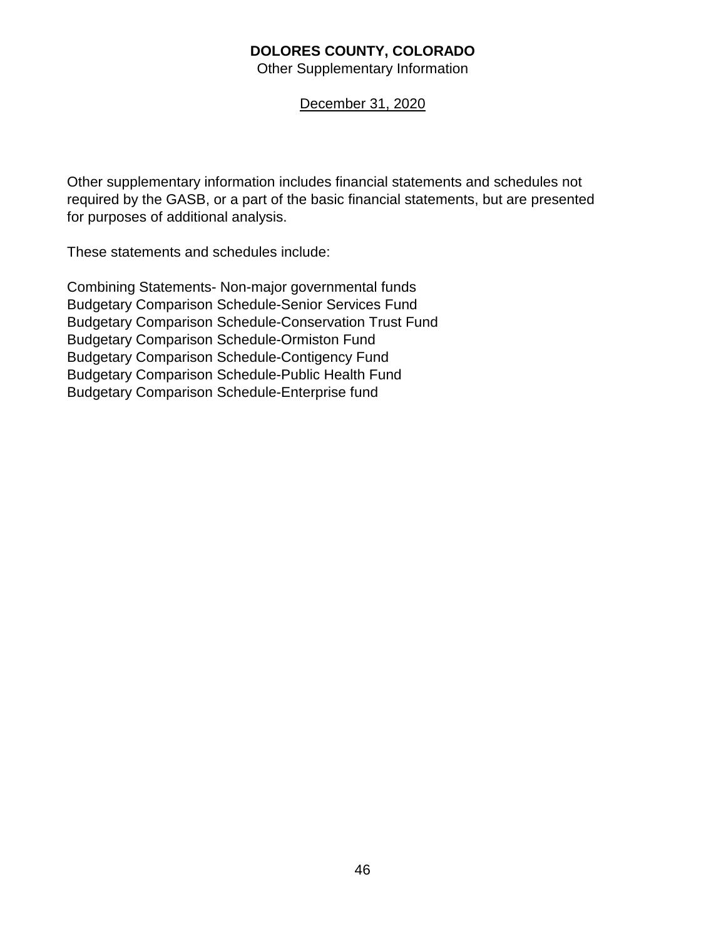Other Supplementary Information

### December 31, 2020

Other supplementary information includes financial statements and schedules not required by the GASB, or a part of the basic financial statements, but are presented for purposes of additional analysis.

These statements and schedules include:

Combining Statements- Non-major governmental funds Budgetary Comparison Schedule-Senior Services Fund Budgetary Comparison Schedule-Conservation Trust Fund Budgetary Comparison Schedule-Ormiston Fund Budgetary Comparison Schedule-Contigency Fund Budgetary Comparison Schedule-Public Health Fund Budgetary Comparison Schedule-Enterprise fund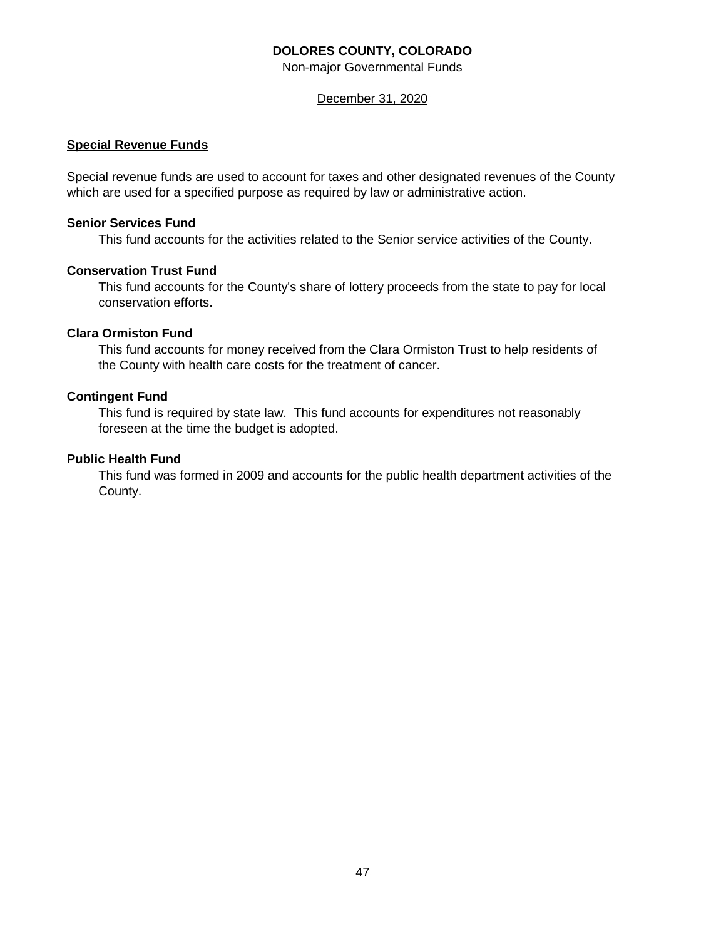Non-major Governmental Funds

#### December 31, 2020

#### **Special Revenue Funds**

Special revenue funds are used to account for taxes and other designated revenues of the County which are used for a specified purpose as required by law or administrative action.

#### **Senior Services Fund**

This fund accounts for the activities related to the Senior service activities of the County.

#### **Conservation Trust Fund**

This fund accounts for the County's share of lottery proceeds from the state to pay for local conservation efforts.

#### **Clara Ormiston Fund**

This fund accounts for money received from the Clara Ormiston Trust to help residents of the County with health care costs for the treatment of cancer.

#### **Contingent Fund**

This fund is required by state law. This fund accounts for expenditures not reasonably foreseen at the time the budget is adopted.

#### **Public Health Fund**

This fund was formed in 2009 and accounts for the public health department activities of the County.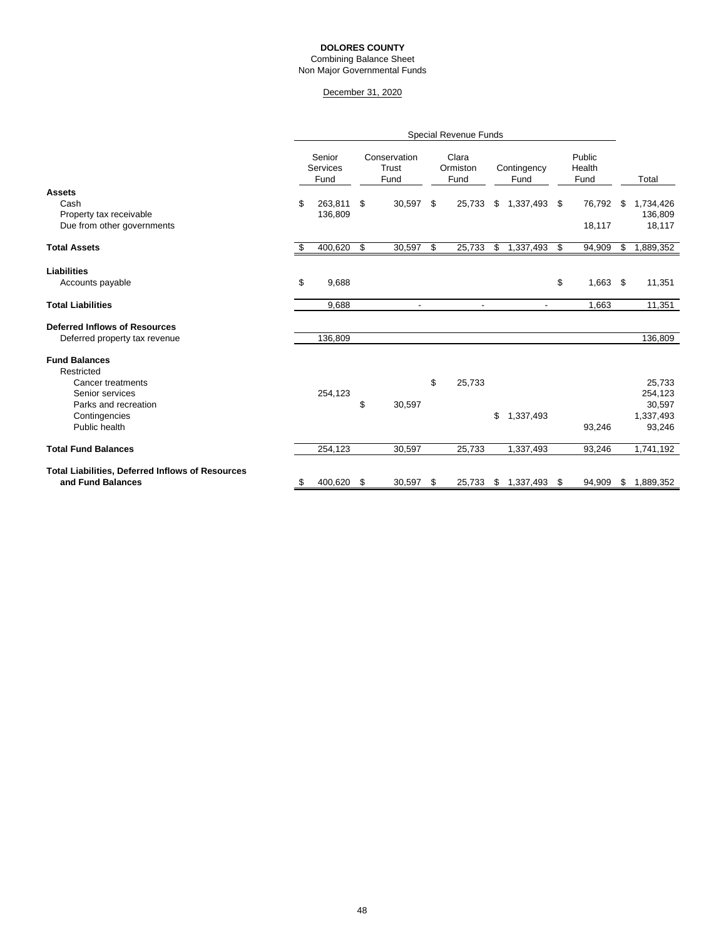Combining Balance Sheet Non Major Governmental Funds

#### December 31, 2020

|                                                                                                       |                                   |                               |      | <b>Special Revenue Funds</b> |                     |                          |    |                                                    |
|-------------------------------------------------------------------------------------------------------|-----------------------------------|-------------------------------|------|------------------------------|---------------------|--------------------------|----|----------------------------------------------------|
|                                                                                                       | Senior<br><b>Services</b><br>Fund | Conservation<br>Trust<br>Fund |      | Clara<br>Ormiston<br>Fund    | Contingency<br>Fund | Public<br>Health<br>Fund |    | Total                                              |
| <b>Assets</b><br>Cash<br>Property tax receivable<br>Due from other governments                        | \$<br>263,811<br>136,809          | \$<br>30,597 \$               |      | 25,733                       | \$<br>1,337,493 \$  | 76,792<br>18,117         | S  | 1,734,426<br>136,809<br>18,117                     |
| <b>Total Assets</b>                                                                                   | \$<br>400,620                     | \$<br>30,597                  | \$   | 25,733                       | \$<br>1,337,493     | \$<br>94,909             | \$ | 1,889,352                                          |
| <b>Liabilities</b><br>Accounts payable                                                                | \$<br>9,688                       |                               |      |                              |                     | \$<br>1,663              | \$ | 11,351                                             |
| <b>Total Liabilities</b>                                                                              | 9,688                             | $\blacksquare$                |      | $\blacksquare$               |                     | 1.663                    |    | 11,351                                             |
| <b>Deferred Inflows of Resources</b><br>Deferred property tax revenue                                 | 136,809                           |                               |      |                              |                     |                          |    | 136,809                                            |
| <b>Fund Balances</b><br>Restricted                                                                    |                                   |                               |      |                              |                     |                          |    |                                                    |
| <b>Cancer treatments</b><br>Senior services<br>Parks and recreation<br>Contingencies<br>Public health | 254,123                           | \$<br>30,597                  | \$   | 25,733                       | \$<br>1,337,493     | 93,246                   |    | 25,733<br>254,123<br>30,597<br>1,337,493<br>93,246 |
| <b>Total Fund Balances</b>                                                                            | 254,123                           | 30,597                        |      | 25,733                       | 1,337,493           | 93,246                   |    | 1,741,192                                          |
| <b>Total Liabilities, Deferred Inflows of Resources</b><br>and Fund Balances                          | \$<br>400,620                     | \$<br>30,597                  | - \$ | 25,733                       | \$1,337,493         | \$<br>94,909             |    | \$1,889,352                                        |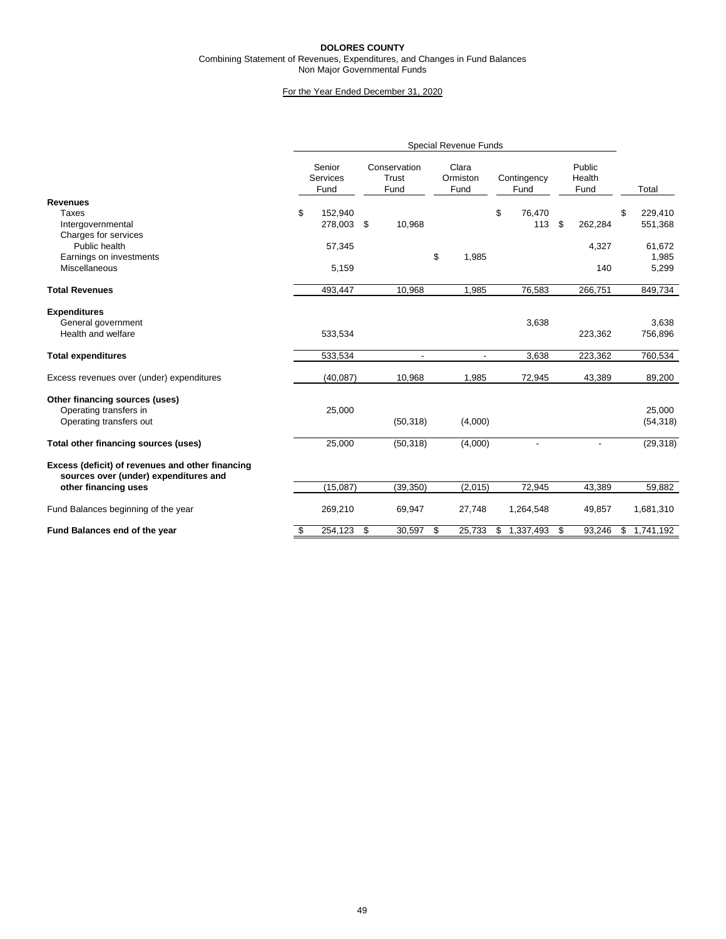#### **DOLORES COUNTY**  Combining Statement of Revenues, Expenditures, and Changes in Fund Balances Non Major Governmental Funds

|                                                                                           |                            |     |                               | Special Revenue Funds     |                     |                          |               |
|-------------------------------------------------------------------------------------------|----------------------------|-----|-------------------------------|---------------------------|---------------------|--------------------------|---------------|
|                                                                                           | Senior<br>Services<br>Fund |     | Conservation<br>Trust<br>Fund | Clara<br>Ormiston<br>Fund | Contingency<br>Fund | Public<br>Health<br>Fund | Total         |
| <b>Revenues</b>                                                                           |                            |     |                               |                           |                     |                          |               |
| Taxes                                                                                     | \$<br>152,940              |     |                               |                           | \$<br>76,470        |                          | \$<br>229,410 |
| Intergovernmental                                                                         | 278,003 \$                 |     | 10,968                        |                           | 113                 | \$<br>262,284            | 551,368       |
| Charges for services                                                                      |                            |     |                               |                           |                     |                          |               |
| Public health                                                                             | 57,345                     |     |                               |                           |                     | 4,327                    | 61,672        |
| Earnings on investments                                                                   |                            |     |                               | \$<br>1,985               |                     |                          | 1,985         |
| <b>Miscellaneous</b>                                                                      | 5,159                      |     |                               |                           |                     | 140                      | 5,299         |
| <b>Total Revenues</b>                                                                     | 493,447                    |     | 10,968                        | 1,985                     | 76,583              | 266,751                  | 849,734       |
| <b>Expenditures</b>                                                                       |                            |     |                               |                           |                     |                          |               |
| General government                                                                        |                            |     |                               |                           | 3,638               |                          | 3,638         |
| Health and welfare                                                                        | 533,534                    |     |                               |                           |                     | 223,362                  | 756,896       |
| <b>Total expenditures</b>                                                                 | 533,534                    |     | $\overline{\phantom{a}}$      | $\overline{\phantom{a}}$  | 3,638               | 223,362                  | 760,534       |
| Excess revenues over (under) expenditures                                                 | (40, 087)                  |     | 10,968                        | 1,985                     | 72,945              | 43,389                   | 89,200        |
| Other financing sources (uses)                                                            |                            |     |                               |                           |                     |                          |               |
| Operating transfers in                                                                    | 25,000                     |     |                               |                           |                     |                          | 25,000        |
| Operating transfers out                                                                   |                            |     | (50, 318)                     | (4,000)                   |                     |                          | (54, 318)     |
| Total other financing sources (uses)                                                      | 25,000                     |     | (50, 318)                     | (4,000)                   |                     |                          | (29, 318)     |
| Excess (deficit) of revenues and other financing<br>sources over (under) expenditures and |                            |     |                               |                           |                     |                          |               |
| other financing uses                                                                      | (15,087)                   |     | (39, 350)                     | (2,015)                   | 72,945              | 43,389                   | 59,882        |
| Fund Balances beginning of the year                                                       | 269,210                    |     | 69,947                        | 27,748                    | 1,264,548           | 49,857                   | 1,681,310     |
| Fund Balances end of the year                                                             | \$<br>254,123              | -\$ | 30,597                        | \$<br>25,733              | \$<br>1,337,493     | \$<br>93,246             | \$1,741,192   |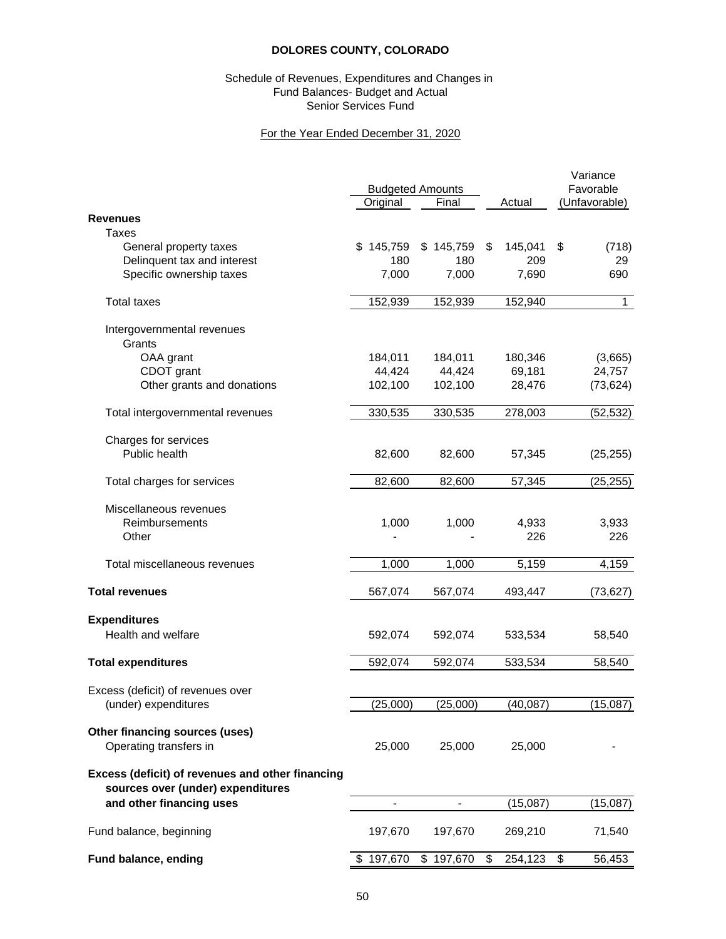#### Senior Services Fund Schedule of Revenues, Expenditures and Changes in Fund Balances- Budget and Actual

|                                                  |                | <b>Budgeted Amounts</b> |               | Variance<br>Favorable |
|--------------------------------------------------|----------------|-------------------------|---------------|-----------------------|
|                                                  | Original       | Final                   | Actual        | (Unfavorable)         |
| <b>Revenues</b>                                  |                |                         |               |                       |
| Taxes                                            |                |                         |               |                       |
| General property taxes                           | \$145,759      | \$145,759               | 145,041<br>\$ | \$<br>(718)           |
| Delinquent tax and interest                      | 180            | 180                     | 209           | 29                    |
| Specific ownership taxes                         | 7,000          | 7,000                   | 7,690         | 690                   |
| <b>Total taxes</b>                               | 152,939        | 152,939                 | 152,940       | 1                     |
| Intergovernmental revenues                       |                |                         |               |                       |
| Grants                                           |                |                         |               |                       |
| OAA grant                                        | 184,011        | 184,011                 | 180,346       | (3,665)               |
| CDOT grant                                       | 44,424         | 44,424                  | 69,181        | 24,757                |
| Other grants and donations                       | 102,100        | 102,100                 | 28,476        | (73, 624)             |
| Total intergovernmental revenues                 | 330,535        | 330,535                 | 278,003       | (52, 532)             |
| Charges for services                             |                |                         |               |                       |
| Public health                                    | 82,600         | 82,600                  | 57,345        | (25, 255)             |
| Total charges for services                       | 82,600         | 82,600                  | 57,345        | (25, 255)             |
| Miscellaneous revenues                           |                |                         |               |                       |
| Reimbursements                                   | 1,000          | 1,000                   | 4,933         | 3,933                 |
| Other                                            |                |                         | 226           | 226                   |
| Total miscellaneous revenues                     | 1,000          | 1,000                   | 5,159         | 4,159                 |
| <b>Total revenues</b>                            | 567,074        | 567,074                 | 493,447       | (73, 627)             |
| <b>Expenditures</b>                              |                |                         |               |                       |
| Health and welfare                               | 592,074        | 592,074                 | 533,534       | 58,540                |
| <b>Total expenditures</b>                        | 592,074        | 592,074                 | 533,534       | 58,540                |
| Excess (deficit) of revenues over                |                |                         |               |                       |
| (under) expenditures                             | (25,000)       | (25,000)                | (40, 087)     | (15,087)              |
| Other financing sources (uses)                   |                |                         |               |                       |
| Operating transfers in                           | 25,000         | 25,000                  | 25,000        |                       |
| Excess (deficit) of revenues and other financing |                |                         |               |                       |
| sources over (under) expenditures                |                |                         |               |                       |
| and other financing uses                         |                |                         | (15,087)      | (15,087)              |
| Fund balance, beginning                          | 197,670        | 197,670                 | 269,210       | 71,540                |
| Fund balance, ending                             | 197,670<br>\$. | \$197,670               | \$<br>254,123 | \$<br>56,453          |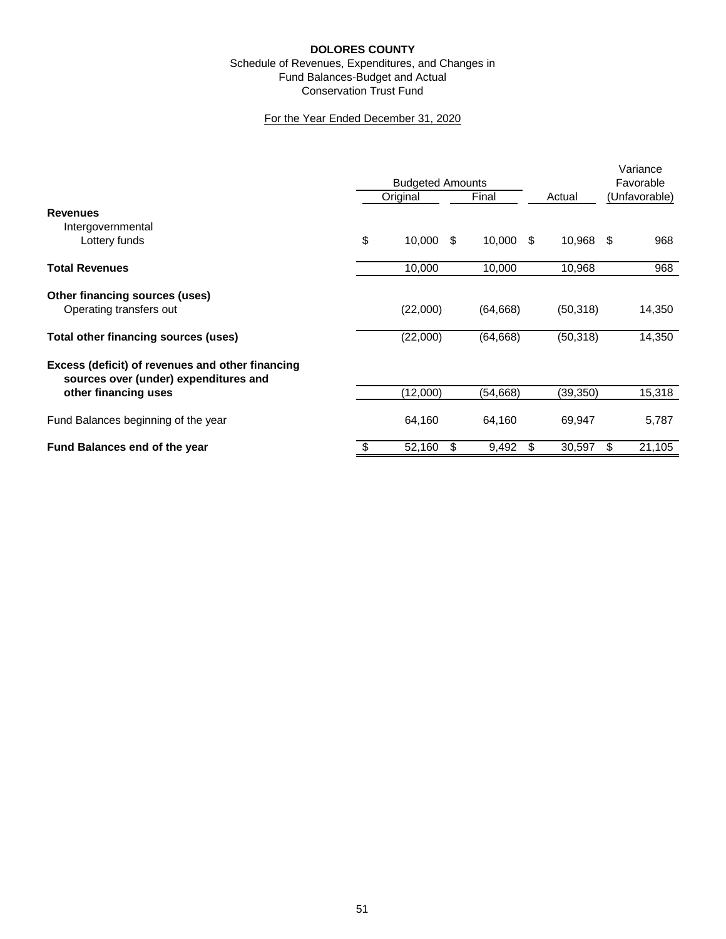#### Schedule of Revenues, Expenditures, and Changes in Fund Balances-Budget and Actual Conservation Trust Fund

|                                                                                           | <b>Budgeted Amounts</b> |              |      |           |               | Variance<br>Favorable |
|-------------------------------------------------------------------------------------------|-------------------------|--------------|------|-----------|---------------|-----------------------|
|                                                                                           | Original                | Final        |      | Actual    | (Unfavorable) |                       |
| <b>Revenues</b><br>Intergovernmental<br>Lottery funds                                     | \$<br>10,000            | \$<br>10,000 | - \$ | 10,968    | -\$           | 968                   |
| Total Revenues                                                                            | 10,000                  | 10,000       |      | 10,968    |               | 968                   |
| Other financing sources (uses)<br>Operating transfers out                                 | (22,000)                | (64, 668)    |      | (50, 318) |               | 14,350                |
| Total other financing sources (uses)                                                      | (22,000)                | (64, 668)    |      | (50, 318) |               | 14,350                |
| Excess (deficit) of revenues and other financing<br>sources over (under) expenditures and |                         |              |      |           |               |                       |
| other financing uses                                                                      | (12,000)                | (54,668)     |      | (39,350)  |               | 15,318                |
| Fund Balances beginning of the year                                                       | 64,160                  | 64,160       |      | 69,947    |               | 5,787                 |
| Fund Balances end of the year                                                             | \$<br>52,160            | \$<br>9,492  | S    | 30,597    | S             | 21,105                |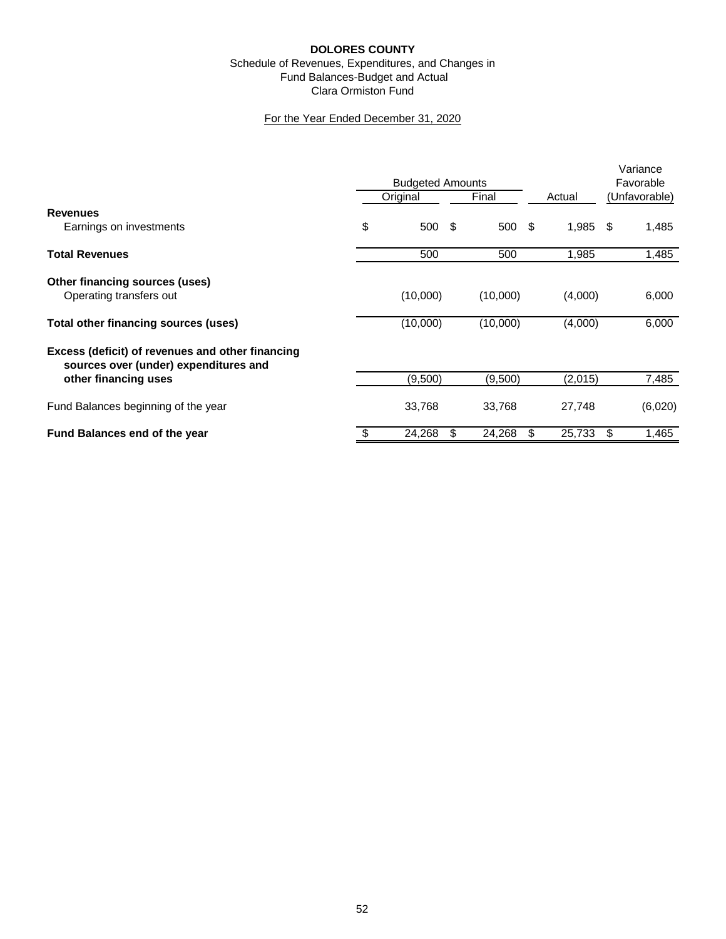#### Schedule of Revenues, Expenditures, and Changes in Fund Balances-Budget and Actual Clara Ormiston Fund

|                                                                                           | <b>Budgeted Amounts</b> |                   |     |          |        |               | Variance<br>Favorable |         |
|-------------------------------------------------------------------------------------------|-------------------------|-------------------|-----|----------|--------|---------------|-----------------------|---------|
|                                                                                           |                         | Final<br>Original |     |          | Actual | (Unfavorable) |                       |         |
| <b>Revenues</b><br>Earnings on investments                                                | \$                      | 500               | -\$ | 500      | \$.    | 1,985         | S                     | 1,485   |
| <b>Total Revenues</b>                                                                     |                         | 500               |     | 500      |        | 1,985         |                       | 1,485   |
| Other financing sources (uses)<br>Operating transfers out                                 |                         | (10,000)          |     | (10,000) |        | (4,000)       |                       | 6,000   |
| Total other financing sources (uses)                                                      |                         | (10,000)          |     | (10,000) |        | (4,000)       |                       | 6,000   |
| Excess (deficit) of revenues and other financing<br>sources over (under) expenditures and |                         |                   |     |          |        |               |                       |         |
| other financing uses                                                                      |                         | (9,500)           |     | (9,500)  |        | (2,015)       |                       | 7,485   |
| Fund Balances beginning of the year                                                       |                         | 33,768            |     | 33,768   |        | 27,748        |                       | (6,020) |
| Fund Balances end of the year                                                             |                         | 24,268            |     | 24,268   | S      | 25,733        | S                     | 1,465   |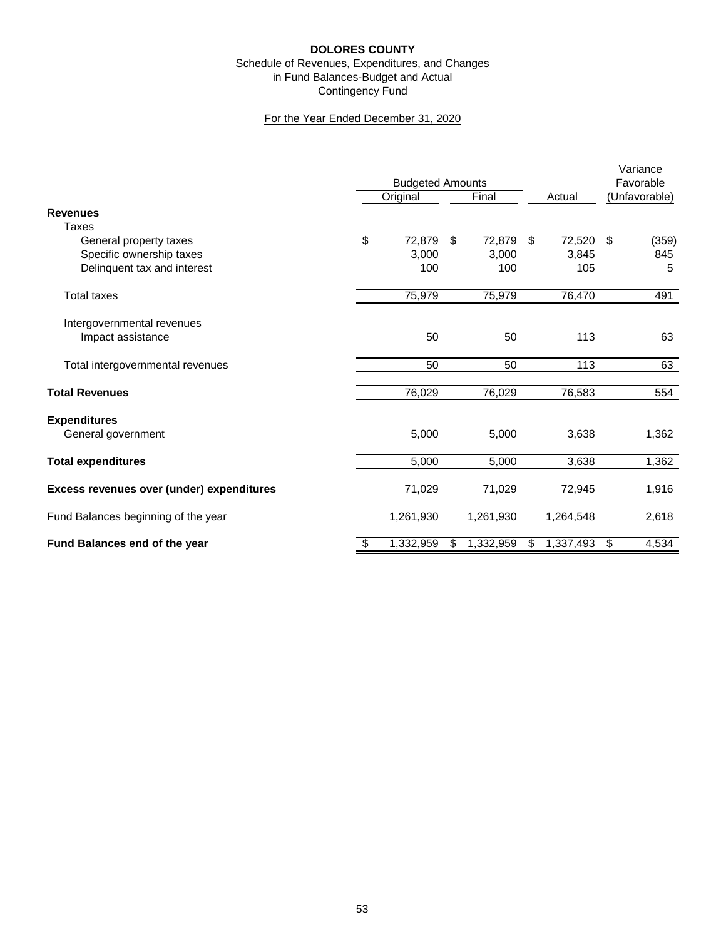#### Schedule of Revenues, Expenditures, and Changes in Fund Balances-Budget and Actual Contingency Fund

|                                           | <b>Budgeted Amounts</b> |    |           |    |           |    | Variance<br>Favorable |  |
|-------------------------------------------|-------------------------|----|-----------|----|-----------|----|-----------------------|--|
|                                           | Original                |    | Final     |    | Actual    |    | (Unfavorable)         |  |
| <b>Revenues</b>                           |                         |    |           |    |           |    |                       |  |
| Taxes                                     |                         |    |           |    |           |    |                       |  |
| General property taxes                    | \$<br>72,879            | \$ | 72,879    | \$ | 72,520    | \$ | (359)                 |  |
| Specific ownership taxes                  | 3,000                   |    | 3,000     |    | 3,845     |    | 845                   |  |
| Delinquent tax and interest               | 100                     |    | 100       |    | 105       |    | 5                     |  |
| <b>Total taxes</b>                        | 75,979                  |    | 75,979    |    | 76,470    |    | 491                   |  |
| Intergovernmental revenues                |                         |    |           |    |           |    |                       |  |
| Impact assistance                         | 50                      |    | 50        |    | 113       |    | 63                    |  |
| Total intergovernmental revenues          | 50                      |    | 50        |    | 113       |    | 63                    |  |
| <b>Total Revenues</b>                     | 76,029                  |    | 76,029    |    | 76,583    |    | 554                   |  |
| <b>Expenditures</b>                       |                         |    |           |    |           |    |                       |  |
| General government                        | 5,000                   |    | 5,000     |    | 3,638     |    | 1,362                 |  |
| <b>Total expenditures</b>                 | 5,000                   |    | 5,000     |    | 3,638     |    | 1,362                 |  |
| Excess revenues over (under) expenditures | 71,029                  |    | 71,029    |    | 72,945    |    | 1,916                 |  |
| Fund Balances beginning of the year       | 1,261,930               |    | 1,261,930 |    | 1,264,548 |    | 2,618                 |  |
| Fund Balances end of the year             | \$<br>1,332,959         | S  | 1,332,959 | S  | 1,337,493 | \$ | 4,534                 |  |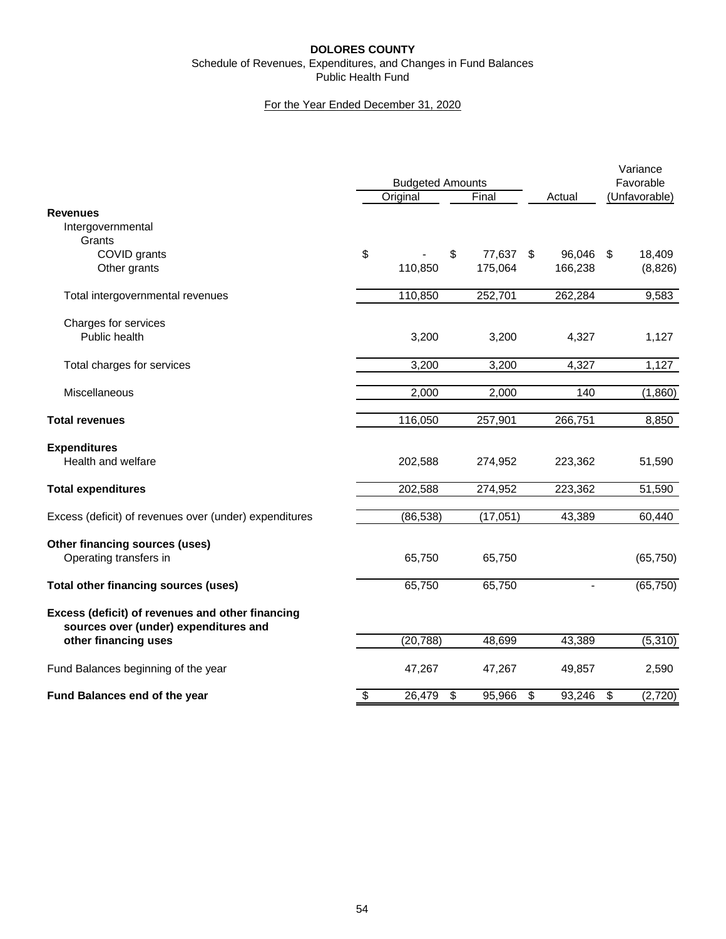Schedule of Revenues, Expenditures, and Changes in Fund Balances Public Health Fund

|                                                                                           |                 | <b>Budgeted Amounts</b> |                 |          |    | Variance<br>Favorable |    |               |
|-------------------------------------------------------------------------------------------|-----------------|-------------------------|-----------------|----------|----|-----------------------|----|---------------|
|                                                                                           |                 | Original                |                 | Final    |    | Actual                |    | (Unfavorable) |
| <b>Revenues</b>                                                                           |                 |                         |                 |          |    |                       |    |               |
| Intergovernmental                                                                         |                 |                         |                 |          |    |                       |    |               |
| Grants                                                                                    |                 |                         |                 |          |    |                       |    |               |
| COVID grants                                                                              | \$              |                         | \$              | 77,637   | \$ | 96,046                | \$ | 18,409        |
| Other grants                                                                              |                 | 110,850                 |                 | 175,064  |    | 166,238               |    | (8,826)       |
| Total intergovernmental revenues                                                          |                 | 110,850                 |                 | 252,701  |    | 262,284               |    | 9,583         |
| Charges for services                                                                      |                 |                         |                 |          |    |                       |    |               |
| Public health                                                                             |                 | 3,200                   |                 | 3,200    |    | 4,327                 |    | 1,127         |
|                                                                                           |                 |                         |                 |          |    |                       |    |               |
| Total charges for services                                                                |                 | 3,200                   |                 | 3,200    |    | 4,327                 |    | 1,127         |
| Miscellaneous                                                                             |                 | 2,000                   |                 | 2,000    |    | 140                   |    | (1,860)       |
| <b>Total revenues</b>                                                                     |                 | 116,050                 |                 | 257,901  |    | 266,751               |    | 8,850         |
| <b>Expenditures</b>                                                                       |                 |                         |                 |          |    |                       |    |               |
| Health and welfare                                                                        |                 | 202,588                 |                 | 274,952  |    | 223,362               |    | 51,590        |
| <b>Total expenditures</b>                                                                 |                 | 202,588                 |                 | 274,952  |    | 223,362               |    | 51,590        |
| Excess (deficit) of revenues over (under) expenditures                                    |                 | (86, 538)               |                 | (17,051) |    | 43,389                |    | 60,440        |
| Other financing sources (uses)                                                            |                 |                         |                 |          |    |                       |    |               |
| Operating transfers in                                                                    |                 | 65,750                  |                 | 65,750   |    |                       |    | (65, 750)     |
| <b>Total other financing sources (uses)</b>                                               |                 | 65,750                  |                 | 65,750   |    | $\blacksquare$        |    | (65, 750)     |
| Excess (deficit) of revenues and other financing<br>sources over (under) expenditures and |                 |                         |                 |          |    |                       |    |               |
| other financing uses                                                                      |                 | (20, 788)               |                 | 48,699   |    | 43,389                |    | (5,310)       |
| Fund Balances beginning of the year                                                       |                 | 47,267                  |                 | 47,267   |    | 49,857                |    | 2,590         |
| Fund Balances end of the year                                                             | $\overline{\$}$ | 26,479                  | $\overline{\$}$ | 95,966   | \$ | 93,246                | \$ | (2,720)       |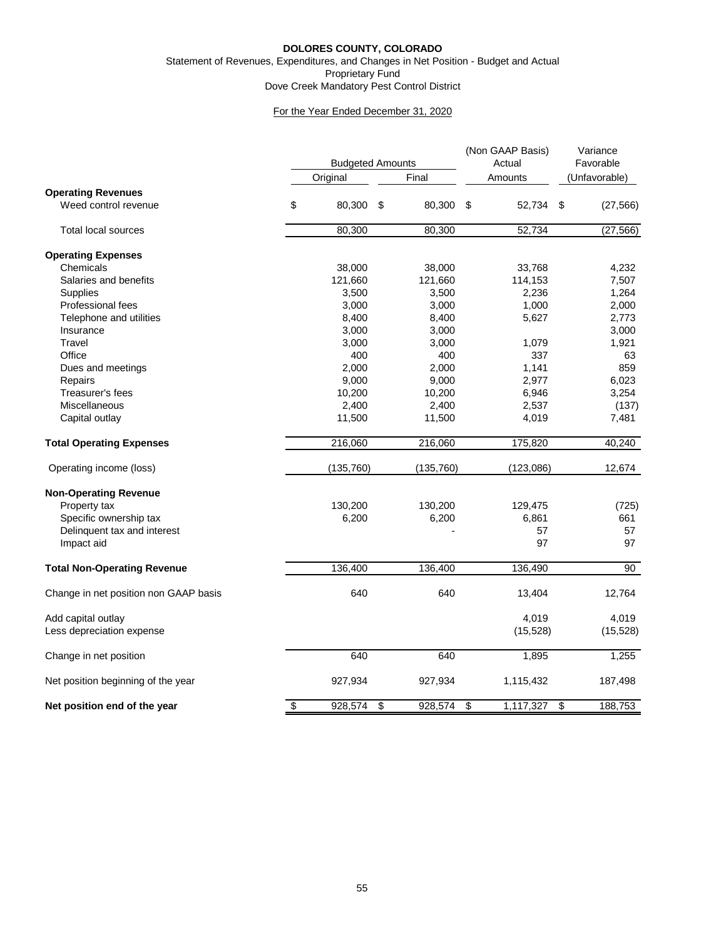#### Statement of Revenues, Expenditures, and Changes in Net Position - Budget and Actual Proprietary Fund Dove Creek Mandatory Pest Control District

|                                                 | <b>Budgeted Amounts</b> |           |    | (Non GAAP Basis)<br>Actual | Variance<br>Favorable |                    |    |                    |  |
|-------------------------------------------------|-------------------------|-----------|----|----------------------------|-----------------------|--------------------|----|--------------------|--|
|                                                 |                         | Original  |    | Final                      |                       | Amounts            |    | (Unfavorable)      |  |
| <b>Operating Revenues</b>                       |                         |           |    |                            |                       |                    |    |                    |  |
| Weed control revenue                            | \$                      | 80,300    | \$ | 80,300                     | \$                    | 52,734             | \$ | (27, 566)          |  |
| <b>Total local sources</b>                      |                         | 80,300    |    | 80,300                     |                       | 52,734             |    | (27, 566)          |  |
| <b>Operating Expenses</b>                       |                         |           |    |                            |                       |                    |    |                    |  |
| Chemicals                                       |                         | 38,000    |    | 38,000                     |                       | 33,768             |    | 4,232              |  |
| Salaries and benefits                           |                         | 121,660   |    | 121,660                    |                       | 114,153            |    | 7,507              |  |
| Supplies                                        |                         | 3,500     |    | 3,500                      |                       | 2,236              |    | 1,264              |  |
| Professional fees                               |                         | 3,000     |    | 3,000                      |                       | 1,000              |    | 2,000              |  |
| Telephone and utilities                         |                         | 8,400     |    | 8,400                      |                       | 5,627              |    | 2,773              |  |
| Insurance                                       |                         | 3,000     |    | 3,000                      |                       |                    |    | 3,000              |  |
| Travel                                          |                         | 3,000     |    | 3,000                      |                       | 1,079              |    | 1,921              |  |
| Office                                          |                         | 400       |    | 400                        |                       | 337                |    | 63                 |  |
| Dues and meetings                               |                         | 2,000     |    | 2,000                      |                       | 1,141              |    | 859                |  |
| Repairs                                         |                         | 9,000     |    | 9,000                      |                       | 2,977              |    | 6,023              |  |
| Treasurer's fees                                |                         | 10,200    |    | 10,200                     |                       | 6,946              |    | 3,254              |  |
| Miscellaneous                                   |                         | 2,400     |    | 2,400                      |                       | 2,537              |    | (137)              |  |
| Capital outlay                                  |                         | 11,500    |    | 11,500                     |                       | 4,019              |    | 7,481              |  |
| <b>Total Operating Expenses</b>                 |                         | 216,060   |    | 216,060                    |                       | 175,820            |    | 40,240             |  |
| Operating income (loss)                         |                         | (135,760) |    | (135, 760)                 |                       | (123,086)          |    | 12,674             |  |
| <b>Non-Operating Revenue</b>                    |                         |           |    |                            |                       |                    |    |                    |  |
| Property tax                                    |                         | 130,200   |    | 130,200                    |                       | 129,475            |    | (725)              |  |
| Specific ownership tax                          |                         | 6,200     |    | 6,200                      |                       | 6,861              |    | 661                |  |
| Delinquent tax and interest                     |                         |           |    |                            |                       | 57                 |    | 57                 |  |
| Impact aid                                      |                         |           |    |                            |                       | 97                 |    | 97                 |  |
| <b>Total Non-Operating Revenue</b>              |                         | 136,400   |    | 136,400                    |                       | 136,490            |    | 90                 |  |
| Change in net position non GAAP basis           |                         | 640       |    | 640                        |                       | 13,404             |    | 12,764             |  |
|                                                 |                         |           |    |                            |                       |                    |    |                    |  |
| Add capital outlay<br>Less depreciation expense |                         |           |    |                            |                       | 4,019<br>(15, 528) |    | 4,019<br>(15, 528) |  |
|                                                 |                         | 640       |    | 640                        |                       |                    |    | 1,255              |  |
| Change in net position                          |                         |           |    |                            |                       | 1,895              |    |                    |  |
| Net position beginning of the year              |                         | 927,934   |    | 927,934                    |                       | 1,115,432          |    | 187,498            |  |
| Net position end of the year                    | \$                      | 928,574   | \$ | 928,574                    | $\sqrt{2}$            | 1,117,327          | \$ | 188,753            |  |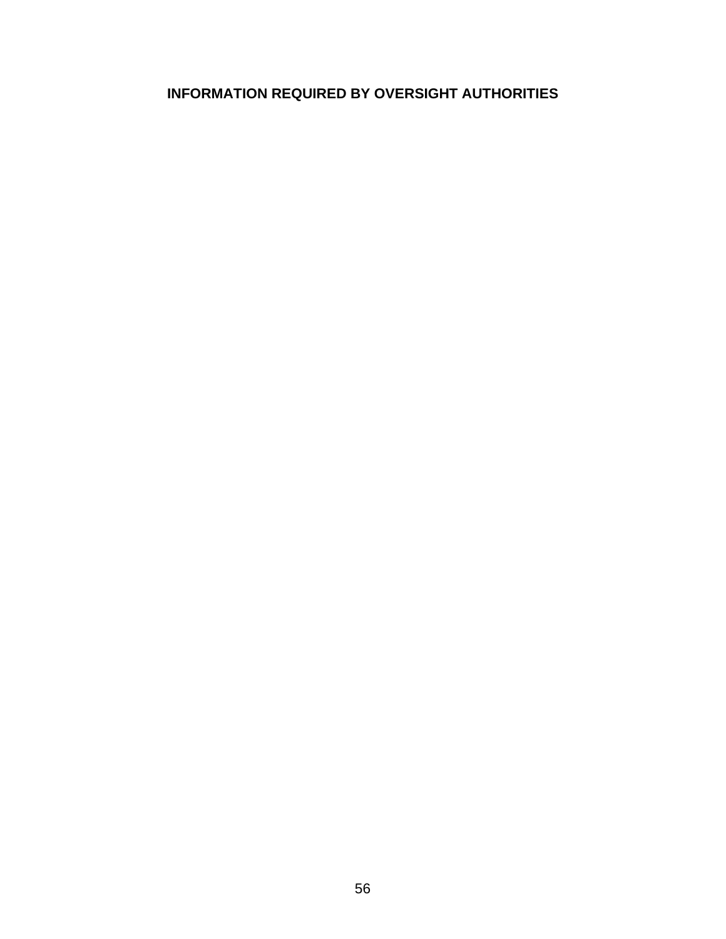# **INFORMATION REQUIRED BY OVERSIGHT AUTHORITIES**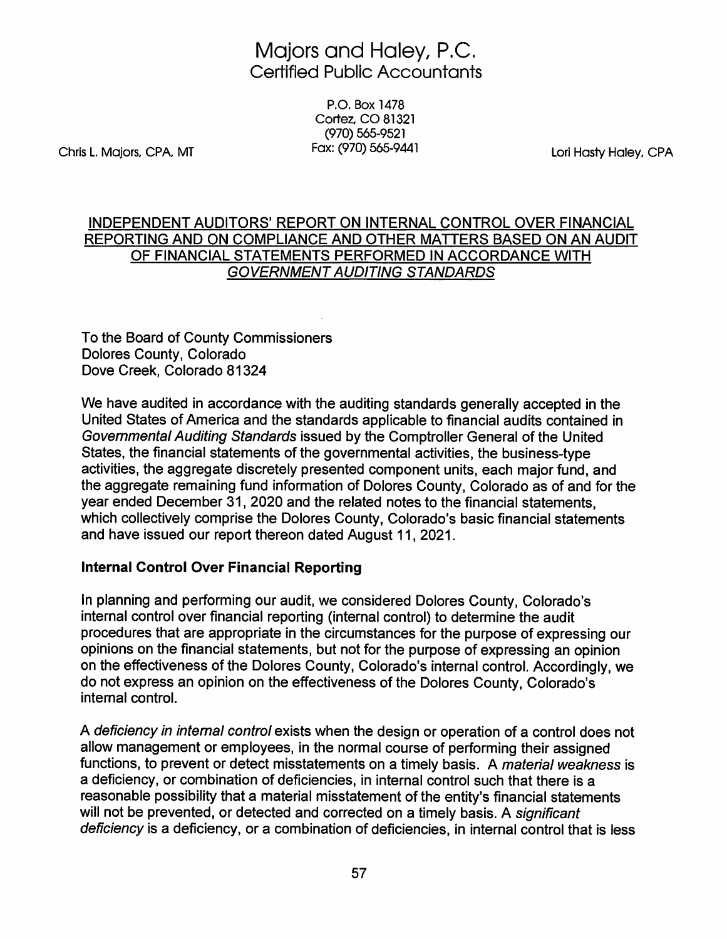# Majors and Haley, P.C. **Certified Public Accountants**

P.O. Box 1478 **Cortez, CO 81321** (970) 565-9521 Fax: (970) 565-9441

Chris L. Majors, CPA, MT

Lori Hasty Haley, CPA

### INDEPENDENT AUDITORS' REPORT ON INTERNAL CONTROL OVER FINANCIAL REPORTING AND ON COMPLIANCE AND OTHER MATTERS BASED ON AN AUDIT OF FINANCIAL STATEMENTS PERFORMED IN ACCORDANCE WITH **GOVERNMENT AUDITING STANDARDS**

To the Board of County Commissioners Dolores County, Colorado Dove Creek, Colorado 81324

We have audited in accordance with the auditing standards generally accepted in the United States of America and the standards applicable to financial audits contained in Governmental Auditing Standards issued by the Comptroller General of the United States, the financial statements of the governmental activities, the business-type activities, the aggregate discretely presented component units, each major fund, and the aggregate remaining fund information of Dolores County, Colorado as of and for the year ended December 31, 2020 and the related notes to the financial statements. which collectively comprise the Dolores County, Colorado's basic financial statements and have issued our report thereon dated August 11, 2021.

### **Internal Control Over Financial Reporting**

In planning and performing our audit, we considered Dolores County, Colorado's internal control over financial reporting (internal control) to determine the audit procedures that are appropriate in the circumstances for the purpose of expressing our opinions on the financial statements, but not for the purpose of expressing an opinion on the effectiveness of the Dolores County, Colorado's internal control. Accordingly, we do not express an opinion on the effectiveness of the Dolores County, Colorado's internal control.

A deficiency in internal control exists when the design or operation of a control does not allow management or employees, in the normal course of performing their assigned functions, to prevent or detect misstatements on a timely basis. A material weakness is a deficiency, or combination of deficiencies, in internal control such that there is a reasonable possibility that a material misstatement of the entity's financial statements will not be prevented, or detected and corrected on a timely basis. A significant deficiency is a deficiency, or a combination of deficiencies, in internal control that is less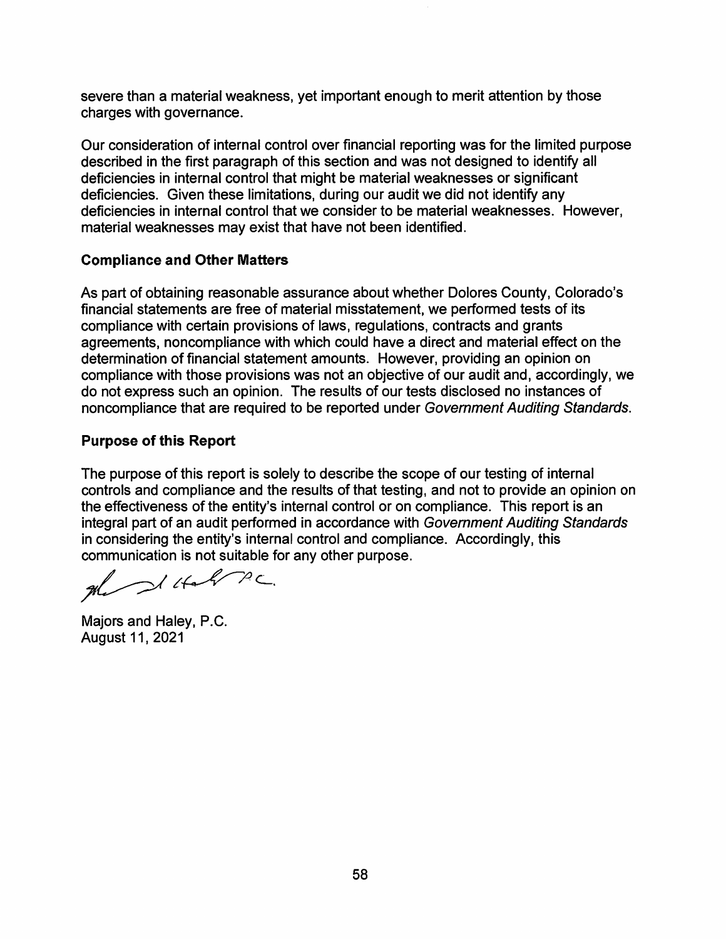severe than a material weakness, yet important enough to merit attention by those charges with governance.

Our consideration of internal control over financial reporting was for the limited purpose described in the first paragraph of this section and was not designed to identify all deficiencies in internal control that might be material weaknesses or significant deficiencies. Given these limitations, during our audit we did not identify any deficiencies in internal control that we consider to be material weaknesses. However, material weaknesses may exist that have not been identified.

## **Compliance and Other Matters**

As part of obtaining reasonable assurance about whether Dolores County, Colorado's financial statements are free of material misstatement, we performed tests of its compliance with certain provisions of laws, regulations, contracts and grants agreements, noncompliance with which could have a direct and material effect on the determination of financial statement amounts. However, providing an opinion on compliance with those provisions was not an objective of our audit and, accordingly, we do not express such an opinion. The results of our tests disclosed no instances of noncompliance that are required to be reported under Government Auditing Standards.

## **Purpose of this Report**

The purpose of this report is solely to describe the scope of our testing of internal controls and compliance and the results of that testing, and not to provide an opinion on the effectiveness of the entity's internal control or on compliance. This report is an integral part of an audit performed in accordance with Government Auditing Standards in considering the entity's internal control and compliance. Accordingly, this communication is not suitable for any other purpose.

gle I Halv P.C.

Majors and Haley, P.C. August 11, 2021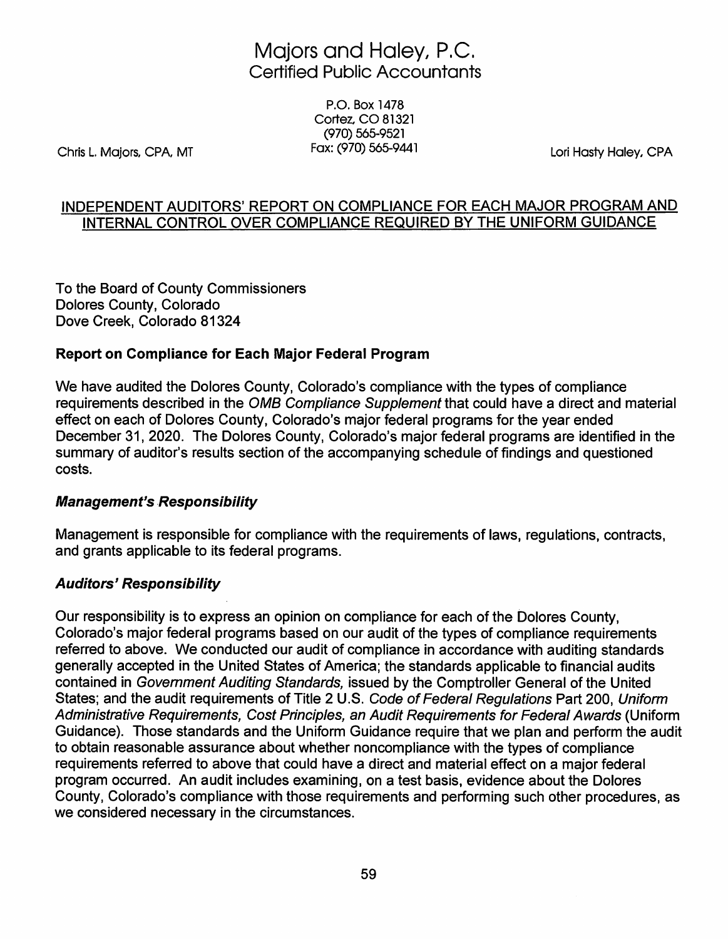# Majors and Haley, P.C. **Certified Public Accountants**

P.O. Box 1478 Cortez, CO 81321 (970) 565-9521 Fax: (970) 565-9441

Chris L. Majors, CPA, MT

Lori Hasty Haley, CPA

### INDEPENDENT AUDITORS' REPORT ON COMPLIANCE FOR EACH MAJOR PROGRAM AND INTERNAL CONTROL OVER COMPLIANCE REQUIRED BY THE UNIFORM GUIDANCE

To the Board of County Commissioners Dolores County, Colorado Dove Creek, Colorado 81324

### **Report on Compliance for Each Major Federal Program**

We have audited the Dolores County, Colorado's compliance with the types of compliance requirements described in the OMB Compliance Supplement that could have a direct and material effect on each of Dolores County, Colorado's major federal programs for the year ended December 31, 2020. The Dolores County, Colorado's maior federal programs are identified in the summary of auditor's results section of the accompanying schedule of findings and questioned costs.

### **Management's Responsibility**

Management is responsible for compliance with the requirements of laws, regulations, contracts, and grants applicable to its federal programs.

### **Auditors' Responsibility**

Our responsibility is to express an opinion on compliance for each of the Dolores County. Colorado's major federal programs based on our audit of the types of compliance requirements referred to above. We conducted our audit of compliance in accordance with auditing standards generally accepted in the United States of America; the standards applicable to financial audits contained in Government Auditing Standards, issued by the Comptroller General of the United States; and the audit requirements of Title 2 U.S. Code of Federal Requiations Part 200, Uniform Administrative Requirements, Cost Principles, an Audit Requirements for Federal Awards (Uniform Guidance). Those standards and the Uniform Guidance require that we plan and perform the audit to obtain reasonable assurance about whether noncompliance with the types of compliance requirements referred to above that could have a direct and material effect on a major federal program occurred. An audit includes examining, on a test basis, evidence about the Dolores County, Colorado's compliance with those requirements and performing such other procedures, as we considered necessary in the circumstances.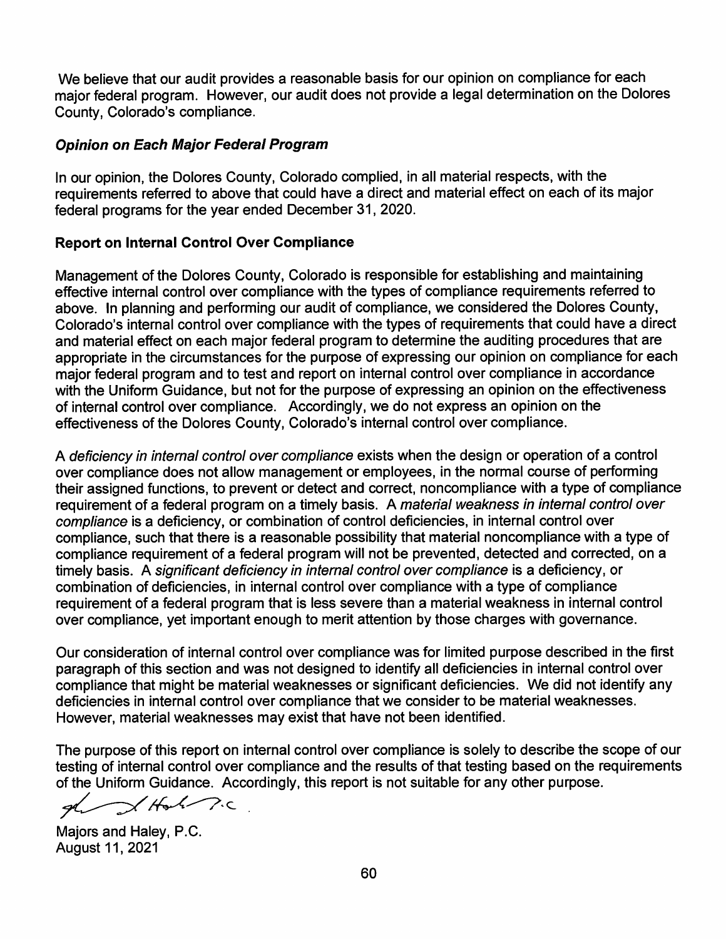We believe that our audit provides a reasonable basis for our opinion on compliance for each major federal program. However, our audit does not provide a legal determination on the Dolores County, Colorado's compliance.

## **Opinion on Each Major Federal Program**

In our opinion, the Dolores County, Colorado complied, in all material respects, with the requirements referred to above that could have a direct and material effect on each of its major federal programs for the year ended December 31, 2020.

## **Report on Internal Control Over Compliance**

Management of the Dolores County, Colorado is responsible for establishing and maintaining effective internal control over compliance with the types of compliance requirements referred to above. In planning and performing our audit of compliance, we considered the Dolores County, Colorado's internal control over compliance with the types of requirements that could have a direct and material effect on each major federal program to determine the auditing procedures that are appropriate in the circumstances for the purpose of expressing our opinion on compliance for each major federal program and to test and report on internal control over compliance in accordance with the Uniform Guidance, but not for the purpose of expressing an opinion on the effectiveness of internal control over compliance. Accordingly, we do not express an opinion on the effectiveness of the Dolores County, Colorado's internal control over compliance.

A deficiency in internal control over compliance exists when the design or operation of a control over compliance does not allow management or employees, in the normal course of performing their assigned functions, to prevent or detect and correct, noncompliance with a type of compliance requirement of a federal program on a timely basis. A material weakness in internal control over compliance is a deficiency, or combination of control deficiencies, in internal control over compliance, such that there is a reasonable possibility that material noncompliance with a type of compliance requirement of a federal program will not be prevented, detected and corrected, on a timely basis. A significant deficiency in internal control over compliance is a deficiency, or combination of deficiencies, in internal control over compliance with a type of compliance requirement of a federal program that is less severe than a material weakness in internal control over compliance, yet important enough to merit attention by those charges with governance.

Our consideration of internal control over compliance was for limited purpose described in the first paragraph of this section and was not designed to identify all deficiencies in internal control over compliance that might be material weaknesses or significant deficiencies. We did not identify any deficiencies in internal control over compliance that we consider to be material weaknesses. However, material weaknesses may exist that have not been identified.

The purpose of this report on internal control over compliance is solely to describe the scope of our testing of internal control over compliance and the results of that testing based on the requirements of the Uniform Guidance. Accordingly, this report is not suitable for any other purpose.

I Holme

Majors and Haley, P.C. August 11, 2021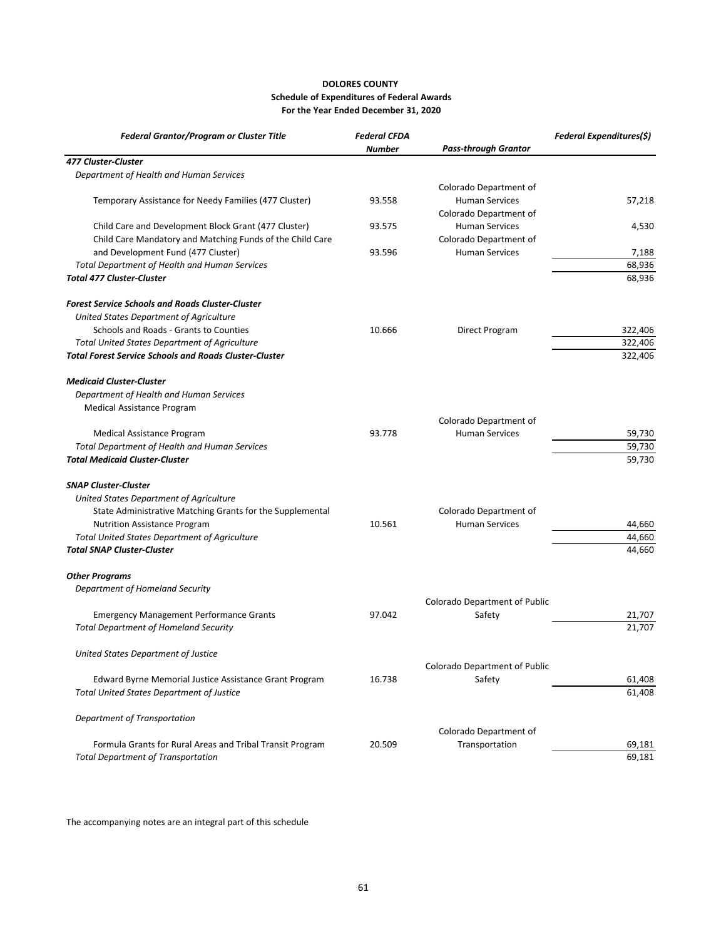#### **DOLORES COUNTY Schedule of Expenditures of Federal Awards For the Year Ended December 31, 2020**

| Federal Grantor/Program or Cluster Title                      | <b>Federal CFDA</b> |                               | <b>Federal Expenditures(\$)</b> |
|---------------------------------------------------------------|---------------------|-------------------------------|---------------------------------|
|                                                               | <b>Number</b>       | <b>Pass-through Grantor</b>   |                                 |
| 477 Cluster-Cluster                                           |                     |                               |                                 |
| Department of Health and Human Services                       |                     |                               |                                 |
|                                                               |                     | Colorado Department of        |                                 |
| Temporary Assistance for Needy Families (477 Cluster)         | 93.558              | <b>Human Services</b>         | 57,218                          |
|                                                               |                     | Colorado Department of        |                                 |
| Child Care and Development Block Grant (477 Cluster)          | 93.575              | <b>Human Services</b>         | 4,530                           |
| Child Care Mandatory and Matching Funds of the Child Care     |                     | Colorado Department of        |                                 |
| and Development Fund (477 Cluster)                            | 93.596              | <b>Human Services</b>         | 7,188                           |
| <b>Total Department of Health and Human Services</b>          |                     |                               | 68,936                          |
| <b>Total 477 Cluster-Cluster</b>                              |                     |                               | 68,936                          |
| <b>Forest Service Schools and Roads Cluster-Cluster</b>       |                     |                               |                                 |
| United States Department of Agriculture                       |                     |                               |                                 |
| Schools and Roads - Grants to Counties                        | 10.666              | Direct Program                | 322,406                         |
| <b>Total United States Department of Agriculture</b>          |                     |                               | 322,406                         |
| <b>Total Forest Service Schools and Roads Cluster-Cluster</b> |                     |                               | 322,406                         |
|                                                               |                     |                               |                                 |
| <b>Medicaid Cluster-Cluster</b>                               |                     |                               |                                 |
| Department of Health and Human Services                       |                     |                               |                                 |
| <b>Medical Assistance Program</b>                             |                     |                               |                                 |
|                                                               |                     | Colorado Department of        |                                 |
| Medical Assistance Program                                    | 93.778              | <b>Human Services</b>         | 59,730                          |
| <b>Total Department of Health and Human Services</b>          |                     |                               | 59,730                          |
| <b>Total Medicaid Cluster-Cluster</b>                         |                     |                               | 59,730                          |
| <b>SNAP Cluster-Cluster</b>                                   |                     |                               |                                 |
| United States Department of Agriculture                       |                     |                               |                                 |
| State Administrative Matching Grants for the Supplemental     |                     | Colorado Department of        |                                 |
| <b>Nutrition Assistance Program</b>                           | 10.561              | <b>Human Services</b>         | 44,660                          |
| <b>Total United States Department of Agriculture</b>          |                     |                               | 44,660                          |
| <b>Total SNAP Cluster-Cluster</b>                             |                     |                               | 44,660                          |
| <b>Other Programs</b>                                         |                     |                               |                                 |
| Department of Homeland Security                               |                     |                               |                                 |
|                                                               |                     | Colorado Department of Public |                                 |
| <b>Emergency Management Performance Grants</b>                | 97.042              | Safety                        | 21,707                          |
| <b>Total Department of Homeland Security</b>                  |                     |                               | 21,707                          |
|                                                               |                     |                               |                                 |
| United States Department of Justice                           |                     |                               |                                 |
|                                                               |                     | Colorado Department of Public |                                 |
| Edward Byrne Memorial Justice Assistance Grant Program        | 16.738              | Safety                        | 61,408                          |
| <b>Total United States Department of Justice</b>              |                     |                               | 61,408                          |
| Department of Transportation                                  |                     |                               |                                 |
|                                                               |                     | Colorado Department of        |                                 |
| Formula Grants for Rural Areas and Tribal Transit Program     | 20.509              | Transportation                | 69,181                          |
| <b>Total Department of Transportation</b>                     |                     |                               | 69,181                          |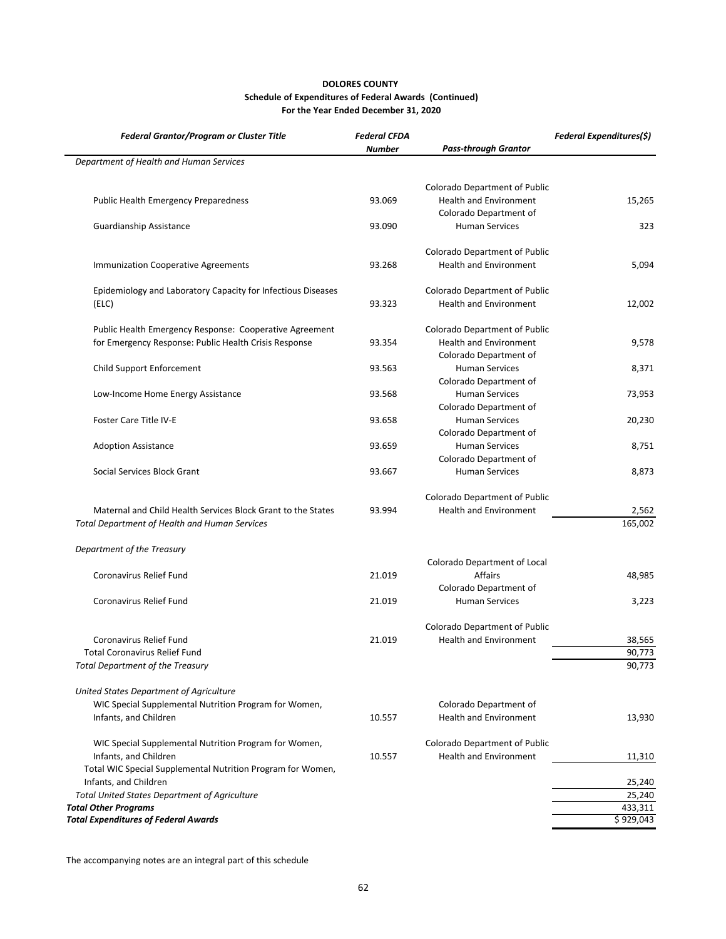#### **DOLORES COUNTY Schedule of Expenditures of Federal Awards (Continued) For the Year Ended December 31, 2020**

| <b>Federal Grantor/Program or Cluster Title</b>                                                                           | <b>Federal CFDA</b><br><b>Pass-through Grantor</b><br><b>Number</b> |                                                                       | <b>Federal Expenditures(\$)</b> |
|---------------------------------------------------------------------------------------------------------------------------|---------------------------------------------------------------------|-----------------------------------------------------------------------|---------------------------------|
| Department of Health and Human Services                                                                                   |                                                                     |                                                                       |                                 |
| <b>Public Health Emergency Preparedness</b>                                                                               | 93.069                                                              | Colorado Department of Public<br><b>Health and Environment</b>        | 15,265                          |
| Guardianship Assistance                                                                                                   | 93.090                                                              | Colorado Department of<br><b>Human Services</b>                       | 323                             |
|                                                                                                                           |                                                                     | Colorado Department of Public                                         |                                 |
| <b>Immunization Cooperative Agreements</b>                                                                                | 93.268                                                              | <b>Health and Environment</b>                                         | 5,094                           |
| Epidemiology and Laboratory Capacity for Infectious Diseases<br>(ELC)                                                     | 93.323                                                              | Colorado Department of Public<br><b>Health and Environment</b>        | 12,002                          |
| Public Health Emergency Response: Cooperative Agreement                                                                   |                                                                     | Colorado Department of Public                                         |                                 |
| for Emergency Response: Public Health Crisis Response                                                                     | 93.354                                                              | <b>Health and Environment</b><br>Colorado Department of               | 9,578                           |
| Child Support Enforcement                                                                                                 | 93.563                                                              | <b>Human Services</b><br>Colorado Department of                       | 8,371                           |
| Low-Income Home Energy Assistance                                                                                         | 93.568                                                              | <b>Human Services</b><br>Colorado Department of                       | 73,953                          |
| <b>Foster Care Title IV-E</b>                                                                                             | 93.658                                                              | <b>Human Services</b><br>Colorado Department of                       | 20,230                          |
| <b>Adoption Assistance</b>                                                                                                | 93.659                                                              | <b>Human Services</b><br>Colorado Department of                       | 8,751                           |
| Social Services Block Grant                                                                                               | 93.667                                                              | <b>Human Services</b>                                                 | 8,873                           |
| Maternal and Child Health Services Block Grant to the States<br><b>Total Department of Health and Human Services</b>      | 93.994                                                              | Colorado Department of Public<br><b>Health and Environment</b>        | 2,562<br>165,002                |
| Department of the Treasury                                                                                                |                                                                     |                                                                       |                                 |
| Coronavirus Relief Fund                                                                                                   | 21.019                                                              | Colorado Department of Local<br>Affairs<br>Colorado Department of     | 48,985                          |
| Coronavirus Relief Fund                                                                                                   | 21.019                                                              | <b>Human Services</b>                                                 | 3,223                           |
| Coronavirus Relief Fund                                                                                                   | 21.019                                                              | <b>Colorado Department of Public</b><br><b>Health and Environment</b> | 38,565                          |
| <b>Total Coronavirus Relief Fund</b>                                                                                      |                                                                     |                                                                       | 90,773                          |
| <b>Total Department of the Treasury</b>                                                                                   |                                                                     |                                                                       | 90,773                          |
| United States Department of Agriculture<br>WIC Special Supplemental Nutrition Program for Women,<br>Infants, and Children | 10.557                                                              | Colorado Department of<br><b>Health and Environment</b>               | 13,930                          |
| WIC Special Supplemental Nutrition Program for Women,<br>Infants, and Children                                            | 10.557                                                              | Colorado Department of Public<br><b>Health and Environment</b>        | 11,310                          |
| Total WIC Special Supplemental Nutrition Program for Women,                                                               |                                                                     |                                                                       |                                 |
| Infants, and Children                                                                                                     |                                                                     |                                                                       | 25,240                          |
| <b>Total United States Department of Agriculture</b><br><b>Total Other Programs</b>                                       |                                                                     |                                                                       | 25,240<br>433,311               |
| <b>Total Expenditures of Federal Awards</b>                                                                               |                                                                     |                                                                       | \$929,043                       |
|                                                                                                                           |                                                                     |                                                                       |                                 |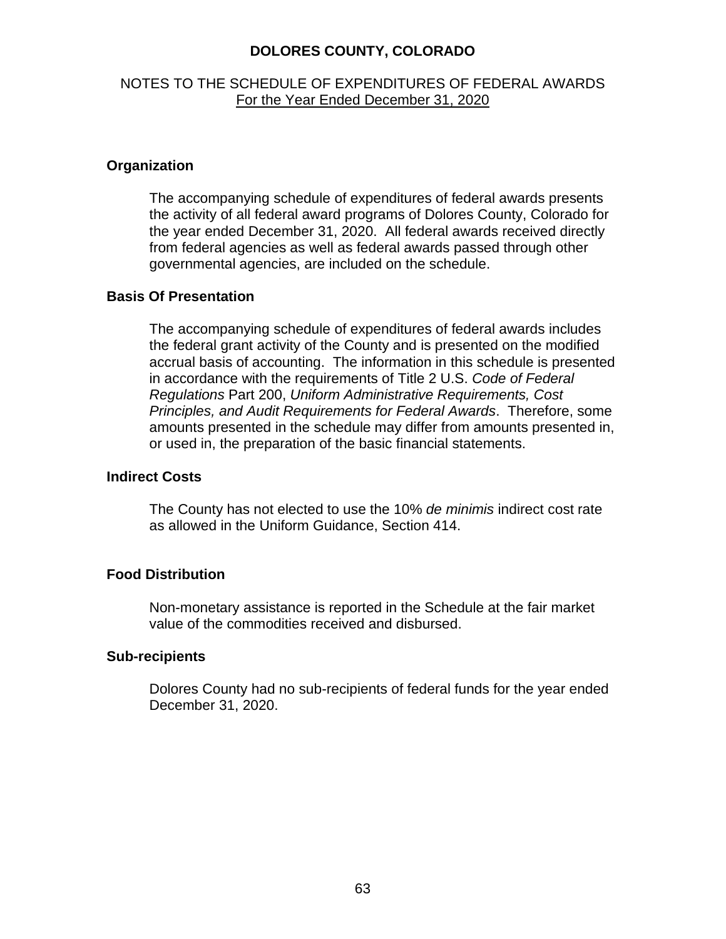### NOTES TO THE SCHEDULE OF EXPENDITURES OF FEDERAL AWARDS For the Year Ended December 31, 2020

### **Organization**

The accompanying schedule of expenditures of federal awards presents the activity of all federal award programs of Dolores County, Colorado for the year ended December 31, 2020. All federal awards received directly from federal agencies as well as federal awards passed through other governmental agencies, are included on the schedule.

### **Basis Of Presentation**

The accompanying schedule of expenditures of federal awards includes the federal grant activity of the County and is presented on the modified accrual basis of accounting. The information in this schedule is presented in accordance with the requirements of Title 2 U.S. *Code of Federal Regulations* Part 200, *Uniform Administrative Requirements, Cost Principles, and Audit Requirements for Federal Awards*. Therefore, some amounts presented in the schedule may differ from amounts presented in, or used in, the preparation of the basic financial statements.

#### **Indirect Costs**

The County has not elected to use the 10% *de minimis* indirect cost rate as allowed in the Uniform Guidance, Section 414.

### **Food Distribution**

Non-monetary assistance is reported in the Schedule at the fair market value of the commodities received and disbursed.

#### **Sub-recipients**

Dolores County had no sub-recipients of federal funds for the year ended December 31, 2020.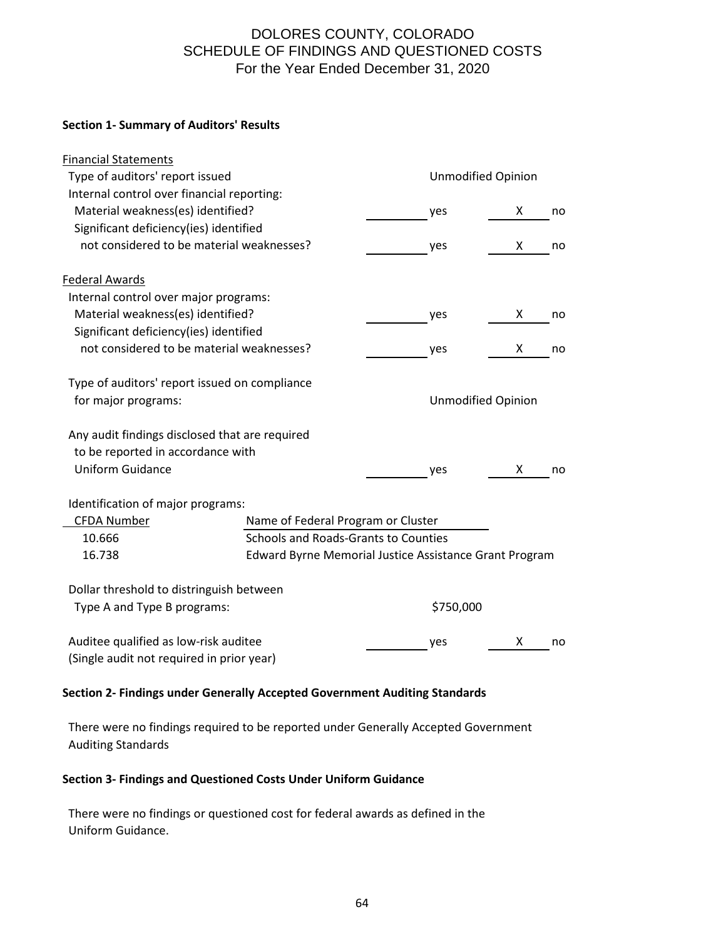## DOLORES COUNTY, COLORADO SCHEDULE OF FINDINGS AND QUESTIONED COSTS For the Year Ended December 31, 2020

#### **Section 1- Summary of Auditors' Results**

| <b>Financial Statements</b>                    |                                      |                                                        |                           |    |
|------------------------------------------------|--------------------------------------|--------------------------------------------------------|---------------------------|----|
| Type of auditors' report issued                |                                      | <b>Unmodified Opinion</b>                              |                           |    |
| Internal control over financial reporting:     |                                      |                                                        |                           |    |
| Material weakness(es) identified?              |                                      | yes                                                    | x                         | no |
| Significant deficiency(ies) identified         |                                      |                                                        |                           |    |
| not considered to be material weaknesses?      |                                      | yes                                                    | x                         | no |
| <b>Federal Awards</b>                          |                                      |                                                        |                           |    |
| Internal control over major programs:          |                                      |                                                        |                           |    |
| Material weakness(es) identified?              |                                      | yes                                                    | х                         | no |
| Significant deficiency(ies) identified         |                                      |                                                        |                           |    |
| not considered to be material weaknesses?      |                                      | yes                                                    | х                         | no |
| Type of auditors' report issued on compliance  |                                      |                                                        |                           |    |
| for major programs:                            |                                      |                                                        | <b>Unmodified Opinion</b> |    |
| Any audit findings disclosed that are required |                                      |                                                        |                           |    |
| to be reported in accordance with              |                                      |                                                        |                           |    |
| <b>Uniform Guidance</b>                        |                                      | yes                                                    | X                         | no |
| Identification of major programs:              |                                      |                                                        |                           |    |
| <b>CFDA Number</b>                             | Name of Federal Program or Cluster   |                                                        |                           |    |
| 10.666                                         | Schools and Roads-Grants to Counties |                                                        |                           |    |
| 16.738                                         |                                      | Edward Byrne Memorial Justice Assistance Grant Program |                           |    |
| Dollar threshold to distringuish between       |                                      |                                                        |                           |    |
| Type A and Type B programs:                    |                                      | \$750,000                                              |                           |    |
| Auditee qualified as low-risk auditee          |                                      | yes                                                    | х                         | no |
| (Single audit not required in prior year)      |                                      |                                                        |                           |    |

#### **Section 2- Findings under Generally Accepted Government Auditing Standards**

 There were no findings required to be reported under Generally Accepted Government Auditing Standards

#### **Section 3- Findings and Questioned Costs Under Uniform Guidance**

 There were no findings or questioned cost for federal awards as defined in the Uniform Guidance.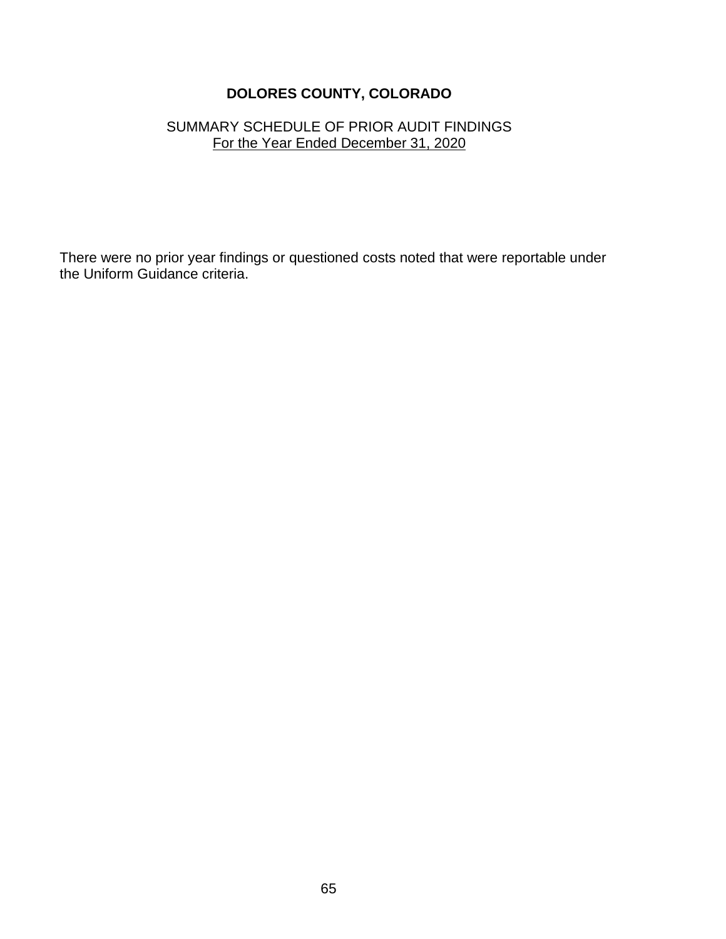## SUMMARY SCHEDULE OF PRIOR AUDIT FINDINGS For the Year Ended December 31, 2020

There were no prior year findings or questioned costs noted that were reportable under the Uniform Guidance criteria.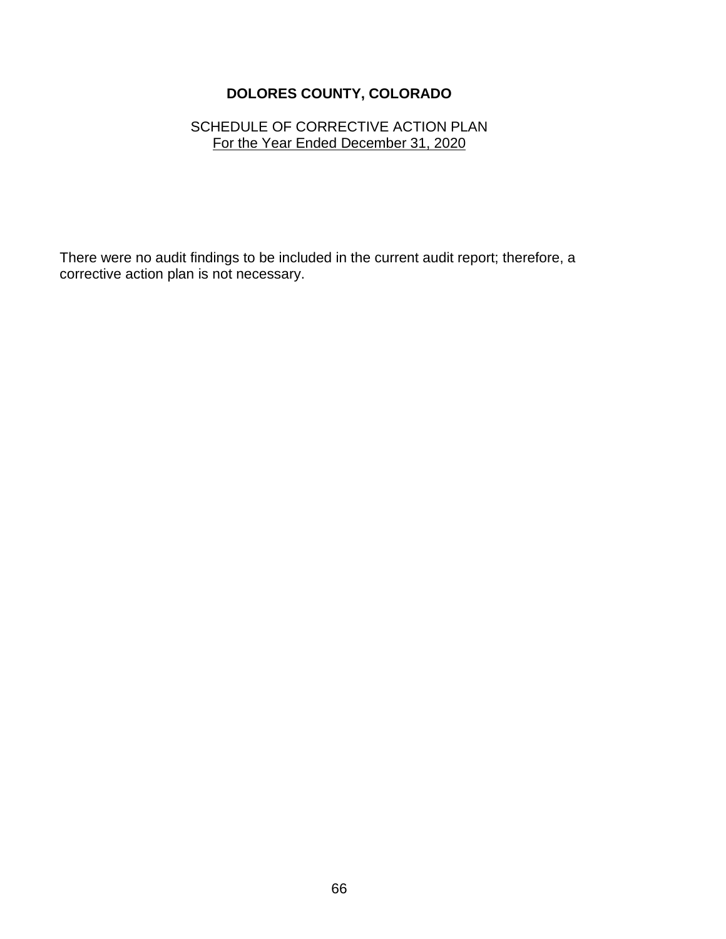## SCHEDULE OF CORRECTIVE ACTION PLAN For the Year Ended December 31, 2020

There were no audit findings to be included in the current audit report; therefore, a corrective action plan is not necessary.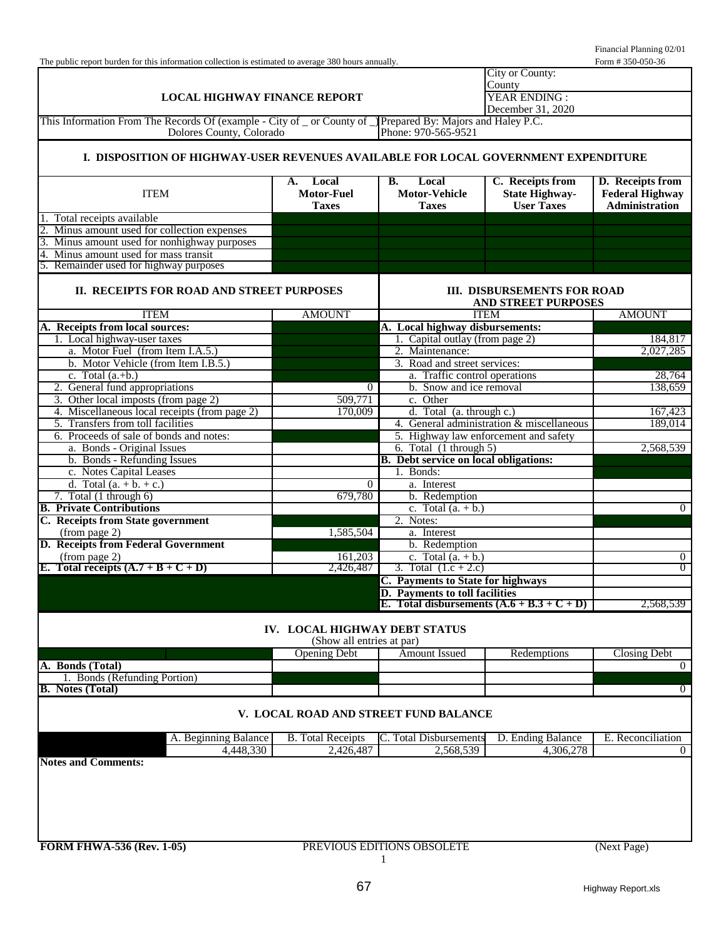Financial Planning 02/01

| The public report burden for this information collection is estimated to average 380 hours annually. |                               |                                              |                                                                  | Form $\#$ 350-050-36   |  |  |
|------------------------------------------------------------------------------------------------------|-------------------------------|----------------------------------------------|------------------------------------------------------------------|------------------------|--|--|
|                                                                                                      |                               |                                              | City or County:                                                  |                        |  |  |
|                                                                                                      |                               |                                              | County                                                           |                        |  |  |
| <b>LOCAL HIGHWAY FINANCE REPORT</b>                                                                  |                               |                                              | <b>YEAR ENDING:</b>                                              |                        |  |  |
|                                                                                                      |                               |                                              | December 31, 2020                                                |                        |  |  |
| This Information From The Records Of (example - City of _ or County of _                             |                               | Prepared By: Majors and Haley P.C.           |                                                                  |                        |  |  |
| Dolores County, Colorado                                                                             |                               | Phone: 970-565-9521                          |                                                                  |                        |  |  |
| I. DISPOSITION OF HIGHWAY-USER REVENUES AVAILABLE FOR LOCAL GOVERNMENT EXPENDITURE                   |                               |                                              |                                                                  |                        |  |  |
|                                                                                                      | A.<br>Local                   | <b>B.</b><br>Local                           | C. Receipts from                                                 | D. Receipts from       |  |  |
| <b>ITEM</b>                                                                                          | <b>Motor-Fuel</b>             | <b>Motor-Vehicle</b>                         | <b>State Highway-</b>                                            | <b>Federal Highway</b> |  |  |
|                                                                                                      | <b>Taxes</b>                  | <b>Taxes</b>                                 | <b>User Taxes</b>                                                | Administration         |  |  |
| 1. Total receipts available                                                                          |                               |                                              |                                                                  |                        |  |  |
| 2. Minus amount used for collection expenses                                                         |                               |                                              |                                                                  |                        |  |  |
| 3. Minus amount used for nonhighway purposes                                                         |                               |                                              |                                                                  |                        |  |  |
| 4. Minus amount used for mass transit                                                                |                               |                                              |                                                                  |                        |  |  |
| 5. Remainder used for highway purposes                                                               |                               |                                              |                                                                  |                        |  |  |
|                                                                                                      |                               |                                              |                                                                  |                        |  |  |
| II. RECEIPTS FOR ROAD AND STREET PURPOSES                                                            |                               |                                              | <b>III. DISBURSEMENTS FOR ROAD</b><br><b>AND STREET PURPOSES</b> |                        |  |  |
| <b>ITEM</b>                                                                                          | <b>AMOUNT</b>                 | <b>ITEM</b>                                  |                                                                  | <b>AMOUNT</b>          |  |  |
| A. Receipts from local sources:                                                                      |                               | A. Local highway disbursements:              |                                                                  |                        |  |  |
| 1. Local highway-user taxes                                                                          |                               | 1. Capital outlay (from page 2)              |                                                                  | 184,817                |  |  |
| a. Motor Fuel (from Item I.A.5.)                                                                     |                               | 2. Maintenance:                              |                                                                  | 2,027,285              |  |  |
| b. Motor Vehicle (from Item I.B.5.)                                                                  |                               | 3. Road and street services:                 |                                                                  |                        |  |  |
| c. Total $(a.+b.)$                                                                                   |                               | a. Traffic control operations                |                                                                  | 28,764                 |  |  |
| 2. General fund appropriations                                                                       | $\overline{0}$                | b. Snow and ice removal                      |                                                                  | 138,659                |  |  |
| 3. Other local imposts (from page 2)                                                                 | 509,771                       | c. Other                                     |                                                                  |                        |  |  |
| 4. Miscellaneous local receipts (from page 2)                                                        | 170,009                       | d. Total (a. through c.)                     |                                                                  | 167,423                |  |  |
| 5. Transfers from toll facilities                                                                    |                               |                                              | 4. General administration & miscellaneous                        |                        |  |  |
| 6. Proceeds of sale of bonds and notes:                                                              |                               | 5. Highway law enforcement and safety        | 189,014                                                          |                        |  |  |
| a. Bonds - Original Issues                                                                           |                               | 6. Total $(1$ through 5)                     | 2,568,539                                                        |                        |  |  |
| b. Bonds - Refunding Issues                                                                          |                               | <b>B.</b> Debt service on local obligations: |                                                                  |                        |  |  |
| c. Notes Capital Leases                                                                              |                               | 1. Bonds:                                    |                                                                  |                        |  |  |
| d. Total $(a. + b. + c.)$                                                                            | $\overline{0}$                | a. Interest                                  |                                                                  |                        |  |  |
| 7. Total $(1$ through $6)$                                                                           | 679,780                       | b. Redemption                                |                                                                  |                        |  |  |
| <b>B.</b> Private Contributions                                                                      |                               | c. Total $(a. + b.)$                         | $\Omega$                                                         |                        |  |  |
| C. Receipts from State government                                                                    |                               | 2. Notes:                                    |                                                                  |                        |  |  |
| (from page 2)                                                                                        | 1,585,504                     | a. Interest                                  |                                                                  |                        |  |  |
| <b>D.</b> Receipts from Federal Government                                                           |                               | b. Redemption                                |                                                                  |                        |  |  |
| (from page 2)                                                                                        | 161,203                       | c. Total $(a. + b.)$                         |                                                                  | $\overline{0}$         |  |  |
| <b>E.</b> Total receipts $(A.7 + B + C + D)$                                                         | 2,426,487                     | 3. Total $(1.c + 2.c)$                       |                                                                  | $\overline{0}$         |  |  |
|                                                                                                      |                               | C. Payments to State for highways            |                                                                  |                        |  |  |
|                                                                                                      |                               | D. Payments to toll facilities               |                                                                  |                        |  |  |
|                                                                                                      |                               | E. Total disbursements $(A.6 + B.3 + C + D)$ |                                                                  | 2,568,539              |  |  |
|                                                                                                      | IV. LOCAL HIGHWAY DEBT STATUS |                                              |                                                                  |                        |  |  |
|                                                                                                      | (Show all entries at par)     |                                              |                                                                  |                        |  |  |
|                                                                                                      | <b>Opening Debt</b>           | Amount Issued                                | Redemptions                                                      | Closing Debt           |  |  |
| A. Bonds (Total)                                                                                     |                               |                                              |                                                                  | $\theta$               |  |  |
| 1. Bonds (Refunding Portion)                                                                         |                               |                                              |                                                                  |                        |  |  |
| <b>B.</b> Notes (Total)                                                                              |                               |                                              |                                                                  | $\overline{0}$         |  |  |
|                                                                                                      |                               |                                              |                                                                  |                        |  |  |
|                                                                                                      |                               | V. LOCAL ROAD AND STREET FUND BALANCE        |                                                                  |                        |  |  |
| A. Beginning Balance                                                                                 | <b>B.</b> Total Receipts      | C. Total Disbursements                       | D. Ending Balance                                                | E. Reconciliation      |  |  |
| 4,448,330                                                                                            | 2,426,487                     | 2,568,539                                    | 4,306,278                                                        | $\Omega$               |  |  |
| <b>Notes and Comments:</b>                                                                           |                               |                                              |                                                                  |                        |  |  |
|                                                                                                      |                               |                                              |                                                                  |                        |  |  |
|                                                                                                      |                               |                                              |                                                                  |                        |  |  |
|                                                                                                      |                               |                                              |                                                                  |                        |  |  |
|                                                                                                      |                               |                                              |                                                                  |                        |  |  |
|                                                                                                      |                               |                                              |                                                                  |                        |  |  |
|                                                                                                      |                               |                                              |                                                                  |                        |  |  |
| <b>FORM FHWA-536 (Rev. 1-05)</b>                                                                     |                               | PREVIOUS EDITIONS OBSOLETE                   |                                                                  | (Next Page)            |  |  |
|                                                                                                      |                               | 1                                            |                                                                  |                        |  |  |
|                                                                                                      |                               |                                              |                                                                  |                        |  |  |